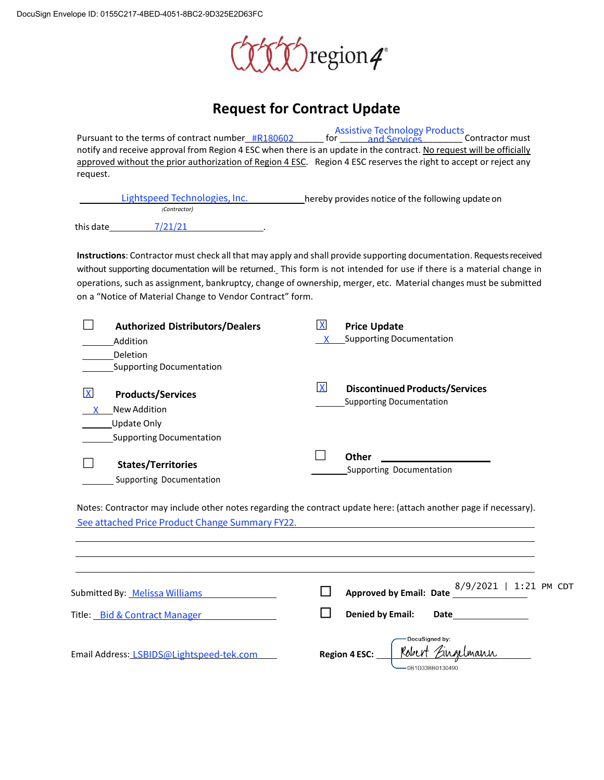

## **Request for Contract Update**

Pursuant to the terms of contract number\_#R180602 \_\_\_\_\_\_\_\_\_ for \_\_\_\_\_\_\_ and Services \_\_\_\_\_\_\_\_\_\_ Contractor must notify and receive approval from Region 4 ESC when there is an update in the contract. No request will be officially approved without the prior authorization of Region 4 ESC. Region 4 ESC reserves the right to accept or reject any request. The terms of contract number\_#R180602 For and Services<br>
The critical ESC when there is an update in the contract. No reques<br>
vithout the prior authorization of Region 4 ESC. Region 4 ESC reserves the right to acc<br>
Lightspe

| Lightspeed Technologies, Inc. |              |  | hereby provides notice of the following update on |
|-------------------------------|--------------|--|---------------------------------------------------|
|                               | (Contractor) |  |                                                   |
| this date                     | 7/21/21      |  |                                                   |

**Instructions**: Contractor must check all that may apply and shall provide supporting documentation. Requestsreceived without supporting documentation will be returned. This form is not intended for use if there is a material change in operations, such as assignment, bankruptcy, change of ownership, merger, etc. Material changes must be submitted on a "Notice of Material Change to Vendor Contract" form.

|              | <b>Authorized Distributors/Dealers</b> | $\mathsf{X}$ | <b>Price Update</b>                   |
|--------------|----------------------------------------|--------------|---------------------------------------|
|              | Addition                               |              | <b>Supporting Documentation</b>       |
|              | Deletion                               |              |                                       |
|              | <b>Supporting Documentation</b>        |              |                                       |
|              |                                        | $\mathsf{X}$ | <b>Discontinued Products/Services</b> |
| $\mathsf{X}$ | <b>Products/Services</b>               |              | <b>Supporting Documentation</b>       |
|              | New Addition                           |              |                                       |
|              | Update Only                            |              |                                       |
|              | <b>Supporting Documentation</b>        |              |                                       |
|              |                                        |              | Other                                 |
|              | <b>States/Territories</b>              |              | Supporting Documentation              |
|              | Supporting Documentation               |              |                                       |

| $\overline{\mathsf{X}}$<br><b>Products/Services</b><br>New Addition<br><b>Update Only</b><br>Supporting Documentation | $\mathsf{X}$<br><b>Discontinued Products/Services</b><br><b>Supporting Documentation</b>                          |
|-----------------------------------------------------------------------------------------------------------------------|-------------------------------------------------------------------------------------------------------------------|
| <b>States/Territories</b><br>Supporting Documentation                                                                 | <b>Other</b><br>Supporting Documentation                                                                          |
| See attached Price Product Change Summary FY22.                                                                       | Notes: Contractor may include other notes regarding the contract update here: (attach another page if necessary). |
| Submitted By: Melissa Williams                                                                                        | 8/9/2021   1:21 PM CDT<br><b>Approved by Email: Date</b>                                                          |
| Title: Bid & Contract Manager                                                                                         | <b>Denied by Email:</b><br><b>Date</b>                                                                            |
| Email Address: LSBIDS@Lightspeed-tek.com                                                                              | DocuSigned by:<br>Robert Zinge<br><b>Region 4 ESC:</b><br>0B1D33BB0130490                                         |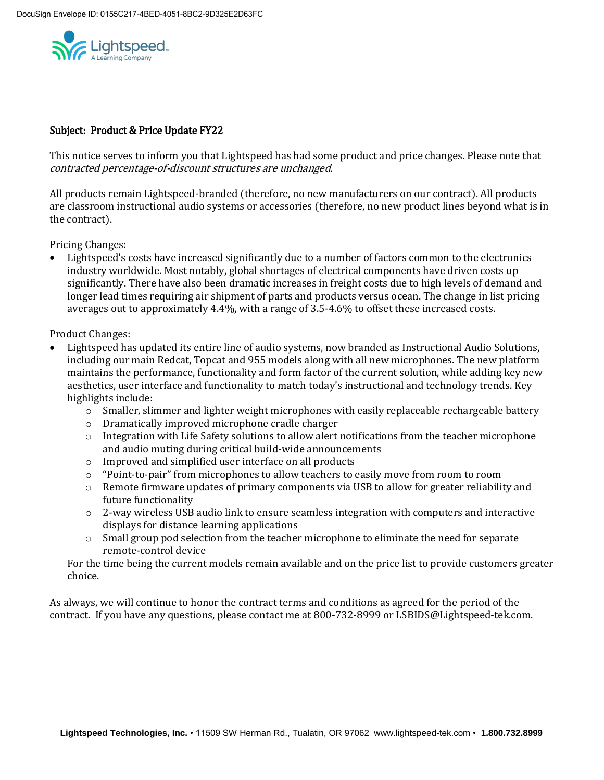

## Subject: Product & Price Update FY22

This notice serves to inform you that Lightspeed has had some product and price changes. Please note that contracted percentage-of-discount structures are unchanged.

All products remain Lightspeed-branded (therefore, no new manufacturers on our contract). All products are classroom instructional audio systems or accessories (therefore, no new product lines beyond what is in the contract).

Pricing Changes:

 Lightspeed's costs have increased significantly due to a number of factors common to the electronics industry worldwide. Most notably, global shortages of electrical components have driven costs up significantly. There have also been dramatic increases in freight costs due to high levels of demand and longer lead times requiring air shipment of parts and products versus ocean. The change in list pricing averages out to approximately 4.4%, with a range of 3.5-4.6% to offset these increased costs.

Product Changes:

- Lightspeed has updated its entire line of audio systems, now branded as Instructional Audio Solutions, including our main Redcat, Topcat and 955 models along with all new microphones. The new platform maintains the performance, functionality and form factor of the current solution, while adding key new aesthetics, user interface and functionality to match today's instructional and technology trends. Key highlights include:
	- $\circ$  Smaller, slimmer and lighter weight microphones with easily replaceable rechargeable battery
	- o Dramatically improved microphone cradle charger
	- $\circ$  Integration with Life Safety solutions to allow alert notifications from the teacher microphone and audio muting during critical build-wide announcements
	- o Improved and simplified user interface on all products
	- o "Point-to-pair" from microphones to allow teachers to easily move from room to room
	- o Remote firmware updates of primary components via USB to allow for greater reliability and future functionality
	- o 2-way wireless USB audio link to ensure seamless integration with computers and interactive displays for distance learning applications
	- o Small group pod selection from the teacher microphone to eliminate the need for separate remote-control device

For the time being the current models remain available and on the price list to provide customers greater choice.

As always, we will continue to honor the contract terms and conditions as agreed for the period of the contract. If you have any questions, please contact me at 800-732-8999 or LSBIDS@Lightspeed-tek.com.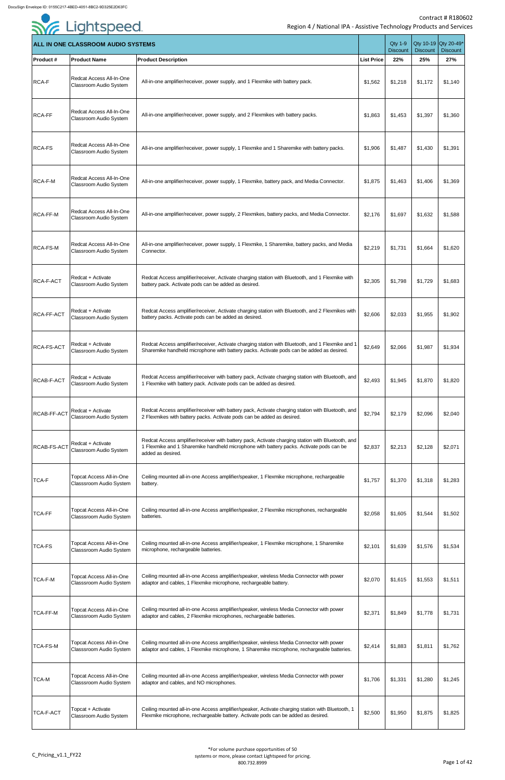|                    | <b>ALL IN ONE CLASSROOM AUDIO SYSTEMS</b>                         |                                                                                                                                                                                                                   |                   | <b>Qty 1-9</b><br><b>Discount</b> | Qty 10-19 Qty 20-49*<br><b>Discount</b> | <b>Discount</b> |
|--------------------|-------------------------------------------------------------------|-------------------------------------------------------------------------------------------------------------------------------------------------------------------------------------------------------------------|-------------------|-----------------------------------|-----------------------------------------|-----------------|
| <b>Product #</b>   | <b>Product Name</b>                                               | <b>Product Description</b>                                                                                                                                                                                        | <b>List Price</b> | 22%                               | 25%                                     | 27%             |
| <b>RCA-F</b>       | Redcat Access All-In-One<br>Classroom Audio System                | All-in-one amplifier/receiver, power supply, and 1 Flexmike with battery pack.                                                                                                                                    | \$1,562           | \$1,218                           | \$1,172                                 | \$1,140         |
| <b>RCA-FF</b>      | Redcat Access All-In-One<br>Classroom Audio System                | All-in-one amplifier/receiver, power supply, and 2 Flexmikes with battery packs.                                                                                                                                  | \$1,863           | \$1,453                           | \$1,397                                 | \$1,360         |
| <b>RCA-FS</b>      | Redcat Access All-In-One<br>Classroom Audio System                | All-in-one amplifier/receiver, power supply, 1 Flexmike and 1 Sharemike with battery packs.                                                                                                                       | \$1,906           | \$1,487                           | \$1,430                                 | \$1,391         |
| <b>RCA-F-M</b>     | Redcat Access All-In-One<br>Classroom Audio System                | All-in-one amplifier/receiver, power supply, 1 Flexmike, battery pack, and Media Connector.                                                                                                                       | \$1,875           | \$1,463                           | \$1,406                                 | \$1,369         |
| <b>RCA-FF-M</b>    | Redcat Access All-In-One<br>Classroom Audio System                | All-in-one amplifier/receiver, power supply, 2 Flexmikes, battery packs, and Media Connector.                                                                                                                     | \$2,176           | \$1,697                           | \$1,632                                 | \$1,588         |
| RCA-FS-M           | Redcat Access All-In-One<br>Classroom Audio System                | All-in-one amplifier/receiver, power supply, 1 Flexmike, 1 Sharemike, battery packs, and Media<br>Connector.                                                                                                      | \$2,219           | \$1,731                           | \$1,664                                 | \$1,620         |
| RCA-F-ACT          | Redcat + Activate<br>Classroom Audio System                       | Redcat Access amplifier/receiver, Activate charging station with Bluetooth, and 1 Flexmike with<br>battery pack. Activate pods can be added as desired.                                                           | \$2,305           | \$1,798                           | \$1,729                                 | \$1,683         |
| <b>RCA-FF-ACT</b>  | Redcat + Activate<br>Classroom Audio System                       | Redcat Access amplifier/receiver, Activate charging station with Bluetooth, and 2 Flexmikes with<br>battery packs. Activate pods can be added as desired.                                                         | \$2,606           | \$2,033                           | \$1,955                                 | \$1,902         |
| <b>RCA-FS-ACT</b>  | Redcat + Activate<br>Classroom Audio System                       | Redcat Access amplifier/receiver, Activate charging station with Bluetooth, and 1 Flexmike and 1<br>Sharemike handheld microphone with battery packs. Activate pods can be added as desired.                      | \$2,649           | \$2,066                           | \$1,987                                 | \$1,934         |
| <b>RCAB-F-ACT</b>  | Redcat + Activate<br>Classroom Audio System                       | Redcat Access amplifier/receiver with battery pack, Activate charging station with Bluetooth, and<br>1 Flexmike with battery pack. Activate pods can be added as desired.                                         | \$2,493           | \$1,945                           | \$1,870                                 | \$1,820         |
| <b>RCAB-FF-ACT</b> | Redcat + Activate<br>Classroom Audio System                       | Redcat Access amplifier/receiver with battery pack, Activate charging station with Bluetooth, and<br>2 Flexmikes with battery packs. Activate pods can be added as desired.                                       | \$2,794           | \$2,179                           | \$2,096                                 | \$2,040         |
| RCAB-FS-ACT        | Redcat + Activate<br>Classroom Audio System                       | Redcat Access amplifier/receiver with battery pack, Activate charging station with Bluetooth, and<br>1 Flexmike and 1 Sharemike handheld microphone with battery packs. Activate pods can be<br>added as desired. | \$2,837           | \$2,213                           | \$2,128                                 | \$2,071         |
| <b>TCA-F</b>       | <b>Topcat Access All-in-One</b><br>Classsroom Audio System        | Ceiling mounted all-in-one Access amplifier/speaker, 1 Flexmike microphone, rechargeable<br>battery.                                                                                                              | \$1,757           | \$1,370                           | \$1,318                                 | \$1,283         |
| <b>TCA-FF</b>      | <b>Topcat Access All-in-One</b><br>Classsroom Audio System        | Ceiling mounted all-in-one Access amplifier/speaker, 2 Flexmike microphones, rechargeable<br>batteries.                                                                                                           | \$2,058           | \$1,605                           | \$1,544                                 | \$1,502         |
| TCA-FS             | <b>Topcat Access All-in-One</b><br>Classsroom Audio System        | Ceiling mounted all-in-one Access amplifier/speaker, 1 Flexmike microphone, 1 Sharemike<br>microphone, rechargeable batteries.                                                                                    | \$2,101           | \$1,639                           | \$1,576                                 | \$1,534         |
| TCA-F-M            | <b>Topcat Access All-in-One</b><br><b>Classsroom Audio System</b> | Ceiling mounted all-in-one Access amplifier/speaker, wireless Media Connector with power<br>adaptor and cables, 1 Flexmike microphone, rechargeable battery.                                                      | \$2,070           | \$1,615                           | \$1,553                                 | \$1,511         |
| TCA-FF-M           | <b>Topcat Access All-in-One</b><br>Classsroom Audio System        | Ceiling mounted all-in-one Access amplifier/speaker, wireless Media Connector with power<br>adaptor and cables, 2 Flexmike microphones, rechargeable batteries.                                                   | \$2,371           | \$1,849                           | \$1,778                                 | \$1,731         |
| TCA-FS-M           | <b>Topcat Access All-in-One</b><br>Classsroom Audio System        | Ceiling mounted all-in-one Access amplifier/speaker, wireless Media Connector with power<br>adaptor and cables, 1 Flexmike microphone, 1 Sharemike microphone, rechargeable batteries.                            | \$2,414           | \$1,883                           | \$1,811                                 | \$1,762         |
| <b>TCA-M</b>       | <b>Topcat Access All-in-One</b><br>Classsroom Audio System        | Ceiling mounted all-in-one Access amplifier/speaker, wireless Media Connector with power<br>adaptor and cables, and NO microphones.                                                                               | \$1,706           | \$1,331                           | \$1,280                                 | \$1,245         |
| TCA-F-ACT          | Topcat + Activate<br>Classroom Audio System                       | Ceiling mounted all-in-one Access amplifier/speaker, Activate charging station with Bluetooth, 1<br>Flexmike microphone, rechargeable battery. Activate pods can be added as desired.                             | \$2,500           | \$1,950                           | \$1,875                                 | \$1,825         |

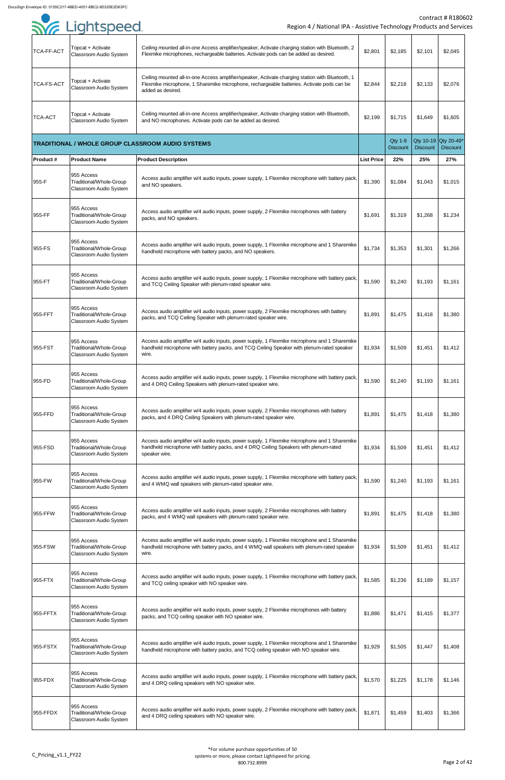|                   | <b>SYE Lightspeed</b>                                                  | Region 4 / National IPA - Assistive Technology Products and Service                                                                                                                                                |                   |                                   |                 | <b>Contract # R18060</b>                |
|-------------------|------------------------------------------------------------------------|--------------------------------------------------------------------------------------------------------------------------------------------------------------------------------------------------------------------|-------------------|-----------------------------------|-----------------|-----------------------------------------|
| TCA-FF-ACT        | Topcat + Activate<br><b>Classroom Audio System</b>                     | Ceiling mounted all-in-one Access amplifier/speaker, Activate charging station with Bluetooth, 2<br>Flexmike microphones, rechargeable batteries. Activate pods can be added as desired.                           | \$2,801           | \$2,185                           | \$2,101         | \$2,045                                 |
| <b>TCA-FS-ACT</b> | Topcat + Activate<br><b>Classroom Audio System</b>                     | Ceiling mounted all-in-one Access amplifier/speaker, Activate charging station with Bluetooth, 1<br>Flexmike microphone, 1 Sharemike microphone, rechargeable batteries. Activate pods can be<br>added as desired. | \$2,844           | \$2,218                           | \$2,133         | \$2,076                                 |
| <b>TCA-ACT</b>    | Topcat + Activate<br><b>Classroom Audio System</b>                     | Ceiling mounted all-in-one Access amplifier/speaker, Activate charging station with Bluetooth,<br>and NO microphones. Activate pods can be added as desired.                                                       | \$2,199           | \$1,715                           | \$1,649         | \$1,605                                 |
|                   |                                                                        | <b>TRADITIONAL / WHOLE GROUP CLASSROOM AUDIO SYSTEMS</b>                                                                                                                                                           |                   | <b>Qty 1-9</b><br><b>Discount</b> | <b>Discount</b> | Qty 10-19 Qty 20-49*<br><b>Discount</b> |
| <b>Product#</b>   | <b>Product Name</b>                                                    | <b>Product Description</b>                                                                                                                                                                                         | <b>List Price</b> | 22%                               | 25%             | 27%                                     |
| 955-F             | 955 Access<br>Traditional/Whole-Group<br><b>Classroom Audio System</b> | Access audio amplifier w/4 audio inputs, power supply, 1 Flexmike microphone with battery pack,<br>and NO speakers.                                                                                                | \$1,390           | \$1,084                           | \$1,043         | \$1,015                                 |
| 955-FF            | 955 Access<br>Traditional/Whole-Group<br><b>Classroom Audio System</b> | Access audio amplifier w/4 audio inputs, power supply, 2 Flexmike microphones with battery<br>packs, and NO speakers.                                                                                              | \$1,691           | \$1,319                           | \$1,268         | \$1,234                                 |
| 955-FS            | 955 Access<br>Traditional/Whole-Group<br><b>Classroom Audio System</b> | Access audio amplifier w/4 audio inputs, power supply, 1 Flexmike microphone and 1 Sharemike<br>handheld microphone with battery packs, and NO speakers.                                                           | \$1,734           | \$1,353                           | \$1,301         | \$1,266                                 |
| 955-FT            | 955 Access<br>Traditional/Whole-Group<br><b>Classroom Audio System</b> | Access audio amplifier w/4 audio inputs, power supply, 1 Flexmike microphone with battery pack,<br>and TCQ Ceiling Speaker with plenum-rated speaker wire.                                                         | \$1,590           | \$1,240                           | \$1,193         | \$1,161                                 |
| 955-FFT           | 955 Access<br>Traditional/Whole-Group<br><b>Classroom Audio System</b> | Access audio amplifier w/4 audio inputs, power supply, 2 Flexmike microphones with battery<br>packs, and TCQ Ceiling Speaker with plenum-rated speaker wire.                                                       | \$1,891           | \$1,475                           | \$1,418         | \$1,380                                 |
| 955-FST           | 955 Access<br>Traditional/Whole-Group<br><b>Classroom Audio System</b> | Access audio amplifier w/4 audio inputs, power supply, 1 Flexmike microphone and 1 Sharemike<br>handheld microphone with battery packs, and TCQ Ceiling Speaker with plenum-rated speaker<br>wire.                 | \$1,934           | \$1,509                           | \$1,451         | \$1,412                                 |
| 955-FD            | 955 Access<br>Traditional/Whole-Group<br><b>Classroom Audio System</b> | Access audio amplifier w/4 audio inputs, power supply, 1 Flexmike microphone with battery pack,<br>and 4 DRQ Ceiling Speakers with plenum-rated speaker wire.                                                      | \$1,590           | \$1,240                           | \$1,193         | \$1,161                                 |
| 955-FFD           | 955 Access<br>Traditional/Whole-Group<br><b>Classroom Audio System</b> | Access audio amplifier w/4 audio inputs, power supply, 2 Flexmike microphones with battery<br>packs, and 4 DRQ Ceiling Speakers with plenum-rated speaker wire.                                                    | \$1,891           | \$1,475                           | \$1,418         | \$1,380                                 |
| 955-FSD           | 955 Access<br>Traditional/Whole-Group<br><b>Classroom Audio System</b> | Access audio amplifier w/4 audio inputs, power supply, 1 Flexmike microphone and 1 Sharemike<br>handheld microphone with battery packs, and 4 DRQ Ceiling Speakers with plenum-rated<br>speaker wire.              | \$1,934           | \$1,509                           | \$1,451         | \$1,412                                 |
| 955-FW            | 955 Access<br>Traditional/Whole-Group<br><b>Classroom Audio System</b> | Access audio amplifier w/4 audio inputs, power supply, 1 Flexmike microphone with battery pack,<br>and 4 WMQ wall speakers with plenum-rated speaker wire.                                                         | \$1,590           | \$1,240                           | \$1,193         | \$1,161                                 |
| 955-FFW           | 955 Access<br>Traditional/Whole-Group<br><b>Classroom Audio System</b> | Access audio amplifier w/4 audio inputs, power supply, 2 Flexmike microphones with battery<br>packs, and 4 WMQ wall speakers with plenum-rated speaker wire.                                                       | \$1,891           | \$1,475                           | \$1,418         | \$1,380                                 |
| 955-FSW           | 955 Access<br>Traditional/Whole-Group<br><b>Classroom Audio System</b> | Access audio amplifier w/4 audio inputs, power supply, 1 Flexmike microphone and 1 Sharemike<br>handheld microphone with battery packs, and 4 WMQ wall speakers with plenum-rated speaker<br>wire.                 | \$1,934           | \$1,509                           | \$1,451         | \$1,412                                 |
| 955-FTX           | 955 Access<br>Traditional/Whole-Group<br><b>Classroom Audio System</b> | Access audio amplifier w/4 audio inputs, power supply, 1 Flexmike microphone with battery pack,<br>and TCQ ceiling speaker with NO speaker wire.                                                                   | \$1,585           | \$1,236                           | \$1,189         | \$1,157                                 |
| 955-FFTX          | 955 Access<br>Traditional/Whole-Group<br><b>Classroom Audio System</b> | Access audio amplifier w/4 audio inputs, power supply, 2 Flexmike microphones with battery<br>packs, and TCQ ceiling speaker with NO speaker wire.                                                                 | \$1,886           | \$1,471                           | \$1,415         | \$1,377                                 |
| 955-FSTX          | 955 Access<br>Traditional/Whole-Group<br><b>Classroom Audio System</b> | Access audio amplifier w/4 audio inputs, power supply, 1 Flexmike microphone and 1 Sharemike<br>handheld microphone with battery packs, and TCQ ceiling speaker with NO speaker wire.                              | \$1,929           | \$1,505                           | \$1,447         | \$1,408                                 |
| 955-FDX           | 955 Access<br>Traditional/Whole-Group<br><b>Classroom Audio System</b> | Access audio amplifier w/4 audio inputs, power supply, 1 Flexmike microphone with battery pack,<br>and 4 DRQ ceiling speakers with NO speaker wire.                                                                | \$1,570           | \$1,225                           | \$1,178         | \$1,146                                 |
| 955-FFDX          | 955 Access<br>Traditional/Whole-Group<br><b>Classroom Audio System</b> | Access audio amplifier w/4 audio inputs, power supply, 2 Flexmike microphone with battery pack,<br>and 4 DRQ ceiling speakers with NO speaker wire.                                                                | \$1,871           | \$1,459                           | \$1,403         | \$1,366                                 |
|                   |                                                                        |                                                                                                                                                                                                                    |                   |                                   |                 |                                         |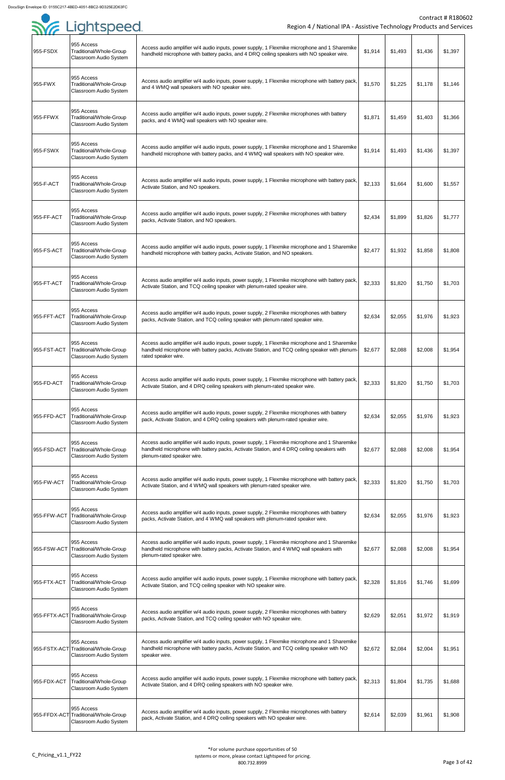| . <i>.</i>  |                                                                                     |                                                                                                                                                                                                                         |         |         |         |         |
|-------------|-------------------------------------------------------------------------------------|-------------------------------------------------------------------------------------------------------------------------------------------------------------------------------------------------------------------------|---------|---------|---------|---------|
| 955-FSDX    | 955 Access<br>Traditional/Whole-Group<br>Classroom Audio System                     | Access audio amplifier w/4 audio inputs, power supply, 1 Flexmike microphone and 1 Sharemike<br>handheld microphone with battery packs, and 4 DRQ ceiling speakers with NO speaker wire.                                | \$1,914 | \$1,493 | \$1,436 | \$1,397 |
| 955-FWX     | 955 Access<br>Traditional/Whole-Group<br><b>Classroom Audio System</b>              | Access audio amplifier w/4 audio inputs, power supply, 1 Flexmike microphone with battery pack,<br>and 4 WMQ wall speakers with NO speaker wire.                                                                        | \$1,570 | \$1,225 | \$1,178 | \$1,146 |
| 955-FFWX    | 955 Access<br>Traditional/Whole-Group<br>Classroom Audio System                     | Access audio amplifier w/4 audio inputs, power supply, 2 Flexmike microphones with battery<br>packs, and 4 WMQ wall speakers with NO speaker wire.                                                                      | \$1,871 | \$1,459 | \$1,403 | \$1,366 |
| 955-FSWX    | 955 Access<br>Traditional/Whole-Group<br><b>Classroom Audio System</b>              | Access audio amplifier w/4 audio inputs, power supply, 1 Flexmike microphone and 1 Sharemike<br>handheld microphone with battery packs, and 4 WMQ wall speakers with NO speaker wire.                                   | \$1,914 | \$1,493 | \$1,436 | \$1,397 |
| 955-F-ACT   | 955 Access<br>Traditional/Whole-Group<br><b>Classroom Audio System</b>              | Access audio amplifier w/4 audio inputs, power supply, 1 Flexmike microphone with battery pack,<br>Activate Station, and NO speakers.                                                                                   | \$2,133 | \$1,664 | \$1,600 | \$1,557 |
| 955-FF-ACT  | 955 Access<br>Traditional/Whole-Group<br>Classroom Audio System                     | Access audio amplifier w/4 audio inputs, power supply, 2 Flexmike microphones with battery<br>packs, Activate Station, and NO speakers.                                                                                 | \$2,434 | \$1,899 | \$1,826 | \$1,777 |
| 955-FS-ACT  | 955 Access<br>Traditional/Whole-Group<br><b>Classroom Audio System</b>              | Access audio amplifier w/4 audio inputs, power supply, 1 Flexmike microphone and 1 Sharemike<br>handheld microphone with battery packs, Activate Station, and NO speakers.                                              | \$2,477 | \$1,932 | \$1,858 | \$1,808 |
| 955-FT-ACT  | 955 Access<br>Traditional/Whole-Group<br><b>Classroom Audio System</b>              | Access audio amplifier w/4 audio inputs, power supply, 1 Flexmike microphone with battery pack,<br>Activate Station, and TCQ ceiling speaker with plenum-rated speaker wire.                                            | \$2,333 | \$1,820 | \$1,750 | \$1,703 |
| 955-FFT-ACT | 955 Access<br>Traditional/Whole-Group<br>Classroom Audio System                     | Access audio amplifier w/4 audio inputs, power supply, 2 Flexmike microphones with battery<br>packs, Activate Station, and TCQ ceiling speaker with plenum-rated speaker wire.                                          | \$2,634 | \$2,055 | \$1,976 | \$1,923 |
| 955-FST-ACT | 955 Access<br>Traditional/Whole-Group<br>Classroom Audio System                     | Access audio amplifier w/4 audio inputs, power supply, 1 Flexmike microphone and 1 Sharemike<br>handheld microphone with battery packs, Activate Station, and TCQ ceiling speaker with plenum-<br>rated speaker wire.   | \$2,677 | \$2,088 | \$2,008 | \$1,954 |
| 955-FD-ACT  | 955 Access<br>Traditional/Whole-Group<br><b>Classroom Audio System</b>              | Access audio amplifier w/4 audio inputs, power supply, 1 Flexmike microphone with battery pack,<br>Activate Station, and 4 DRQ ceiling speakers with plenum-rated speaker wire.                                         | \$2,333 | \$1,820 | \$1,750 | \$1,703 |
| 955-FFD-ACT | 955 Access<br>Traditional/Whole-Group<br><b>Classroom Audio System</b>              | Access audio amplifier w/4 audio inputs, power supply, 2 Flexmike microphones with battery<br>pack, Activate Station, and 4 DRQ ceiling speakers with plenum-rated speaker wire.                                        | \$2,634 | \$2,055 | \$1,976 | \$1,923 |
| 955-FSD-ACT | 955 Access<br>Traditional/Whole-Group<br><b>Classroom Audio System</b>              | Access audio amplifier w/4 audio inputs, power supply, 1 Flexmike microphone and 1 Sharemike<br>handheld microphone with battery packs, Activate Station, and 4 DRQ ceiling speakers with<br>plenum-rated speaker wire. | \$2,677 | \$2,088 | \$2,008 | \$1,954 |
| 955-FW-ACT  | 955 Access<br>Traditional/Whole-Group<br>Classroom Audio System                     | Access audio amplifier w/4 audio inputs, power supply, 1 Flexmike microphone with battery pack,<br>Activate Station, and 4 WMQ wall speakers with plenum-rated speaker wire.                                            | \$2,333 | \$1,820 | \$1,750 | \$1,703 |
| 955-FFW-ACT | 955 Access<br>Traditional/Whole-Group<br>Classroom Audio System                     | Access audio amplifier w/4 audio inputs, power supply, 2 Flexmike microphones with battery<br>packs, Activate Station, and 4 WMQ wall speakers with plenum-rated speaker wire.                                          | \$2,634 | \$2,055 | \$1,976 | \$1,923 |
| 955-FSW-ACT | 955 Access<br>Traditional/Whole-Group<br>Classroom Audio System                     | Access audio amplifier w/4 audio inputs, power supply, 1 Flexmike microphone and 1 Sharemike<br>handheld microphone with battery packs, Activate Station, and 4 WMQ wall speakers with<br>plenum-rated speaker wire.    | \$2,677 | \$2,088 | \$2,008 | \$1,954 |
| 955-FTX-ACT | 955 Access<br>Traditional/Whole-Group<br>Classroom Audio System                     | Access audio amplifier w/4 audio inputs, power supply, 1 Flexmike microphone with battery pack,<br>Activate Station, and TCQ ceiling speaker with NO speaker wire.                                                      | \$2,328 | \$1,816 | \$1,746 | \$1,699 |
|             | 955 Access<br>955-FFTX-ACT Traditional/Whole-Group<br><b>Classroom Audio System</b> | Access audio amplifier w/4 audio inputs, power supply, 2 Flexmike microphones with battery<br>packs, Activate Station, and TCQ ceiling speaker with NO speaker wire.                                                    | \$2,629 | \$2,051 | \$1,972 | \$1,919 |
|             | 955 Access<br>955-FSTX-ACT Traditional/Whole-Group<br>Classroom Audio System        | Access audio amplifier w/4 audio inputs, power supply, 1 Flexmike microphone and 1 Sharemike<br>handheld microphone with battery packs, Activate Station, and TCQ ceiling speaker with NO<br>speaker wire.              | \$2,672 | \$2,084 | \$2,004 | \$1,951 |
| 955-FDX-ACT | 955 Access<br>Traditional/Whole-Group<br><b>Classroom Audio System</b>              | Access audio amplifier w/4 audio inputs, power supply, 1 Flexmike microphone with battery pack,<br>Activate Station, and 4 DRQ ceiling speakers with NO speaker wire.                                                   | \$2,313 | \$1,804 | \$1,735 | \$1,688 |
|             | 955 Access<br>955-FFDX-ACT Traditional/Whole-Group<br><b>Classroom Audio System</b> | Access audio amplifier w/4 audio inputs, power supply, 2 Flexmike microphones with battery<br>pack, Activate Station, and 4 DRQ ceiling speakers with NO speaker wire.                                                  | \$2,614 | \$2,039 | \$1,961 | \$1,908 |

| <b>SYE Lightspeed</b> |  |
|-----------------------|--|
|                       |  |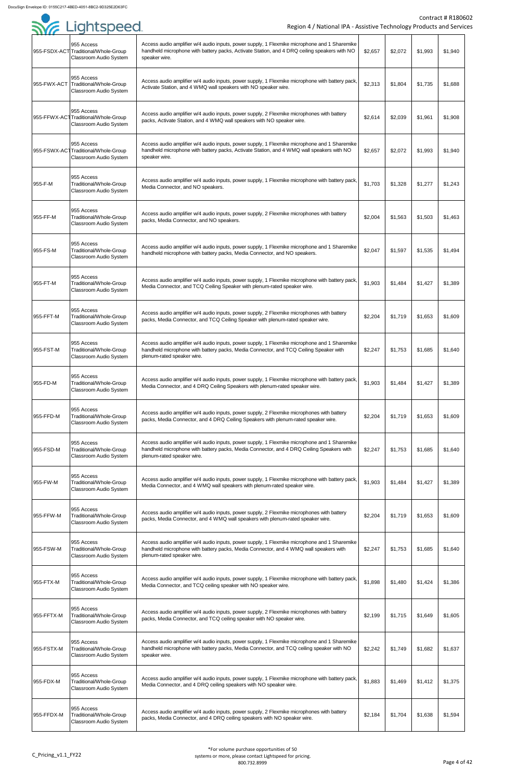|             | 955 Access<br>955-FSDX-ACT Traditional/Whole-Group<br>Classroom Audio System | Access audio amplifier w/4 audio inputs, power supply, 1 Flexmike microphone and 1 Sharemike<br>handheld microphone with battery packs, Activate Station, and 4 DRQ ceiling speakers with NO<br>speaker wire.          | \$2,657 | \$2,072 | \$1,993 | \$1,940 |
|-------------|------------------------------------------------------------------------------|------------------------------------------------------------------------------------------------------------------------------------------------------------------------------------------------------------------------|---------|---------|---------|---------|
| 955-FWX-ACT | 955 Access<br>Traditional/Whole-Group<br>Classroom Audio System              | Access audio amplifier w/4 audio inputs, power supply, 1 Flexmike microphone with battery pack,<br>Activate Station, and 4 WMQ wall speakers with NO speaker wire.                                                     | \$2,313 | \$1,804 | \$1,735 | \$1,688 |
|             | 955 Access<br>955-FFWX-ACTTraditional/Whole-Group<br>Classroom Audio System  | Access audio amplifier w/4 audio inputs, power supply, 2 Flexmike microphones with battery<br>packs, Activate Station, and 4 WMQ wall speakers with NO speaker wire.                                                   | \$2,614 | \$2,039 | \$1,961 | \$1,908 |
|             | 955 Access<br>955-FSWX-ACTTraditional/Whole-Group<br>Classroom Audio System  | Access audio amplifier w/4 audio inputs, power supply, 1 Flexmike microphone and 1 Sharemike<br>handheld microphone with battery packs, Activate Station, and 4 WMQ wall speakers with NO<br>speaker wire.             | \$2,657 | \$2,072 | \$1,993 | \$1,940 |
| 955-F-M     | 955 Access<br>Traditional/Whole-Group<br>Classroom Audio System              | Access audio amplifier w/4 audio inputs, power supply, 1 Flexmike microphone with battery pack,<br>Media Connector, and NO speakers.                                                                                   | \$1,703 | \$1,328 | \$1,277 | \$1,243 |
| 955-FF-M    | 955 Access<br>Traditional/Whole-Group<br>Classroom Audio System              | Access audio amplifier w/4 audio inputs, power supply, 2 Flexmike microphones with battery<br>packs, Media Connector, and NO speakers.                                                                                 | \$2,004 | \$1,563 | \$1,503 | \$1,463 |
| 955-FS-M    | 955 Access<br>Traditional/Whole-Group<br>Classroom Audio System              | Access audio amplifier w/4 audio inputs, power supply, 1 Flexmike microphone and 1 Sharemike<br>handheld microphone with battery packs, Media Connector, and NO speakers.                                              | \$2,047 | \$1,597 | \$1,535 | \$1,494 |
| 955-FT-M    | 955 Access<br>Traditional/Whole-Group<br>Classroom Audio System              | Access audio amplifier w/4 audio inputs, power supply, 1 Flexmike microphone with battery pack,<br>Media Connector, and TCQ Ceiling Speaker with plenum-rated speaker wire.                                            | \$1,903 | \$1,484 | \$1,427 | \$1,389 |
| 955-FFT-M   | 955 Access<br>Traditional/Whole-Group<br>Classroom Audio System              | Access audio amplifier w/4 audio inputs, power supply, 2 Flexmike microphones with battery<br>packs, Media Connector, and TCQ Ceiling Speaker with plenum-rated speaker wire.                                          | \$2,204 | \$1,719 | \$1,653 | \$1,609 |
| 955-FST-M   | 955 Access<br>Traditional/Whole-Group<br>Classroom Audio System              | Access audio amplifier w/4 audio inputs, power supply, 1 Flexmike microphone and 1 Sharemike<br>handheld microphone with battery packs, Media Connector, and TCQ Ceiling Speaker with<br>plenum-rated speaker wire.    | \$2,247 | \$1,753 | \$1,685 | \$1,640 |
| 955-FD-M    | 955 Access<br>Traditional/Whole-Group<br>Classroom Audio System              | Access audio amplifier w/4 audio inputs, power supply, 1 Flexmike microphone with battery pack,<br>Media Connector, and 4 DRQ Ceiling Speakers with plenum-rated speaker wire.                                         | \$1,903 | \$1,484 | \$1,427 | \$1,389 |
| 955-FFD-M   | 955 Access<br>Traditional/Whole-Group<br>Classroom Audio System              | Access audio amplifier w/4 audio inputs, power supply, 2 Flexmike microphones with battery<br>packs, Media Connector, and 4 DRQ Ceiling Speakers with plenum-rated speaker wire.                                       | \$2,204 | \$1,719 | \$1,653 | \$1,609 |
| 955-FSD-M   | 955 Access<br>Traditional/Whole-Group<br>Classroom Audio System              | Access audio amplifier w/4 audio inputs, power supply, 1 Flexmike microphone and 1 Sharemike<br>handheld microphone with battery packs, Media Connector, and 4 DRQ Ceiling Speakers with<br>plenum-rated speaker wire. | \$2,247 | \$1,753 | \$1,685 | \$1,640 |
| 955-FW-M    | 955 Access<br>Traditional/Whole-Group<br>Classroom Audio System              | Access audio amplifier w/4 audio inputs, power supply, 1 Flexmike microphone with battery pack,<br>Media Connector, and 4 WMQ wall speakers with plenum-rated speaker wire.                                            | \$1,903 | \$1,484 | \$1,427 | \$1,389 |
| 955-FFW-M   | 955 Access<br>Traditional/Whole-Group<br>Classroom Audio System              | Access audio amplifier w/4 audio inputs, power supply, 2 Flexmike microphones with battery<br>packs, Media Connector, and 4 WMQ wall speakers with plenum-rated speaker wire.                                          | \$2,204 | \$1,719 | \$1,653 | \$1,609 |
| 955-FSW-M   | 955 Access<br>Traditional/Whole-Group<br>Classroom Audio System              | Access audio amplifier w/4 audio inputs, power supply, 1 Flexmike microphone and 1 Sharemike<br>handheld microphone with battery packs, Media Connector, and 4 WMQ wall speakers with<br>plenum-rated speaker wire.    | \$2,247 | \$1,753 | \$1,685 | \$1,640 |
| 955-FTX-M   | 955 Access<br>Traditional/Whole-Group<br>Classroom Audio System              | Access audio amplifier w/4 audio inputs, power supply, 1 Flexmike microphone with battery pack,<br>Media Connector, and TCQ ceiling speaker with NO speaker wire.                                                      | \$1,898 | \$1,480 | \$1,424 | \$1,386 |
| 955-FFTX-M  | 955 Access<br>Traditional/Whole-Group<br>Classroom Audio System              | Access audio amplifier w/4 audio inputs, power supply, 2 Flexmike microphones with battery<br>packs, Media Connector, and TCQ ceiling speaker with NO speaker wire.                                                    | \$2,199 | \$1,715 | \$1,649 | \$1,605 |
| 955-FSTX-M  | 955 Access<br>Traditional/Whole-Group<br>Classroom Audio System              | Access audio amplifier w/4 audio inputs, power supply, 1 Flexmike microphone and 1 Sharemike<br>handheld microphone with battery packs, Media Connector, and TCQ ceiling speaker with NO<br>speaker wire.              | \$2,242 | \$1,749 | \$1,682 | \$1,637 |
| 955-FDX-M   | 955 Access<br>Traditional/Whole-Group<br>Classroom Audio System              | Access audio amplifier w/4 audio inputs, power supply, 1 Flexmike microphone with battery pack,<br>Media Connector, and 4 DRQ ceiling speakers with NO speaker wire.                                                   | \$1,883 | \$1,469 | \$1,412 | \$1,375 |
| 955-FFDX-M  | 955 Access<br>Traditional/Whole-Group<br>Classroom Audio System              | Access audio amplifier w/4 audio inputs, power supply, 2 Flexmike microphones with battery<br>packs, Media Connector, and 4 DRQ ceiling speakers with NO speaker wire.                                                 | \$2,184 | \$1,704 | \$1,638 | \$1,594 |

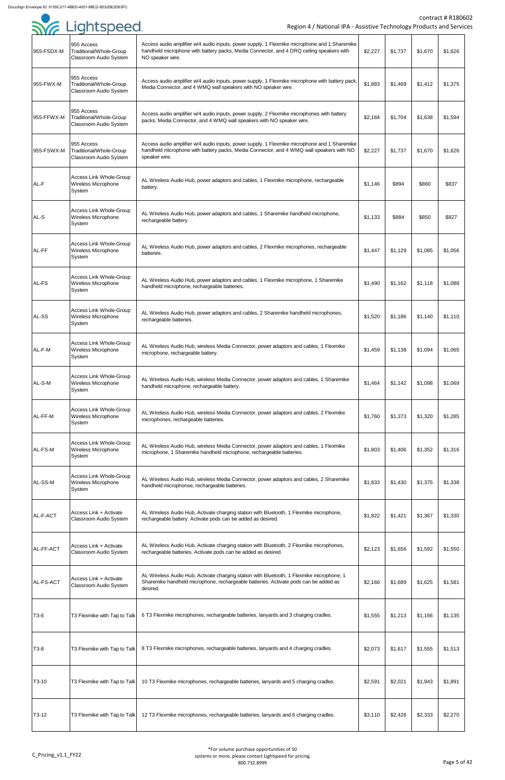| 955-FSDX-M        | 955 Access<br>Traditional/Whole-Group<br>Classroom Audio System        | Access audio amplifier w/4 audio inputs, power supply, 1 Flexmike microphone and 1 Sharemike<br>handheld microphone with battery packs, Media Connector, and 4 DRQ ceiling speakers with<br>NO speaker wire. | \$2,227 | \$1,737 | \$1,670 | \$1,626 |
|-------------------|------------------------------------------------------------------------|--------------------------------------------------------------------------------------------------------------------------------------------------------------------------------------------------------------|---------|---------|---------|---------|
| 955-FWX-M         | 955 Access<br>Traditional/Whole-Group<br>Classroom Audio System        | Access audio amplifier w/4 audio inputs, power supply, 1 Flexmike microphone with battery pack,<br>Media Connector, and 4 WMQ wall speakers with NO speaker wire.                                            | \$1,883 | \$1,469 | \$1,412 | \$1,375 |
| 955-FFWX-M        | 955 Access<br>Traditional/Whole-Group<br><b>Classroom Audio System</b> | Access audio amplifier w/4 audio inputs, power supply, 2 Flexmike microphones with battery<br>packs, Media Connector, and 4 WMQ wall speakers with NO speaker wire.                                          | \$2,184 | \$1,704 | \$1,638 | \$1,594 |
| 955-FSWX-M        | 955 Access<br>Traditional/Whole-Group<br>Classroom Audio System        | Access audio amplifier w/4 audio inputs, power supply, 1 Flexmike microphone and 1 Sharemike<br>handheld microphone with battery packs, Media Connector, and 4 WMQ wall speakers with NO<br>speaker wire.    | \$2,227 | \$1,737 | \$1,670 | \$1,626 |
| AL-F              | <b>Access Link Whole-Group</b><br>Wireless Microphone<br>System        | AL Wireless Audio Hub, power adaptors and cables, 1 Flexmike microphone, rechargeable<br>battery.                                                                                                            | \$1,146 | \$894   | \$860   | \$837   |
| AL-S              | <b>Access Link Whole-Group</b><br>Wireless Microphone<br>System        | AL Wireless Audio Hub, power adaptors and cables, 1 Sharemike handheld microphone,<br>rechargeable battery.                                                                                                  | \$1,133 | \$884   | \$850   | \$827   |
| AL-FF             | <b>Access Link Whole-Group</b><br><b>Wireless Microphone</b><br>System | AL Wireless Audio Hub, power adaptors and cables, 2 Flexmike microphones, rechargeable<br>batteries.                                                                                                         | \$1,447 | \$1,129 | \$1,085 | \$1,056 |
| AL-FS             | <b>Access Link Whole-Group</b><br>Wireless Microphone<br>System        | AL Wireless Audio Hub, power adaptors and cables, 1 Flexmike microphone, 1 Sharemike<br>handheld microphone, rechargeable batteries.                                                                         | \$1,490 | \$1,162 | \$1,118 | \$1,088 |
| AL-SS             | <b>Access Link Whole-Group</b><br>Wireless Microphone<br>System        | AL Wireless Audio Hub, power adaptors and cables, 2 Sharemike handheld microphones,<br>rechargeable batteries.                                                                                               | \$1,520 | \$1,186 | \$1,140 | \$1,110 |
| AL-F-M            | <b>Access Link Whole-Group</b><br>Wireless Microphone<br>System        | AL Wireless Audio Hub, wireless Media Connector, power adaptors and cables, 1 Flexmike<br>microphone, rechargeable battery.                                                                                  | \$1,459 | \$1,138 | \$1,094 | \$1,065 |
| AL-S-M            | <b>Access Link Whole-Group</b><br>Wireless Microphone<br>System        | AL Wireless Audio Hub, wireless Media Connector, power adaptors and cables, 1 Sharemike<br>handheld microphone, rechargeable battery.                                                                        | \$1,464 | \$1,142 | \$1,098 | \$1,069 |
| AL-FF-M           | <b>Access Link Whole-Group</b><br>Wireless Microphone<br>System        | AL Wireless Audio Hub, wireless Media Connector, power adaptors and cables, 2 Flexmike<br>microphones, rechargeable batteries.                                                                               | \$1,760 | \$1,373 | \$1,320 | \$1,285 |
| AL-FS-M           | <b>Access Link Whole-Group</b><br><b>Wireless Microphone</b><br>System | AL Wireless Audio Hub, wireless Media Connector, power adaptors and cables, 1 Flexmike<br>microphone, 1 Sharemike handheld microphone, rechargeable batteries.                                               | \$1,803 | \$1,406 | \$1,352 | \$1,316 |
| AL-SS-M           | <b>Access Link Whole-Group</b><br><b>Wireless Microphone</b><br>System | AL Wireless Audio Hub, wireless Media Connector, power adaptors and cables, 2 Sharemike<br>handheld microphonse, rechargeable batteries.                                                                     | \$1,833 | \$1,430 | \$1,375 | \$1,338 |
| AL-F-ACT          | Access Link + Activate<br>Classroom Audio System                       | AL Wireless Audio Hub, Activate charging station with Bluetooth, 1 Flexmike microphone,<br>rechargeable battery. Activate pods can be added as desired.                                                      | \$1,822 | \$1,421 | \$1,367 | \$1,330 |
| AL-FF-ACT         | Access Link + Activate<br>Classroom Audio System                       | AL Wireless Audio Hub, Activate charging station with Bluetooth, 2 Flexmike microphones,<br>rechargeable batteries. Activate pods can be added as desired.                                                   | \$2,123 | \$1,656 | \$1,592 | \$1,550 |
| AL-FS-ACT         | Access Link + Activate<br>Classroom Audio System                       | AL Wireless Audio Hub, Activate charging station with Bluetooth, 1 Flexmike microphone, 1<br>Sharemike handheld microphone, rechargeable batteries. Activate pods can be added as<br>desired.                | \$2,166 | \$1,689 | \$1,625 | \$1,581 |
| T3-6              | T3 Flexmike with Tap to Talk                                           | 6 T3 Flexmike microphones, rechargeable batteries, lanyards and 3 charging cradles.                                                                                                                          | \$1,555 | \$1,213 | \$1,166 | \$1,135 |
| T <sub>3</sub> -8 | T3 Flexmike with Tap to Talk                                           | 8 T3 Flexmike microphones, rechargeable batteries, lanyards and 4 charging cradles.                                                                                                                          | \$2,073 | \$1,617 | \$1,555 | \$1,513 |
| T3-10             | T3 Flexmike with Tap to Talk                                           | 10 T3 Flexmike microphones, rechargeable batteries, lanyards and 5 charging cradles.                                                                                                                         | \$2,591 | \$2,021 | \$1,943 | \$1,891 |
| $T3-12$           | T3 Flexmike with Tap to Talk                                           | 12 T3 Flexmike microphones, rechargeable batteries, lanyards and 6 charging cradles.                                                                                                                         | \$3,110 | \$2,426 | \$2,333 | \$2,270 |

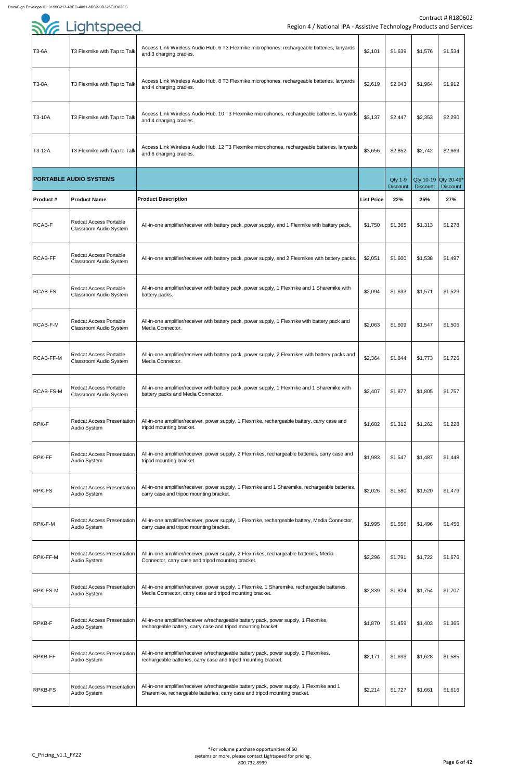|                 | <b>SYG</b> Lightspeed                                          | Region 4 / National IPA - Assistive Technology Products and Servic                                                                                                      |                   |                                   |                 | <b>Contract # R1806</b>                 |
|-----------------|----------------------------------------------------------------|-------------------------------------------------------------------------------------------------------------------------------------------------------------------------|-------------------|-----------------------------------|-----------------|-----------------------------------------|
| T3-6A           | T3 Flexmike with Tap to Talk                                   | Access Link Wireless Audio Hub, 6 T3 Flexmike microphones, rechargeable batteries, lanyards<br>and 3 charging cradles.                                                  | \$2,101           | \$1,639                           | \$1,576         | \$1,534                                 |
| T3-8A           | T3 Flexmike with Tap to Talk                                   | Access Link Wireless Audio Hub, 8 T3 Flexmike microphones, rechargeable batteries, lanyards<br>and 4 charging cradles.                                                  | \$2,619           | \$2,043                           | \$1,964         | \$1,912                                 |
| T3-10A          | T3 Flexmike with Tap to Talk                                   | Access Link Wireless Audio Hub, 10 T3 Flexmike microphones, rechargeable batteries, lanyards<br>and 4 charging cradles.                                                 | \$3,137           | \$2,447                           | \$2,353         | \$2,290                                 |
| T3-12A          | T3 Flexmike with Tap to Talk                                   | Access Link Wireless Audio Hub, 12 T3 Flexmike microphones, rechargeable batteries, lanyards<br>and 6 charging cradles.                                                 | \$3,656           | \$2,852                           | \$2,742         | \$2,669                                 |
|                 | <b>PORTABLE AUDIO SYSTEMS</b>                                  |                                                                                                                                                                         |                   | <b>Qty 1-9</b><br><b>Discount</b> | <b>Discount</b> | Qty 10-19 Qty 20-49*<br><b>Discount</b> |
| <b>Product#</b> | <b>Product Name</b>                                            | <b>Product Description</b>                                                                                                                                              | <b>List Price</b> | 22%                               | 25%             | 27%                                     |
| <b>RCAB-F</b>   | <b>Redcat Access Portable</b><br><b>Classroom Audio System</b> | All-in-one amplifier/receiver with battery pack, power supply, and 1 Flexmike with battery pack.                                                                        | \$1,750           | \$1,365                           | \$1,313         | \$1,278                                 |
| <b>RCAB-FF</b>  | <b>Redcat Access Portable</b><br><b>Classroom Audio System</b> | All-in-one amplifier/receiver with battery pack, power supply, and 2 Flexmikes with battery packs.                                                                      | \$2,051           | \$1,600                           | \$1,538         | \$1,497                                 |
| RCAB-FS         | <b>Redcat Access Portable</b><br><b>Classroom Audio System</b> | All-in-one amplifier/receiver with battery pack, power supply, 1 Flexmike and 1 Sharemike with<br>battery packs.                                                        | \$2,094           | \$1,633                           | \$1,571         | \$1,529                                 |
| RCAB-F-M        | <b>Redcat Access Portable</b><br><b>Classroom Audio System</b> | All-in-one amplifier/receiver with battery pack, power supply, 1 Flexmike with battery pack and<br>Media Connector.                                                     | \$2,063           | \$1,609                           | \$1,547         | \$1,506                                 |
| RCAB-FF-M       | <b>Redcat Access Portable</b><br>Classroom Audio System        | All-in-one amplifier/receiver with battery pack, power supply, 2 Flexmikes with battery packs and<br>Media Connector.                                                   | \$2,364           | \$1,844                           | \$1,773         | \$1,726                                 |
| RCAB-FS-M       | <b>Redcat Access Portable</b><br><b>Classroom Audio System</b> | All-in-one amplifier/receiver with battery pack, power supply, 1 Flexmike and 1 Sharemike with<br>battery packs and Media Connector.                                    | \$2,407           | \$1,877                           | \$1,805         | \$1,757                                 |
| <b>RPK-F</b>    | <b>Redcat Access Presentation</b><br>Audio System              | All-in-one amplifier/receiver, power supply, 1 Flexmike, rechargeable battery, carry case and<br>tripod mounting bracket.                                               | \$1,682           | \$1,312                           | \$1,262         | \$1,228                                 |
| RPK-FF          | <b>Redcat Access Presentation</b><br>Audio System              | All-in-one amplifier/receiver, power supply, 2 Flexmikes, rechargeable batteries, carry case and<br>tripod mounting bracket.                                            | \$1,983           | \$1,547                           | \$1,487         | \$1,448                                 |
| <b>RPK-FS</b>   | <b>Redcat Access Presentation</b><br>Audio System              | All-in-one amplifier/receiver, power supply, 1 Flexmike and 1 Sharemike, rechargeable batteries,<br>carry case and tripod mounting bracket.                             | \$2,026           | \$1,580                           | \$1,520         | \$1,479                                 |
| RPK-F-M         | <b>Redcat Access Presentation</b><br>Audio System              | All-in-one amplifier/receiver, power supply, 1 Flexmike, rechargeable battery, Media Connector,<br>carry case and tripod mounting bracket.                              | \$1,995           | \$1,556                           | \$1,496         | \$1,456                                 |
| RPK-FF-M        | <b>Redcat Access Presentation</b><br>Audio System              | All-in-one amplifier/receiver, power supply, 2 Flexmikes, rechargeable batteries, Media<br>Connector, carry case and tripod mounting bracket.                           | \$2,296           | \$1,791                           | \$1,722         | \$1,676                                 |
| RPK-FS-M        | <b>Redcat Access Presentation</b><br>Audio System              | All-in-one amplifier/receiver, power supply, 1 Flexmike, 1 Sharemike, rechargeable batteries,<br>Media Connector, carry case and tripod mounting bracket.               | \$2,339           | \$1,824                           | \$1,754         | \$1,707                                 |
| <b>RPKB-F</b>   | <b>Redcat Access Presentation</b><br>Audio System              | All-in-one amplifier/receiver w/rechargeable battery pack, power supply, 1 Flexmike,<br>rechargeable battery, carry case and tripod mounting bracket.                   | \$1,870           | \$1,459                           | \$1,403         | \$1,365                                 |
| <b>RPKB-FF</b>  | <b>Redcat Access Presentation</b><br>Audio System              | All-in-one amplifier/receiver w/rechargeable battery pack, power supply, 2 Flexmikes,<br>rechargeable batteries, carry case and tripod mounting bracket.                | \$2,171           | \$1,693                           | \$1,628         | \$1,585                                 |
| <b>RPKB-FS</b>  | <b>Redcat Access Presentation</b><br>Audio System              | All-in-one amplifier/receiver w/rechargeable battery pack, power supply, 1 Flexmike and 1<br>Sharemike, rechargeable batteries, carry case and tripod mounting bracket. | \$2,214           | \$1,727                           | \$1,661         | \$1,616                                 |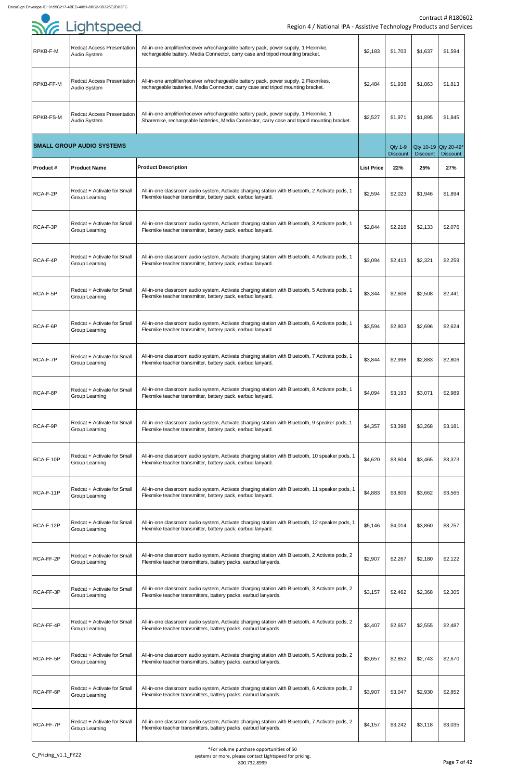|                  | <b>SYE Lightspeed</b>                                       | Region 4 / National IPA - Assistive Technology Products and Servic                                                                                                                    |                   |                                   |                 | Contract # R1806                        |
|------------------|-------------------------------------------------------------|---------------------------------------------------------------------------------------------------------------------------------------------------------------------------------------|-------------------|-----------------------------------|-----------------|-----------------------------------------|
| RPKB-F-M         | Redcat Access Presentation<br>Audio System                  | All-in-one amplifier/receiver w/rechargeable battery pack, power supply, 1 Flexmike,<br>rechargeable battery, Media Connector, carry case and tripod mounting bracket.                | \$2,183           | \$1,703                           | \$1,637         | \$1,594                                 |
| RPKB-FF-M        | <b>Redcat Access Presentation</b><br>Audio System           | All-in-one amplifier/receiver w/rechargeable battery pack, power supply, 2 Flexmikes,<br>rechargeable batteries, Media Connector, carry case and tripod mounting bracket.             | \$2,484           | \$1,938                           | \$1,863         | \$1,813                                 |
| <b>RPKB-FS-M</b> | <b>Redcat Access Presentation</b><br>Audio System           | All-in-one amplifier/receiver w/rechargeable battery pack, power supply, 1 Flexmike, 1<br>Sharemike, rechargeable batteries, Media Connector, carry case and tripod mounting bracket. | \$2,527           | \$1,971                           | \$1,895         | \$1,845                                 |
|                  | <b>SMALL GROUP AUDIO SYSTEMS</b>                            |                                                                                                                                                                                       |                   | <b>Qty 1-9</b><br><b>Discount</b> | <b>Discount</b> | Qty 10-19 Qty 20-49*<br><b>Discount</b> |
| <b>Product#</b>  | <b>Product Name</b>                                         | <b>Product Description</b>                                                                                                                                                            | <b>List Price</b> | 22%                               | 25%             | 27%                                     |
| RCA-F-2P         | Redcat + Activate for Small<br><b>Group Learning</b>        | All-in-one classroom audio system, Activate charging station with Bluetooth, 2 Activate pods, 1<br>Flexmike teacher transmitter, battery pack, earbud lanyard.                        | \$2,594           | \$2,023                           | \$1,946         | \$1,894                                 |
| RCA-F-3P         | Redcat + Activate for Small<br>Group Learning               | All-in-one classroom audio system, Activate charging station with Bluetooth, 3 Activate pods, 1<br>Flexmike teacher transmitter, battery pack, earbud lanyard.                        | \$2,844           | \$2.218                           | \$2.133         | \$2.076                                 |
| RCA-F-4P         | Redcat + Activate for Small<br><b>Group Learning</b>        | All-in-one classroom audio system, Activate charging station with Bluetooth, 4 Activate pods, 1<br>Flexmike teacher transmitter, battery pack, earbud lanyard.                        | \$3,094           | \$2,413                           | \$2,321         | \$2,259                                 |
| RCA-F-5P         | Redcat + Activate for Small<br><b>Group Learning</b>        | All-in-one classroom audio system, Activate charging station with Bluetooth, 5 Activate pods, 1<br>Flexmike teacher transmitter, battery pack, earbud lanyard.                        | \$3,344           | \$2,608                           | \$2,508         | \$2,441                                 |
| RCA-F-6P         | Redcat + Activate for Small<br><b>Group Learning</b>        | All-in-one classroom audio system, Activate charging station with Bluetooth, 6 Activate pods, 1<br>Flexmike teacher transmitter, battery pack, earbud lanyard.                        | \$3,594           | \$2,803                           | \$2,696         | \$2,624                                 |
| RCA-F-7P         | Redcat + Activate for Small<br><b>Group Learning</b>        | All-in-one classroom audio system, Activate charging station with Bluetooth, 7 Activate pods, 1<br>Flexmike teacher transmitter, battery pack, earbud lanyard.                        | \$3,844           | \$2,998                           | \$2,883         | \$2,806                                 |
| RCA-F-8P         | <b>Redcat + Activate for Small</b><br><b>Group Learning</b> | All-in-one classroom audio system, Activate charging station with Bluetooth, 8 Activate pods, 1<br>Flexmike teacher transmitter, battery pack, earbud lanyard.                        | \$4,094           | \$3,193                           | \$3,071         | \$2,989                                 |
| RCA-F-9P         | Redcat + Activate for Small<br><b>Group Learning</b>        | All-in-one classroom audio system, Activate charging station with Bluetooth, 9 speaker pods, 1<br>Flexmike teacher transmitter, battery pack, earbud lanyard.                         | \$4,357           | \$3,398                           | \$3,268         | \$3,181                                 |
| RCA-F-10P        | Redcat + Activate for Small<br>Group Learning               | All-in-one classroom audio system, Activate charging station with Bluetooth, 10 speaker pods, 1<br>Flexmike teacher transmitter, battery pack, earbud lanyard.                        | \$4,620           | \$3,604                           | \$3,465         | \$3,373                                 |
| RCA-F-11P        | Redcat + Activate for Small<br><b>Group Learning</b>        | All-in-one classroom audio system, Activate charging station with Bluetooth, 11 speaker pods, 1<br>Flexmike teacher transmitter, battery pack, earbud lanyard.                        | \$4,883           | \$3,809                           | \$3,662         | \$3,565                                 |
| RCA-F-12P        | <b>Redcat + Activate for Small</b><br><b>Group Learning</b> | All-in-one classroom audio system, Activate charging station with Bluetooth, 12 speaker pods, 1<br>Flexmike teacher transmitter, battery pack, earbud lanyard.                        | \$5,146           | \$4,014                           | \$3,860         | \$3,757                                 |
| RCA-FF-2P        | Redcat + Activate for Small<br><b>Group Learning</b>        | All-in-one classroom audio system, Activate charging station with Bluetooth, 2 Activate pods, 2<br>Flexmike teacher transmitters, battery packs, earbud lanyards.                     | \$2,907           | \$2,267                           | \$2,180         | \$2,122                                 |
| RCA-FF-3P        | Redcat + Activate for Small<br><b>Group Learning</b>        | All-in-one classroom audio system, Activate charging station with Bluetooth, 3 Activate pods, 2<br>Flexmike teacher transmitters, battery packs, earbud lanyards.                     | \$3,157           | \$2,462                           | \$2,368         | \$2,305                                 |
| RCA-FF-4P        | <b>Redcat + Activate for Small</b><br><b>Group Learning</b> | All-in-one classroom audio system, Activate charging station with Bluetooth, 4 Activate pods, 2<br>Flexmike teacher transmitters, battery packs, earbud lanyards.                     | \$3,407           | \$2,657                           | \$2,555         | \$2,487                                 |
| RCA-FF-5P        | Redcat + Activate for Small<br>Group Learning               | All-in-one classroom audio system, Activate charging station with Bluetooth, 5 Activate pods, 2<br>Flexmike teacher transmitters, battery packs, earbud lanyards.                     | \$3,657           | \$2,852                           | \$2,743         | \$2,670                                 |
| RCA-FF-6P        | Redcat + Activate for Small<br><b>Group Learning</b>        | All-in-one classroom audio system, Activate charging station with Bluetooth, 6 Activate pods, 2<br>Flexmike teacher transmitters, battery packs, earbud lanyards.                     | \$3,907           | \$3,047                           | \$2,930         | \$2,852                                 |
| RCA-FF-7P        | Redcat + Activate for Small<br><b>Group Learning</b>        | All-in-one classroom audio system, Activate charging station with Bluetooth, 7 Activate pods, 2<br>Flexmike teacher transmitters, battery packs, earbud lanyards.                     | \$4,157           | \$3,242                           | \$3,118         | \$3,035                                 |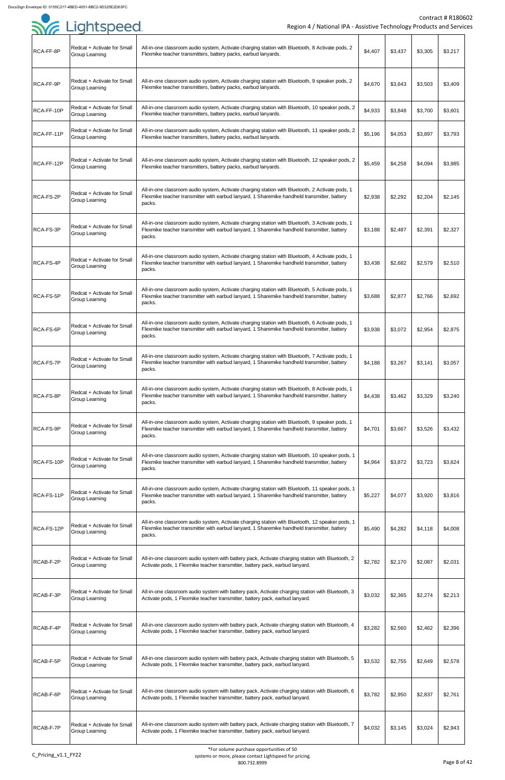| .<br>RCA-FF-8P   | Redcat + Activate for Small<br><b>Group Learning</b> | All-in-one classroom audio system, Activate charging station with Bluetooth, 8 Activate pods, 2<br>Flexmike teacher transmitters, battery packs, earbud lanyards.                                        | \$4,407 | \$3,437 | \$3,305 | \$3,217 |
|------------------|------------------------------------------------------|----------------------------------------------------------------------------------------------------------------------------------------------------------------------------------------------------------|---------|---------|---------|---------|
| RCA-FF-9P        | Redcat + Activate for Small<br><b>Group Learning</b> | All-in-one classroom audio system, Activate charging station with Bluetooth, 9 speaker pods, 2<br>Flexmike teacher transmitters, battery packs, earbud lanyards.                                         | \$4,670 | \$3,643 | \$3,503 | \$3,409 |
| RCA-FF-10P       | Redcat + Activate for Small<br>Group Learning        | All-in-one classroom audio system, Activate charging station with Bluetooth, 10 speaker pods, 2<br>Flexmike teacher transmitters, battery packs, earbud lanyards.                                        | \$4,933 | \$3,848 | \$3,700 | \$3,601 |
| RCA-FF-11P       | Redcat + Activate for Small<br><b>Group Learning</b> | All-in-one classroom audio system, Activate charging station with Bluetooth, 11 speaker pods, 2<br>Flexmike teacher transmitters, battery packs, earbud lanyards.                                        | \$5,196 | \$4,053 | \$3,897 | \$3,793 |
| RCA-FF-12P       | Redcat + Activate for Small<br><b>Group Learning</b> | All-in-one classroom audio system, Activate charging station with Bluetooth, 12 speaker pods, 2<br>Flexmike teacher transmitters, battery packs, earbud lanyards.                                        | \$5,459 | \$4,258 | \$4,094 | \$3,985 |
| RCA-FS-2P        | Redcat + Activate for Small<br><b>Group Learning</b> | All-in-one classroom audio system, Activate charging station with Bluetooth, 2 Activate pods, 1<br>Flexmike teacher transmitter with earbud lanyard, 1 Sharemike handheld transmitter, battery<br>packs. | \$2,938 | \$2,292 | \$2,204 | \$2,145 |
| RCA-FS-3P        | Redcat + Activate for Small<br><b>Group Learning</b> | All-in-one classroom audio system, Activate charging station with Bluetooth, 3 Activate pods, 1<br>Flexmike teacher transmitter with earbud lanyard, 1 Sharemike handheld transmitter, battery<br>packs. | \$3,188 | \$2,487 | \$2,391 | \$2,327 |
| RCA-FS-4P        | Redcat + Activate for Small<br>Group Learning        | All-in-one classroom audio system, Activate charging station with Bluetooth, 4 Activate pods, 1<br>Flexmike teacher transmitter with earbud lanyard, 1 Sharemike handheld transmitter, battery<br>packs. | \$3,438 | \$2,682 | \$2,579 | \$2,510 |
| RCA-FS-5P        | Redcat + Activate for Small<br><b>Group Learning</b> | All-in-one classroom audio system, Activate charging station with Bluetooth, 5 Activate pods, 1<br>Flexmike teacher transmitter with earbud lanyard, 1 Sharemike handheld transmitter, battery<br>packs. | \$3,688 | \$2,877 | \$2,766 | \$2,692 |
| RCA-FS-6P        | Redcat + Activate for Small<br><b>Group Learning</b> | All-in-one classroom audio system, Activate charging station with Bluetooth, 6 Activate pods, 1<br>Flexmike teacher transmitter with earbud lanyard, 1 Sharemike handheld transmitter, battery<br>packs. | \$3,938 | \$3,072 | \$2,954 | \$2,875 |
| <b>RCA-FS-7P</b> | Redcat + Activate for Small<br>Group Learning        | All-in-one classroom audio system, Activate charging station with Bluetooth, 7 Activate pods, 1<br>Flexmike teacher transmitter with earbud lanyard, 1 Sharemike handheld transmitter, battery<br>packs. | \$4,188 | \$3,267 | \$3,141 | \$3,057 |
| RCA-FS-8P        | Redcat + Activate for Small<br><b>Group Learning</b> | All-in-one classroom audio system, Activate charging station with Bluetooth, 8 Activate pods, 1<br>Flexmike teacher transmitter with earbud lanyard, 1 Sharemike handheld transmitter, battery<br>packs. | \$4,438 | \$3,462 | \$3,329 | \$3,240 |
| RCA-FS-9P        | Redcat + Activate for Small<br>Group Learning        | All-in-one classroom audio system, Activate charging station with Bluetooth, 9 speaker pods, 1<br>Flexmike teacher transmitter with earbud lanyard, 1 Sharemike handheld transmitter, battery<br>packs.  | \$4,701 | \$3,667 | \$3,526 | \$3,432 |
| RCA-FS-10P       | Redcat + Activate for Small<br><b>Group Learning</b> | All-in-one classroom audio system, Activate charging station with Bluetooth, 10 speaker pods, 1<br>Flexmike teacher transmitter with earbud lanyard, 1 Sharemike handheld transmitter, battery<br>packs. | \$4,964 | \$3,872 | \$3,723 | \$3,624 |
| RCA-FS-11P       | Redcat + Activate for Small<br>Group Learning        | All-in-one classroom audio system, Activate charging station with Bluetooth, 11 speaker pods, 1<br>Flexmike teacher transmitter with earbud lanyard, 1 Sharemike handheld transmitter, battery<br>packs. | \$5,227 | \$4,077 | \$3,920 | \$3,816 |
| RCA-FS-12P       | Redcat + Activate for Small<br>Group Learning        | All-in-one classroom audio system, Activate charging station with Bluetooth, 12 speaker pods, 1<br>Flexmike teacher transmitter with earbud lanyard, 1 Sharemike handheld transmitter, battery<br>packs. | \$5,490 | \$4,282 | \$4,118 | \$4,008 |
| RCAB-F-2P        | Redcat + Activate for Small<br><b>Group Learning</b> | All-in-one classroom audio system with battery pack, Activate charging station with Bluetooth, 2<br>Activate pods, 1 Flexmike teacher transmitter, battery pack, earbud lanyard.                         | \$2,782 | \$2,170 | \$2,087 | \$2,031 |
| RCAB-F-3P        | Redcat + Activate for Small<br>Group Learning        | All-in-one classroom audio system with battery pack, Activate charging station with Bluetooth, 3<br>Activate pods, 1 Flexmike teacher transmitter, battery pack, earbud lanyard.                         | \$3,032 | \$2,365 | \$2,274 | \$2,213 |
| RCAB-F-4P        | Redcat + Activate for Small<br><b>Group Learning</b> | All-in-one classroom audio system with battery pack, Activate charging station with Bluetooth, 4<br>Activate pods, 1 Flexmike teacher transmitter, battery pack, earbud lanyard.                         | \$3,282 | \$2,560 | \$2,462 | \$2,396 |
| RCAB-F-5P        | Redcat + Activate for Small<br>Group Learning        | All-in-one classroom audio system with battery pack, Activate charging station with Bluetooth, 5<br>Activate pods, 1 Flexmike teacher transmitter, battery pack, earbud lanyard.                         | \$3,532 | \$2,755 | \$2,649 | \$2,578 |
| RCAB-F-6P        | Redcat + Activate for Small<br><b>Group Learning</b> | All-in-one classroom audio system with battery pack, Activate charging station with Bluetooth, 6<br>Activate pods, 1 Flexmike teacher transmitter, battery pack, earbud lanyard.                         | \$3,782 | \$2,950 | \$2,837 | \$2,761 |
| <b>RCAB-F-7P</b> | Redcat + Activate for Small<br><b>Group Learning</b> | All-in-one classroom audio system with battery pack, Activate charging station with Bluetooth, 7<br>Activate pods, 1 Flexmike teacher transmitter, battery pack, earbud lanyard.                         | \$4,032 | \$3,145 | \$3,024 | \$2,943 |

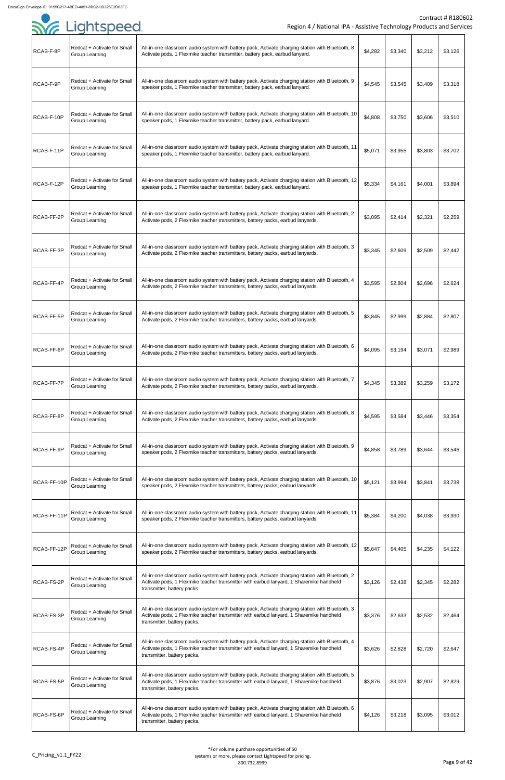| .<br>RCAB-F-8P    | Redcat + Activate for Small<br><b>Group Learning</b>        | All-in-one classroom audio system with battery pack, Activate charging station with Bluetooth, 8<br>Activate pods, 1 Flexmike teacher transmitter, battery pack, earbud lanyard.                                           | \$4,282 | \$3,340 | \$3,212 | \$3,126 |
|-------------------|-------------------------------------------------------------|----------------------------------------------------------------------------------------------------------------------------------------------------------------------------------------------------------------------------|---------|---------|---------|---------|
| RCAB-F-9P         | Redcat + Activate for Small<br><b>Group Learning</b>        | All-in-one classroom audio system with battery pack, Activate charging station with Bluetooth, 9<br>speaker pods, 1 Flexmike teacher transmitter, battery pack, earbud lanyard.                                            | \$4,545 | \$3,545 | \$3,409 | \$3,318 |
| RCAB-F-10P        | <b>Redcat + Activate for Small</b><br><b>Group Learning</b> | All-in-one classroom audio system with battery pack, Activate charging station with Bluetooth, 10<br>speaker pods, 1 Flexmike teacher transmitter, battery pack, earbud lanyard.                                           | \$4,808 | \$3,750 | \$3,606 | \$3,510 |
| RCAB-F-11P        | Redcat + Activate for Small<br><b>Group Learning</b>        | All-in-one classroom audio system with battery pack, Activate charging station with Bluetooth, 11<br>speaker pods, 1 Flexmike teacher transmitter, battery pack, earbud lanyard.                                           | \$5,071 | \$3,955 | \$3,803 | \$3,702 |
| RCAB-F-12P        | Redcat + Activate for Small<br><b>Group Learning</b>        | All-in-one classroom audio system with battery pack, Activate charging station with Bluetooth, 12<br>speaker pods, 1 Flexmike teacher transmitter, battery pack, earbud lanyard.                                           | \$5,334 | \$4,161 | \$4,001 | \$3,894 |
| RCAB-FF-2P        | Redcat + Activate for Small<br><b>Group Learning</b>        | All-in-one classroom audio system with battery pack, Activate charging station with Bluetooth, 2<br>Activate pods, 2 Flexmike teacher transmitters, battery packs, earbud lanyards.                                        | \$3,095 | \$2,414 | \$2,321 | \$2,259 |
| RCAB-FF-3P        | Redcat + Activate for Small<br><b>Group Learning</b>        | All-in-one classroom audio system with battery pack, Activate charging station with Bluetooth, 3<br>Activate pods, 2 Flexmike teacher transmitters, battery packs, earbud lanyards.                                        | \$3,345 | \$2,609 | \$2,509 | \$2,442 |
| RCAB-FF-4P        | Redcat + Activate for Small<br><b>Group Learning</b>        | All-in-one classroom audio system with battery pack, Activate charging station with Bluetooth, 4<br>Activate pods, 2 Flexmike teacher transmitters, battery packs, earbud lanyards.                                        | \$3,595 | \$2,804 | \$2,696 | \$2,624 |
| RCAB-FF-5P        | Redcat + Activate for Small<br><b>Group Learning</b>        | All-in-one classroom audio system with battery pack, Activate charging station with Bluetooth, 5<br>Activate pods, 2 Flexmike teacher transmitters, battery packs, earbud lanyards.                                        | \$3,845 | \$2,999 | \$2,884 | \$2,807 |
| RCAB-FF-6P        | Redcat + Activate for Small<br><b>Group Learning</b>        | All-in-one classroom audio system with battery pack, Activate charging station with Bluetooth, 6<br>Activate pods, 2 Flexmike teacher transmitters, battery packs, earbud lanyards.                                        | \$4,095 | \$3,194 | \$3,071 | \$2,989 |
| <b>RCAB-FF-7P</b> | Redcat + Activate for Small<br><b>Group Learning</b>        | All-in-one classroom audio system with battery pack, Activate charging station with Bluetooth, 7<br>Activate pods, 2 Flexmike teacher transmitters, battery packs, earbud lanyards.                                        | \$4,345 | \$3,389 | \$3,259 | \$3,172 |
| RCAB-FF-8P        | Redcat + Activate for Small<br><b>Group Learning</b>        | All-in-one classroom audio system with battery pack, Activate charging station with Bluetooth, 8<br>Activate pods, 2 Flexmike teacher transmitters, battery packs, earbud lanyards.                                        | \$4,595 | \$3,584 | \$3,446 | \$3,354 |
| RCAB-FF-9P        | Redcat + Activate for Small<br>Group Learning               | All-in-one classroom audio system with battery pack, Activate charging station with Bluetooth, 9<br>speaker pods, 2 Flexmike teacher transmitters, battery packs, earbud lanyards.                                         | \$4,858 | \$3,789 | \$3,644 | \$3,546 |
| RCAB-FF-10P       | Redcat + Activate for Small<br><b>Group Learning</b>        | All-in-one classroom audio system with battery pack, Activate charging station with Bluetooth, 10<br>speaker pods, 2 Flexmike teacher transmitters, battery packs, earbud lanyards.                                        | \$5,121 | \$3,994 | \$3,841 | \$3,738 |
| RCAB-FF-11P       | Redcat + Activate for Small<br><b>Group Learning</b>        | All-in-one classroom audio system with battery pack, Activate charging station with Bluetooth, 11<br>speaker pods, 2 Flexmike teacher transmitters, battery packs, earbud lanyards.                                        | \$5,384 | \$4,200 | \$4,038 | \$3,930 |
| RCAB-FF-12P       | <b>Redcat + Activate for Small</b><br><b>Group Learning</b> | All-in-one classroom audio system with battery pack, Activate charging station with Bluetooth, 12<br>speaker pods, 2 Flexmike teacher transmitters, battery packs, earbud lanyards.                                        | \$5,647 | \$4,405 | \$4,235 | \$4,122 |
| RCAB-FS-2P        | Redcat + Activate for Small<br><b>Group Learning</b>        | All-in-one classroom audio system with battery pack, Activate charging station with Bluetooth, 2<br>Activate pods, 1 Flexmike teacher transmitter with earbud lanyard, 1 Sharemike handheld<br>transmitter, battery packs. | \$3,126 | \$2,438 | \$2,345 | \$2,282 |
| RCAB-FS-3P        | Redcat + Activate for Small<br><b>Group Learning</b>        | All-in-one classroom audio system with battery pack, Activate charging station with Bluetooth, 3<br>Activate pods, 1 Flexmike teacher transmitter with earbud lanyard, 1 Sharemike handheld<br>transmitter, battery packs. | \$3,376 | \$2,633 | \$2,532 | \$2,464 |
| RCAB-FS-4P        | Redcat + Activate for Small<br><b>Group Learning</b>        | All-in-one classroom audio system with battery pack, Activate charging station with Bluetooth, 4<br>Activate pods, 1 Flexmike teacher transmitter with earbud lanyard, 1 Sharemike handheld<br>transmitter, battery packs. | \$3,626 | \$2,828 | \$2,720 | \$2,647 |
| RCAB-FS-5P        | Redcat + Activate for Small<br><b>Group Learning</b>        | All-in-one classroom audio system with battery pack, Activate charging station with Bluetooth, 5<br>Activate pods, 1 Flexmike teacher transmitter with earbud lanyard, 1 Sharemike handheld<br>transmitter, battery packs. | \$3,876 | \$3,023 | \$2,907 | \$2,829 |
| RCAB-FS-6P        | Redcat + Activate for Small<br><b>Group Learning</b>        | All-in-one classroom audio system with battery pack, Activate charging station with Bluetooth, 6<br>Activate pods, 1 Flexmike teacher transmitter with earbud lanyard, 1 Sharemike handheld<br>transmitter, battery packs. | \$4,126 | \$3,218 | \$3,095 | \$3,012 |

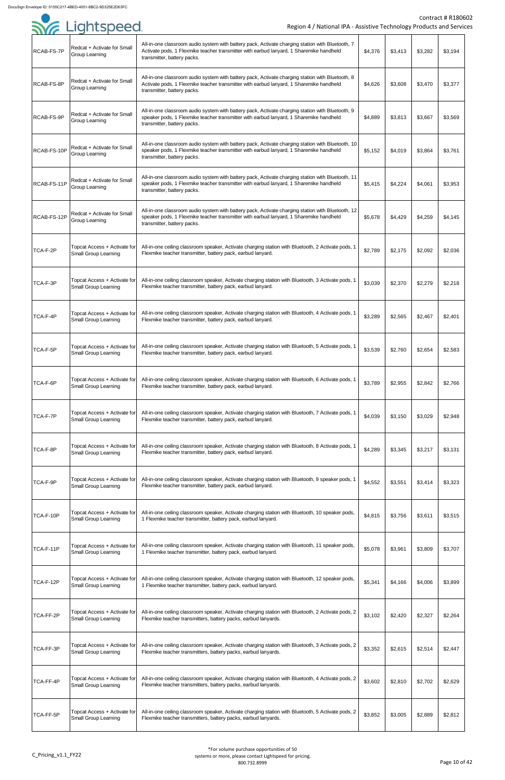| . <i>.</i><br>RCAB-FS-7P | Redcat + Activate for Small<br>Group Learning               | All-in-one classroom audio system with battery pack, Activate charging station with Bluetooth, 7<br>Activate pods, 1 Flexmike teacher transmitter with earbud lanyard, 1 Sharemike handheld<br>transmitter, battery packs. | \$4,376 | \$3,413 | \$3,282 | \$3,194 |
|--------------------------|-------------------------------------------------------------|----------------------------------------------------------------------------------------------------------------------------------------------------------------------------------------------------------------------------|---------|---------|---------|---------|
| RCAB-FS-8P               | Redcat + Activate for Small<br><b>Group Learning</b>        | All-in-one classroom audio system with battery pack, Activate charging station with Bluetooth, 8<br>Activate pods, 1 Flexmike teacher transmitter with earbud lanyard, 1 Sharemike handheld<br>transmitter, battery packs. | \$4,626 | \$3,608 | \$3,470 | \$3,377 |
| RCAB-FS-9P               | Redcat + Activate for Small<br>Group Learning               | All-in-one classroom audio system with battery pack, Activate charging station with Bluetooth, 9<br>speaker pods, 1 Flexmike teacher transmitter with earbud lanyard, 1 Sharemike handheld<br>transmitter, battery packs.  | \$4,889 | \$3,813 | \$3,667 | \$3,569 |
| RCAB-FS-10P              | Redcat + Activate for Small<br><b>Group Learning</b>        | All-in-one classroom audio system with battery pack, Activate charging station with Bluetooth, 10<br>speaker pods, 1 Flexmike teacher transmitter with earbud lanyard, 1 Sharemike handheld<br>transmitter, battery packs. | \$5,152 | \$4,019 | \$3,864 | \$3,761 |
| RCAB-FS-11P              | Redcat + Activate for Small<br><b>Group Learning</b>        | All-in-one classroom audio system with battery pack, Activate charging station with Bluetooth, 11<br>speaker pods, 1 Flexmike teacher transmitter with earbud lanyard, 1 Sharemike handheld<br>transmitter, battery packs. | \$5,415 | \$4,224 | \$4,061 | \$3,953 |
| RCAB-FS-12P              | Redcat + Activate for Small<br><b>Group Learning</b>        | All-in-one classroom audio system with battery pack, Activate charging station with Bluetooth, 12<br>speaker pods, 1 Flexmike teacher transmitter with earbud lanyard, 1 Sharemike handheld<br>transmitter, battery packs. | \$5,678 | \$4,429 | \$4,259 | \$4,145 |
| TCA-F-2P                 | <b>Small Group Learning</b>                                 | Topcat Access + Activate for   All-in-one ceiling classroom speaker, Activate charging station with Bluetooth, 2 Activate pods, 1<br>Flexmike teacher transmitter, battery pack, earbud lanyard.                           | \$2,789 | \$2,175 | \$2,092 | \$2,036 |
| TCA-F-3P                 | Topcat Access + Activate for<br><b>Small Group Learning</b> | All-in-one ceiling classroom speaker, Activate charging station with Bluetooth, 3 Activate pods, 1<br>Flexmike teacher transmitter, battery pack, earbud lanyard.                                                          | \$3,039 | \$2,370 | \$2,279 | \$2,218 |
| TCA-F-4P                 | Topcat Access + Activate for<br><b>Small Group Learning</b> | All-in-one ceiling classroom speaker, Activate charging station with Bluetooth, 4 Activate pods, 1<br>Flexmike teacher transmitter, battery pack, earbud lanyard.                                                          | \$3,289 | \$2,565 | \$2,467 | \$2,401 |
| TCA-F-5P                 | Topcat Access + Activate for<br><b>Small Group Learning</b> | All-in-one ceiling classroom speaker, Activate charging station with Bluetooth, 5 Activate pods, 1<br>Flexmike teacher transmitter, battery pack, earbud lanyard.                                                          | \$3,539 | \$2,760 | \$2,654 | \$2,583 |
| TCA-F-6P                 | Topcat Access + Activate for<br><b>Small Group Learning</b> | All-in-one ceiling classroom speaker, Activate charging station with Bluetooth, 6 Activate pods, 1<br>Flexmike teacher transmitter, battery pack, earbud lanyard.                                                          | \$3,789 | \$2,955 | \$2,842 | \$2,766 |
| TCA-F-7P                 | Topcat Access + Activate for<br><b>Small Group Learning</b> | All-in-one ceiling classroom speaker, Activate charging station with Bluetooth, 7 Activate pods, 1<br>Flexmike teacher transmitter, battery pack, earbud lanyard.                                                          | \$4,039 | \$3,150 | \$3,029 | \$2,948 |
| TCA-F-8P                 | Topcat Access + Activate for<br><b>Small Group Learning</b> | All-in-one ceiling classroom speaker, Activate charging station with Bluetooth, 8 Activate pods, 1<br>Flexmike teacher transmitter, battery pack, earbud lanyard.                                                          | \$4,289 | \$3,345 | \$3,217 | \$3,131 |
| TCA-F-9P                 | Topcat Access + Activate for<br><b>Small Group Learning</b> | All-in-one ceiling classroom speaker, Activate charging station with Bluetooth, 9 speaker pods, 1<br>Flexmike teacher transmitter, battery pack, earbud lanyard.                                                           | \$4,552 | \$3,551 | \$3,414 | \$3,323 |
| TCA-F-10P                | Topcat Access + Activate for<br><b>Small Group Learning</b> | All-in-one ceiling classroom speaker, Activate charging station with Bluetooth, 10 speaker pods,<br>1 Flexmike teacher transmitter, battery pack, earbud lanyard.                                                          | \$4,815 | \$3,756 | \$3,611 | \$3,515 |
| TCA-F-11P                | Topcat Access + Activate for<br><b>Small Group Learning</b> | All-in-one ceiling classroom speaker, Activate charging station with Bluetooth, 11 speaker pods,<br>1 Flexmike teacher transmitter, battery pack, earbud lanyard.                                                          | \$5,078 | \$3,961 | \$3,809 | \$3,707 |
| TCA-F-12P                | Topcat Access + Activate for<br><b>Small Group Learning</b> | All-in-one ceiling classroom speaker, Activate charging station with Bluetooth, 12 speaker pods,<br>1 Flexmike teacher transmitter, battery pack, earbud lanyard.                                                          | \$5,341 | \$4,166 | \$4,006 | \$3,899 |
| TCA-FF-2P                | Topcat Access + Activate for<br><b>Small Group Learning</b> | All-in-one ceiling classroom speaker, Activate charging station with Bluetooth, 2 Activate pods, 2<br>Flexmike teacher transmitters, battery packs, earbud lanyards.                                                       | \$3,102 | \$2,420 | \$2,327 | \$2,264 |
| TCA-FF-3P                | Topcat Access + Activate for<br><b>Small Group Learning</b> | All-in-one ceiling classroom speaker, Activate charging station with Bluetooth, 3 Activate pods, 2<br>Flexmike teacher transmitters, battery packs, earbud lanyards.                                                       | \$3,352 | \$2,615 | \$2,514 | \$2,447 |
| TCA-FF-4P                | Topcat Access + Activate for<br><b>Small Group Learning</b> | All-in-one ceiling classroom speaker, Activate charging station with Bluetooth, 4 Activate pods, 2<br>Flexmike teacher transmitters, battery packs, earbud lanyards.                                                       | \$3,602 | \$2,810 | \$2,702 | \$2,629 |
| TCA-FF-5P                | Topcat Access + Activate for<br><b>Small Group Learning</b> | All-in-one ceiling classroom speaker, Activate charging station with Bluetooth, 5 Activate pods, 2<br>Flexmike teacher transmitters, battery packs, earbud lanyards.                                                       | \$3,852 | \$3,005 | \$2,889 | \$2,812 |

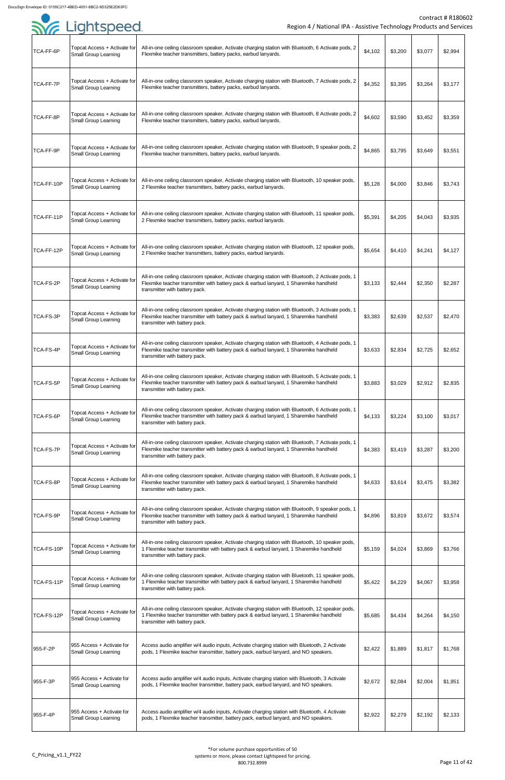

|                  | <b>SYG</b> Lightspeed                                       | Region 4 / National IPA - Assistive Technology Products and Servic                                                                                                                                                            |         |         |         | Contract # R1806 |
|------------------|-------------------------------------------------------------|-------------------------------------------------------------------------------------------------------------------------------------------------------------------------------------------------------------------------------|---------|---------|---------|------------------|
|                  |                                                             |                                                                                                                                                                                                                               |         |         |         |                  |
| TCA-FF-6P        | Topcat Access + Activate for<br><b>Small Group Learning</b> | All-in-one ceiling classroom speaker, Activate charging station with Bluetooth, 6 Activate pods, 2<br>Flexmike teacher transmitters, battery packs, earbud lanyards.                                                          | \$4,102 | \$3,200 | \$3,077 | \$2,994          |
| TCA-FF-7P        | Topcat Access + Activate for<br><b>Small Group Learning</b> | All-in-one ceiling classroom speaker, Activate charging station with Bluetooth, 7 Activate pods, 2<br>Flexmike teacher transmitters, battery packs, earbud lanyards.                                                          | \$4,352 | \$3,395 | \$3,264 | \$3,177          |
| TCA-FF-8P        | Topcat Access + Activate for<br><b>Small Group Learning</b> | All-in-one ceiling classroom speaker, Activate charging station with Bluetooth, 8 Activate pods, 2<br>Flexmike teacher transmitters, battery packs, earbud lanyards.                                                          | \$4,602 | \$3,590 | \$3,452 | \$3,359          |
| TCA-FF-9P        | Topcat Access + Activate for<br><b>Small Group Learning</b> | All-in-one ceiling classroom speaker, Activate charging station with Bluetooth, 9 speaker pods, 2<br>Flexmike teacher transmitters, battery packs, earbud lanyards.                                                           | \$4,865 | \$3,795 | \$3,649 | \$3,551          |
| TCA-FF-10P       | Topcat Access + Activate for<br><b>Small Group Learning</b> | All-in-one ceiling classroom speaker, Activate charging station with Bluetooth, 10 speaker pods,<br>2 Flexmike teacher transmitters, battery packs, earbud lanyards.                                                          | \$5,128 | \$4,000 | \$3,846 | \$3,743          |
| TCA-FF-11P       | Topcat Access + Activate for<br><b>Small Group Learning</b> | All-in-one ceiling classroom speaker, Activate charging station with Bluetooth, 11 speaker pods,<br>2 Flexmike teacher transmitters, battery packs, earbud lanyards.                                                          | \$5,391 | \$4,205 | \$4,043 | \$3,935          |
| TCA-FF-12P       | Topcat Access + Activate for<br><b>Small Group Learning</b> | All-in-one ceiling classroom speaker, Activate charging station with Bluetooth, 12 speaker pods,<br>2 Flexmike teacher transmitters, battery packs, earbud lanyards.                                                          | \$5,654 | \$4,410 | \$4,241 | \$4,127          |
| TCA-FS-2P        | Topcat Access + Activate for<br><b>Small Group Learning</b> | All-in-one ceiling classroom speaker, Activate charging station with Bluetooth, 2 Activate pods, 1<br>Flexmike teacher transmitter with battery pack & earbud lanyard, 1 Sharemike handheld<br>transmitter with battery pack. | \$3,133 | \$2,444 | \$2,350 | \$2,287          |
| TCA-FS-3P        | Topcat Access + Activate for<br><b>Small Group Learning</b> | All-in-one ceiling classroom speaker, Activate charging station with Bluetooth, 3 Activate pods, 1<br>Flexmike teacher transmitter with battery pack & earbud lanyard, 1 Sharemike handheld<br>transmitter with battery pack. | \$3,383 | \$2,639 | \$2,537 | \$2,470          |
| TCA-FS-4P        | Topcat Access + Activate for<br><b>Small Group Learning</b> | All-in-one ceiling classroom speaker, Activate charging station with Bluetooth, 4 Activate pods, 1<br>Flexmike teacher transmitter with battery pack & earbud lanyard, 1 Sharemike handheld<br>transmitter with battery pack. | \$3,633 | \$2,834 | \$2,725 | \$2,652          |
| <b>TCA-FS-5P</b> | Topcat Access + Activate for<br><b>Small Group Learning</b> | All-in-one ceiling classroom speaker, Activate charging station with Bluetooth, 5 Activate pods, 1<br>Flexmike teacher transmitter with battery pack & earbud lanyard, 1 Sharemike handheld<br>transmitter with battery pack. | \$3,883 | \$3,029 | \$2,912 | \$2,835          |
| TCA-FS-6P        | Topcat Access + Activate for<br><b>Small Group Learning</b> | All-in-one ceiling classroom speaker, Activate charging station with Bluetooth, 6 Activate pods, 1<br>Flexmike teacher transmitter with battery pack & earbud lanyard, 1 Sharemike handheld<br>transmitter with battery pack. | \$4,133 | \$3,224 | \$3,100 | \$3,017          |
| <b>TCA-FS-7P</b> | Topcat Access + Activate for<br><b>Small Group Learning</b> | All-in-one ceiling classroom speaker, Activate charging station with Bluetooth, 7 Activate pods, 1<br>Flexmike teacher transmitter with battery pack & earbud lanyard, 1 Sharemike handheld<br>transmitter with battery pack. | \$4,383 | \$3,419 | \$3,287 | \$3,200          |
| TCA-FS-8P        | Topcat Access + Activate for<br><b>Small Group Learning</b> | All-in-one ceiling classroom speaker, Activate charging station with Bluetooth, 8 Activate pods, 1<br>Flexmike teacher transmitter with battery pack & earbud lanyard, 1 Sharemike handheld<br>transmitter with battery pack. | \$4,633 | \$3,614 | \$3,475 | \$3,382          |
| TCA-FS-9P        | Topcat Access + Activate for<br><b>Small Group Learning</b> | All-in-one ceiling classroom speaker, Activate charging station with Bluetooth, 9 speaker pods, 1<br>Flexmike teacher transmitter with battery pack & earbud lanyard, 1 Sharemike handheld<br>transmitter with battery pack.  | \$4,896 | \$3,819 | \$3,672 | \$3,574          |
| TCA-FS-10P       | Topcat Access + Activate for<br><b>Small Group Learning</b> | All-in-one ceiling classroom speaker, Activate charging station with Bluetooth, 10 speaker pods,<br>1 Flexmike teacher transmitter with battery pack & earbud lanyard, 1 Sharemike handheld<br>transmitter with battery pack. | \$5,159 | \$4,024 | \$3,869 | \$3,766          |
| TCA-FS-11P       | Topcat Access + Activate for<br><b>Small Group Learning</b> | All-in-one ceiling classroom speaker, Activate charging station with Bluetooth, 11 speaker pods,<br>1 Flexmike teacher transmitter with battery pack & earbud lanyard, 1 Sharemike handheld<br>transmitter with battery pack. | \$5,422 | \$4,229 | \$4,067 | \$3,958          |
| TCA-FS-12P       | Topcat Access + Activate for<br><b>Small Group Learning</b> | All-in-one ceiling classroom speaker, Activate charging station with Bluetooth, 12 speaker pods,<br>1 Flexmike teacher transmitter with battery pack & earbud lanyard, 1 Sharemike handheld<br>transmitter with battery pack. | \$5,685 | \$4,434 | \$4,264 | \$4,150          |
| 955-F-2P         | 955 Access + Activate for<br><b>Small Group Learning</b>    | Access audio amplifier w/4 audio inputs, Activate charging station with Bluetooth, 2 Activate<br>pods, 1 Flexmike teacher transmitter, battery pack, earbud lanyard, and NO speakers.                                         | \$2,422 | \$1,889 | \$1,817 | \$1,768          |
| 955-F-3P         | 955 Access + Activate for<br><b>Small Group Learning</b>    | Access audio amplifier w/4 audio inputs, Activate charging station with Bluetooth, 3 Activate<br>pods, 1 Flexmike teacher transmitter, battery pack, earbud lanyard, and NO speakers.                                         | \$2,672 | \$2,084 | \$2,004 | \$1,951          |
| 955-F-4P         | 1955 Access + Activate for<br><b>Small Group Learning</b>   | Access audio amplifier w/4 audio inputs, Activate charging station with Bluetooth, 4 Activate<br>pods, 1 Flexmike teacher transmitter, battery pack, earbud lanyard, and NO speakers.                                         | \$2,922 | \$2,279 | \$2,192 | \$2,133          |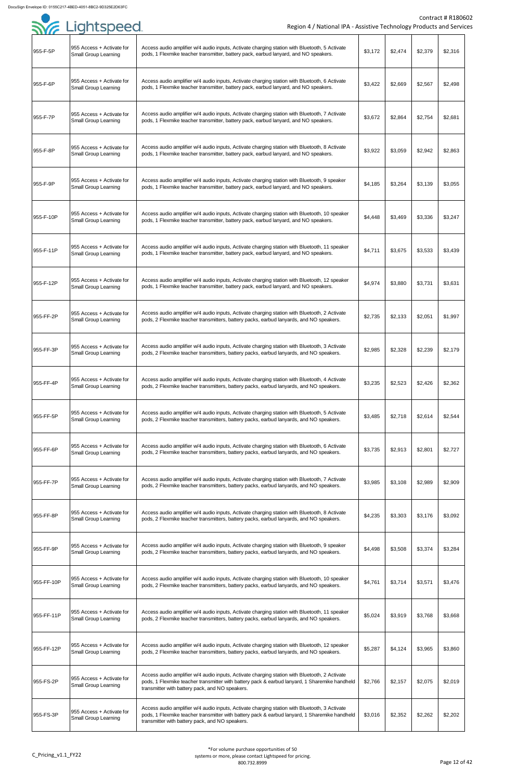| . <i>.</i> . |                                                          |                                                                                                                                                                                                                                                   |         |         |         |         |
|--------------|----------------------------------------------------------|---------------------------------------------------------------------------------------------------------------------------------------------------------------------------------------------------------------------------------------------------|---------|---------|---------|---------|
| 955-F-5P     | 955 Access + Activate for<br><b>Small Group Learning</b> | Access audio amplifier w/4 audio inputs, Activate charging station with Bluetooth, 5 Activate<br>pods, 1 Flexmike teacher transmitter, battery pack, earbud lanyard, and NO speakers.                                                             | \$3,172 | \$2,474 | \$2,379 | \$2,316 |
| 955-F-6P     | 955 Access + Activate for<br><b>Small Group Learning</b> | Access audio amplifier w/4 audio inputs, Activate charging station with Bluetooth, 6 Activate<br>pods, 1 Flexmike teacher transmitter, battery pack, earbud lanyard, and NO speakers.                                                             | \$3,422 | \$2,669 | \$2,567 | \$2,498 |
| 955-F-7P     | 955 Access + Activate for<br><b>Small Group Learning</b> | Access audio amplifier w/4 audio inputs, Activate charging station with Bluetooth, 7 Activate<br>pods, 1 Flexmike teacher transmitter, battery pack, earbud lanyard, and NO speakers.                                                             | \$3,672 | \$2,864 | \$2,754 | \$2,681 |
| 955-F-8P     | 955 Access + Activate for<br><b>Small Group Learning</b> | Access audio amplifier w/4 audio inputs, Activate charging station with Bluetooth, 8 Activate<br>pods, 1 Flexmike teacher transmitter, battery pack, earbud lanyard, and NO speakers.                                                             | \$3,922 | \$3,059 | \$2,942 | \$2,863 |
| 955-F-9P     | 955 Access + Activate for<br><b>Small Group Learning</b> | Access audio amplifier w/4 audio inputs, Activate charging station with Bluetooth, 9 speaker<br>pods, 1 Flexmike teacher transmitter, battery pack, earbud lanyard, and NO speakers.                                                              | \$4,185 | \$3,264 | \$3,139 | \$3,055 |
| 955-F-10P    | 955 Access + Activate for<br><b>Small Group Learning</b> | Access audio amplifier w/4 audio inputs, Activate charging station with Bluetooth, 10 speaker<br>pods, 1 Flexmike teacher transmitter, battery pack, earbud lanyard, and NO speakers.                                                             | \$4,448 | \$3,469 | \$3,336 | \$3,247 |
| 955-F-11P    | 955 Access + Activate for<br><b>Small Group Learning</b> | Access audio amplifier w/4 audio inputs, Activate charging station with Bluetooth, 11 speaker<br>pods, 1 Flexmike teacher transmitter, battery pack, earbud lanyard, and NO speakers.                                                             | \$4,711 | \$3,675 | \$3,533 | \$3,439 |
| 955-F-12P    | 955 Access + Activate for<br><b>Small Group Learning</b> | Access audio amplifier w/4 audio inputs, Activate charging station with Bluetooth, 12 speaker<br>pods, 1 Flexmike teacher transmitter, battery pack, earbud lanyard, and NO speakers.                                                             | \$4,974 | \$3,880 | \$3,731 | \$3,631 |
| 955-FF-2P    | 955 Access + Activate for<br><b>Small Group Learning</b> | Access audio amplifier w/4 audio inputs, Activate charging station with Bluetooth, 2 Activate<br>pods, 2 Flexmike teacher transmitters, battery packs, earbud lanyards, and NO speakers.                                                          | \$2,735 | \$2,133 | \$2,051 | \$1,997 |
| 955-FF-3P    | 955 Access + Activate for<br><b>Small Group Learning</b> | Access audio amplifier w/4 audio inputs, Activate charging station with Bluetooth, 3 Activate<br>pods, 2 Flexmike teacher transmitters, battery packs, earbud lanyards, and NO speakers.                                                          | \$2,985 | \$2,328 | \$2,239 | \$2,179 |
| 955-FF-4P    | 955 Access + Activate for<br><b>Small Group Learning</b> | Access audio amplifier w/4 audio inputs, Activate charging station with Bluetooth, 4 Activate<br>pods, 2 Flexmike teacher transmitters, battery packs, earbud lanyards, and NO speakers.                                                          | \$3,235 | \$2,523 | \$2,426 | \$2,362 |
| 955-FF-5P    | 955 Access + Activate for<br><b>Small Group Learning</b> | Access audio amplifier w/4 audio inputs, Activate charging station with Bluetooth, 5 Activate<br>pods, 2 Flexmike teacher transmitters, battery packs, earbud lanyards, and NO speakers.                                                          | \$3,485 | \$2,718 | \$2,614 | \$2,544 |
| 955-FF-6P    | 955 Access + Activate for<br><b>Small Group Learning</b> | Access audio amplifier w/4 audio inputs, Activate charging station with Bluetooth, 6 Activate<br>pods, 2 Flexmike teacher transmitters, battery packs, earbud lanyards, and NO speakers.                                                          | \$3,735 | \$2,913 | \$2,801 | \$2,727 |
| 955-FF-7P    | 955 Access + Activate for<br><b>Small Group Learning</b> | Access audio amplifier w/4 audio inputs, Activate charging station with Bluetooth, 7 Activate<br>pods, 2 Flexmike teacher transmitters, battery packs, earbud lanyards, and NO speakers.                                                          | \$3,985 | \$3,108 | \$2,989 | \$2,909 |
| 955-FF-8P    | 955 Access + Activate for<br><b>Small Group Learning</b> | Access audio amplifier w/4 audio inputs, Activate charging station with Bluetooth, 8 Activate<br>pods, 2 Flexmike teacher transmitters, battery packs, earbud lanyards, and NO speakers.                                                          | \$4,235 | \$3,303 | \$3,176 | \$3,092 |
| 955-FF-9P    | 955 Access + Activate for<br><b>Small Group Learning</b> | Access audio amplifier w/4 audio inputs, Activate charging station with Bluetooth, 9 speaker<br>pods, 2 Flexmike teacher transmitters, battery packs, earbud lanyards, and NO speakers.                                                           | \$4,498 | \$3,508 | \$3,374 | \$3,284 |
| 955-FF-10P   | 955 Access + Activate for<br><b>Small Group Learning</b> | Access audio amplifier w/4 audio inputs, Activate charging station with Bluetooth, 10 speaker<br>pods, 2 Flexmike teacher transmitters, battery packs, earbud lanyards, and NO speakers.                                                          | \$4,761 | \$3,714 | \$3,571 | \$3,476 |
| 955-FF-11P   | 955 Access + Activate for<br><b>Small Group Learning</b> | Access audio amplifier w/4 audio inputs, Activate charging station with Bluetooth, 11 speaker<br>pods, 2 Flexmike teacher transmitters, battery packs, earbud lanyards, and NO speakers.                                                          | \$5,024 | \$3,919 | \$3,768 | \$3,668 |
| 955-FF-12P   | 955 Access + Activate for<br><b>Small Group Learning</b> | Access audio amplifier w/4 audio inputs, Activate charging station with Bluetooth, 12 speaker<br>pods, 2 Flexmike teacher transmitters, battery packs, earbud lanyards, and NO speakers.                                                          | \$5,287 | \$4,124 | \$3,965 | \$3,860 |
| 955-FS-2P    | 955 Access + Activate for<br><b>Small Group Learning</b> | Access audio amplifier w/4 audio inputs, Activate charging station with Bluetooth, 2 Activate<br>pods, 1 Flexmike teacher transmitter with battery pack & earbud lanyard, 1 Sharemike handheld<br>transmitter with battery pack, and NO speakers. | \$2,766 | \$2,157 | \$2,075 | \$2,019 |
| 955-FS-3P    | 955 Access + Activate for<br><b>Small Group Learning</b> | Access audio amplifier w/4 audio inputs, Activate charging station with Bluetooth, 3 Activate<br>pods, 1 Flexmike teacher transmitter with battery pack & earbud lanyard, 1 Sharemike handheld<br>transmitter with battery pack, and NO speakers. | \$3,016 | \$2,352 | \$2,262 | \$2,202 |

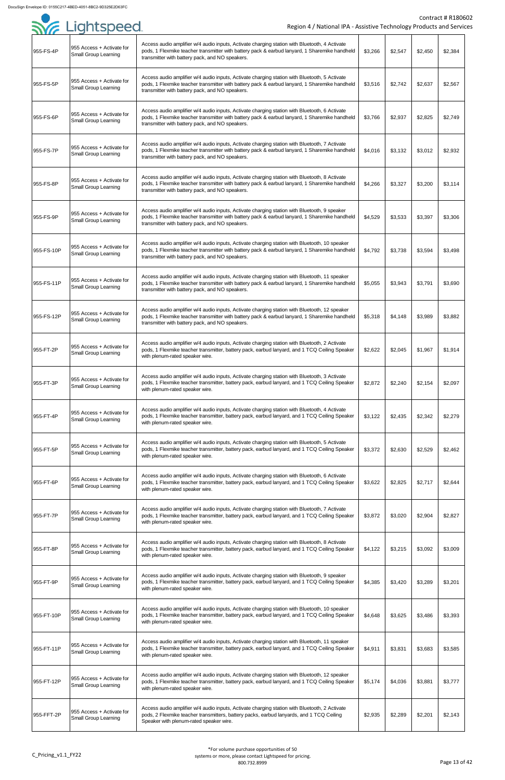|            | Syr Lightspeed                                            | Region 4 / National IPA - Assistive Technology Products and Service                                                                                                                                                                               |         |         |         | Contract # R18060 |
|------------|-----------------------------------------------------------|---------------------------------------------------------------------------------------------------------------------------------------------------------------------------------------------------------------------------------------------------|---------|---------|---------|-------------------|
| 955-FS-4P  | 1955 Access + Activate for<br><b>Small Group Learning</b> | Access audio amplifier w/4 audio inputs, Activate charging station with Bluetooth, 4 Activate<br>pods, 1 Flexmike teacher transmitter with battery pack & earbud lanyard, 1 Sharemike handheld<br>transmitter with battery pack, and NO speakers. | \$3,266 | \$2,547 | \$2,450 | \$2,384           |
| 955-FS-5P  | 1955 Access + Activate for<br><b>Small Group Learning</b> | Access audio amplifier w/4 audio inputs, Activate charging station with Bluetooth, 5 Activate<br>pods, 1 Flexmike teacher transmitter with battery pack & earbud lanyard, 1 Sharemike handheld<br>transmitter with battery pack, and NO speakers. | \$3,516 | \$2,742 | \$2,637 | \$2,567           |
| 955-FS-6P  | 955 Access + Activate for<br><b>Small Group Learning</b>  | Access audio amplifier w/4 audio inputs, Activate charging station with Bluetooth, 6 Activate<br>pods, 1 Flexmike teacher transmitter with battery pack & earbud lanyard, 1 Sharemike handheld<br>transmitter with battery pack, and NO speakers. | \$3,766 | \$2,937 | \$2,825 | \$2,749           |
| 955-FS-7P  | 955 Access + Activate for<br><b>Small Group Learning</b>  | Access audio amplifier w/4 audio inputs, Activate charging station with Bluetooth, 7 Activate<br>pods, 1 Flexmike teacher transmitter with battery pack & earbud lanyard, 1 Sharemike handheld<br>transmitter with battery pack, and NO speakers. | \$4,016 | \$3,132 | \$3,012 | \$2,932           |
| 955-FS-8P  | 955 Access + Activate for<br><b>Small Group Learning</b>  | Access audio amplifier w/4 audio inputs, Activate charging station with Bluetooth, 8 Activate<br>pods, 1 Flexmike teacher transmitter with battery pack & earbud lanyard, 1 Sharemike handheld<br>transmitter with battery pack, and NO speakers. | \$4,266 | \$3,327 | \$3,200 | \$3,114           |
| 955-FS-9P  | 955 Access + Activate for<br><b>Small Group Learning</b>  | Access audio amplifier w/4 audio inputs, Activate charging station with Bluetooth, 9 speaker<br>pods, 1 Flexmike teacher transmitter with battery pack & earbud lanyard, 1 Sharemike handheld<br>transmitter with battery pack, and NO speakers.  | \$4,529 | \$3,533 | \$3,397 | \$3,306           |
| 955-FS-10P | 955 Access + Activate for<br><b>Small Group Learning</b>  | Access audio amplifier w/4 audio inputs, Activate charging station with Bluetooth, 10 speaker<br>pods, 1 Flexmike teacher transmitter with battery pack & earbud lanyard, 1 Sharemike handheld<br>transmitter with battery pack, and NO speakers. | \$4,792 | \$3,738 | \$3,594 | \$3,498           |
| 955-FS-11P | 955 Access + Activate for<br><b>Small Group Learning</b>  | Access audio amplifier w/4 audio inputs, Activate charging station with Bluetooth, 11 speaker<br>pods, 1 Flexmike teacher transmitter with battery pack & earbud lanyard, 1 Sharemike handheld<br>transmitter with battery pack, and NO speakers. | \$5,055 | \$3,943 | \$3,791 | \$3,690           |
| 955-FS-12P | 955 Access + Activate for<br><b>Small Group Learning</b>  | Access audio amplifier w/4 audio inputs, Activate charging station with Bluetooth, 12 speaker<br>pods, 1 Flexmike teacher transmitter with battery pack & earbud lanyard, 1 Sharemike handheld<br>transmitter with battery pack, and NO speakers. | \$5,318 | \$4,148 | \$3,989 | \$3,882           |
| 955-FT-2P  | 955 Access + Activate for<br><b>Small Group Learning</b>  | Access audio amplifier w/4 audio inputs, Activate charging station with Bluetooth, 2 Activate<br>pods, 1 Flexmike teacher transmitter, battery pack, earbud lanyard, and 1 TCQ Ceiling Speaker<br>with plenum-rated speaker wire.                 | \$2,622 | \$2,045 | \$1,967 | \$1,914           |
| 955-FT-3P  | 955 Access + Activate for<br><b>Small Group Learning</b>  | Access audio amplifier w/4 audio inputs, Activate charging station with Bluetooth, 3 Activate<br>pods, 1 Flexmike teacher transmitter, battery pack, earbud lanyard, and 1 TCQ Ceiling Speaker<br>with plenum-rated speaker wire.                 | \$2,872 | \$2,240 | \$2,154 | \$2,097           |
| 955-FT-4P  | 955 Access + Activate for<br><b>Small Group Learning</b>  | Access audio amplifier w/4 audio inputs, Activate charging station with Bluetooth, 4 Activate<br>pods, 1 Flexmike teacher transmitter, battery pack, earbud lanyard, and 1 TCQ Ceiling Speaker<br>with plenum-rated speaker wire.                 | \$3,122 | \$2,435 | \$2,342 | \$2,279           |
| 955-FT-5P  | 955 Access + Activate for<br><b>Small Group Learning</b>  | Access audio amplifier w/4 audio inputs, Activate charging station with Bluetooth, 5 Activate<br>pods, 1 Flexmike teacher transmitter, battery pack, earbud lanyard, and 1 TCQ Ceiling Speaker<br>with plenum-rated speaker wire.                 | \$3,372 | \$2,630 | \$2,529 | \$2,462           |
| 955-FT-6P  | 955 Access + Activate for<br><b>Small Group Learning</b>  | Access audio amplifier w/4 audio inputs, Activate charging station with Bluetooth, 6 Activate<br>pods, 1 Flexmike teacher transmitter, battery pack, earbud lanyard, and 1 TCQ Ceiling Speaker<br>with plenum-rated speaker wire.                 | \$3,622 | \$2,825 | \$2,717 | \$2,644           |
| 955-FT-7P  | 955 Access + Activate for<br><b>Small Group Learning</b>  | Access audio amplifier w/4 audio inputs, Activate charging station with Bluetooth, 7 Activate<br>pods, 1 Flexmike teacher transmitter, battery pack, earbud lanyard, and 1 TCQ Ceiling Speaker<br>with plenum-rated speaker wire.                 | \$3,872 | \$3,020 | \$2,904 | \$2,827           |
| 955-FT-8P  | 955 Access + Activate for<br><b>Small Group Learning</b>  | Access audio amplifier w/4 audio inputs, Activate charging station with Bluetooth, 8 Activate<br>pods, 1 Flexmike teacher transmitter, battery pack, earbud lanyard, and 1 TCQ Ceiling Speaker<br>with plenum-rated speaker wire.                 | \$4,122 | \$3,215 | \$3,092 | \$3,009           |
| 955-FT-9P  | 955 Access + Activate for<br><b>Small Group Learning</b>  | Access audio amplifier w/4 audio inputs, Activate charging station with Bluetooth, 9 speaker<br>pods, 1 Flexmike teacher transmitter, battery pack, earbud lanyard, and 1 TCQ Ceiling Speaker<br>with plenum-rated speaker wire.                  | \$4,385 | \$3,420 | \$3,289 | \$3,201           |
| 955-FT-10P | 955 Access + Activate for<br><b>Small Group Learning</b>  | Access audio amplifier w/4 audio inputs, Activate charging station with Bluetooth, 10 speaker<br>pods, 1 Flexmike teacher transmitter, battery pack, earbud lanyard, and 1 TCQ Ceiling Speaker<br>with plenum-rated speaker wire.                 | \$4,648 | \$3,625 | \$3,486 | \$3,393           |
| 955-FT-11P | 955 Access + Activate for<br><b>Small Group Learning</b>  | Access audio amplifier w/4 audio inputs, Activate charging station with Bluetooth, 11 speaker<br>pods, 1 Flexmike teacher transmitter, battery pack, earbud lanyard, and 1 TCQ Ceiling Speaker<br>with plenum-rated speaker wire.                 | \$4,911 | \$3,831 | \$3,683 | \$3,585           |
| 955-FT-12P | 955 Access + Activate for<br><b>Small Group Learning</b>  | Access audio amplifier w/4 audio inputs, Activate charging station with Bluetooth, 12 speaker<br>pods, 1 Flexmike teacher transmitter, battery pack, earbud lanyard, and 1 TCQ Ceiling Speaker<br>with plenum-rated speaker wire.                 | \$5,174 | \$4,036 | \$3,881 | \$3,777           |
| 955-FFT-2P | 955 Access + Activate for<br><b>Small Group Learning</b>  | Access audio amplifier w/4 audio inputs, Activate charging station with Bluetooth, 2 Activate<br>pods, 2 Flexmike teacher transmitters, battery packs, earbud lanyards, and 1 TCQ Ceiling<br>Speaker with plenum-rated speaker wire.              | \$2,935 | \$2,289 | \$2,201 | \$2,143           |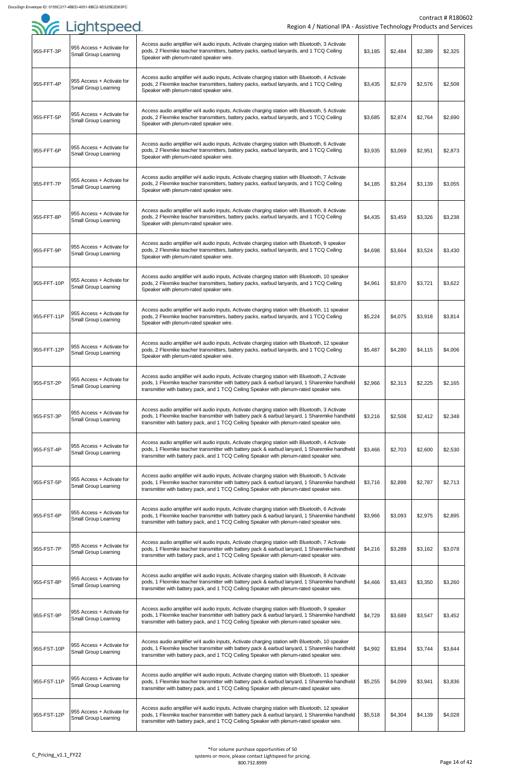

|             | Sie Lightspeed                                           | Region 4 / National IPA - Assistive Technology Products and Service                                                                                                                                                                                                                        |         |         |         | <b>Contract # R18060</b> |
|-------------|----------------------------------------------------------|--------------------------------------------------------------------------------------------------------------------------------------------------------------------------------------------------------------------------------------------------------------------------------------------|---------|---------|---------|--------------------------|
| 955-FFT-3P  | 955 Access + Activate for<br><b>Small Group Learning</b> | Access audio amplifier w/4 audio inputs, Activate charging station with Bluetooth, 3 Activate<br>pods, 2 Flexmike teacher transmitters, battery packs, earbud lanyards, and 1 TCQ Ceiling<br>Speaker with plenum-rated speaker wire.                                                       | \$3,185 | \$2,484 | \$2,389 | \$2,325                  |
| 955-FFT-4P  | 955 Access + Activate for<br><b>Small Group Learning</b> | Access audio amplifier w/4 audio inputs, Activate charging station with Bluetooth, 4 Activate<br>pods, 2 Flexmike teacher transmitters, battery packs, earbud lanyards, and 1 TCQ Ceiling<br>Speaker with plenum-rated speaker wire.                                                       | \$3,435 | \$2,679 | \$2,576 | \$2,508                  |
| 955-FFT-5P  | 955 Access + Activate for<br><b>Small Group Learning</b> | Access audio amplifier w/4 audio inputs, Activate charging station with Bluetooth, 5 Activate<br>pods, 2 Flexmike teacher transmitters, battery packs, earbud lanyards, and 1 TCQ Ceiling<br>Speaker with plenum-rated speaker wire.                                                       | \$3,685 | \$2,874 | \$2,764 | \$2,690                  |
| 955-FFT-6P  | 955 Access + Activate for<br><b>Small Group Learning</b> | Access audio amplifier w/4 audio inputs, Activate charging station with Bluetooth, 6 Activate<br>pods, 2 Flexmike teacher transmitters, battery packs, earbud lanyards, and 1 TCQ Ceiling<br>Speaker with plenum-rated speaker wire.                                                       | \$3,935 | \$3,069 | \$2,951 | \$2,873                  |
| 955-FFT-7P  | 955 Access + Activate for<br><b>Small Group Learning</b> | Access audio amplifier w/4 audio inputs, Activate charging station with Bluetooth, 7 Activate<br>pods, 2 Flexmike teacher transmitters, battery packs, earbud lanyards, and 1 TCQ Ceiling<br>Speaker with plenum-rated speaker wire.                                                       | \$4,185 | \$3,264 | \$3,139 | \$3,055                  |
| 955-FFT-8P  | 955 Access + Activate for<br><b>Small Group Learning</b> | Access audio amplifier w/4 audio inputs, Activate charging station with Bluetooth, 8 Activate<br>pods, 2 Flexmike teacher transmitters, battery packs, earbud lanyards, and 1 TCQ Ceiling<br>Speaker with plenum-rated speaker wire.                                                       | \$4,435 | \$3,459 | \$3,326 | \$3,238                  |
| 955-FFT-9P  | 955 Access + Activate for<br><b>Small Group Learning</b> | Access audio amplifier w/4 audio inputs, Activate charging station with Bluetooth, 9 speaker<br>pods, 2 Flexmike teacher transmitters, battery packs, earbud lanyards, and 1 TCQ Ceiling<br>Speaker with plenum-rated speaker wire.                                                        | \$4,698 | \$3,664 | \$3,524 | \$3,430                  |
| 955-FFT-10P | 955 Access + Activate for<br><b>Small Group Learning</b> | Access audio amplifier w/4 audio inputs, Activate charging station with Bluetooth, 10 speaker<br>pods, 2 Flexmike teacher transmitters, battery packs, earbud lanyards, and 1 TCQ Ceiling<br>Speaker with plenum-rated speaker wire.                                                       | \$4,961 | \$3,870 | \$3,721 | \$3,622                  |
| 955-FFT-11P | 955 Access + Activate for<br><b>Small Group Learning</b> | Access audio amplifier w/4 audio inputs, Activate charging station with Bluetooth, 11 speaker<br>pods, 2 Flexmike teacher transmitters, battery packs, earbud lanyards, and 1 TCQ Ceiling<br>Speaker with plenum-rated speaker wire.                                                       | \$5,224 | \$4,075 | \$3,918 | \$3,814                  |
| 955-FFT-12P | 955 Access + Activate for<br><b>Small Group Learning</b> | Access audio amplifier w/4 audio inputs, Activate charging station with Bluetooth, 12 speaker<br>pods, 2 Flexmike teacher transmitters, battery packs, earbud lanyards, and 1 TCQ Ceiling<br>Speaker with plenum-rated speaker wire.                                                       | \$5,487 | \$4,280 | \$4,115 | \$4,006                  |
| 955-FST-2P  | 955 Access + Activate for<br><b>Small Group Learning</b> | Access audio amplifier w/4 audio inputs, Activate charging station with Bluetooth, 2 Activate<br>pods, 1 Flexmike teacher transmitter with battery pack & earbud lanyard, 1 Sharemike handheld<br>transmitter with battery pack, and 1 TCQ Ceiling Speaker with plenum-rated speaker wire. | \$2,966 | \$2,313 | \$2,225 | \$2,165                  |
| 955-FST-3P  | 955 Access + Activate for<br><b>Small Group Learning</b> | Access audio amplifier w/4 audio inputs, Activate charging station with Bluetooth, 3 Activate<br>pods, 1 Flexmike teacher transmitter with battery pack & earbud lanyard, 1 Sharemike handheld<br>transmitter with battery pack, and 1 TCQ Ceiling Speaker with plenum-rated speaker wire. | \$3,216 | \$2,508 | \$2,412 | \$2,348                  |
| 955-FST-4P  | 955 Access + Activate for<br><b>Small Group Learning</b> | Access audio amplifier w/4 audio inputs, Activate charging station with Bluetooth, 4 Activate<br>pods, 1 Flexmike teacher transmitter with battery pack & earbud lanyard, 1 Sharemike handheld<br>transmitter with battery pack, and 1 TCQ Ceiling Speaker with plenum-rated speaker wire. | \$3,466 | \$2,703 | \$2,600 | \$2,530                  |
| 955-FST-5P  | 955 Access + Activate for<br><b>Small Group Learning</b> | Access audio amplifier w/4 audio inputs, Activate charging station with Bluetooth, 5 Activate<br>pods, 1 Flexmike teacher transmitter with battery pack & earbud lanyard, 1 Sharemike handheld<br>transmitter with battery pack, and 1 TCQ Ceiling Speaker with plenum-rated speaker wire. | \$3,716 | \$2,898 | \$2,787 | \$2,713                  |
| 955-FST-6P  | 955 Access + Activate for<br><b>Small Group Learning</b> | Access audio amplifier w/4 audio inputs, Activate charging station with Bluetooth, 6 Activate<br>pods, 1 Flexmike teacher transmitter with battery pack & earbud lanyard, 1 Sharemike handheld<br>transmitter with battery pack, and 1 TCQ Ceiling Speaker with plenum-rated speaker wire. | \$3,966 | \$3,093 | \$2,975 | \$2,895                  |
| 955-FST-7P  | 955 Access + Activate for<br><b>Small Group Learning</b> | Access audio amplifier w/4 audio inputs, Activate charging station with Bluetooth, 7 Activate<br>pods, 1 Flexmike teacher transmitter with battery pack & earbud lanyard, 1 Sharemike handheld<br>transmitter with battery pack, and 1 TCQ Ceiling Speaker with plenum-rated speaker wire. | \$4,216 | \$3,288 | \$3,162 | \$3,078                  |
| 955-FST-8P  | 955 Access + Activate for<br><b>Small Group Learning</b> | Access audio amplifier w/4 audio inputs, Activate charging station with Bluetooth, 8 Activate<br>pods, 1 Flexmike teacher transmitter with battery pack & earbud lanyard, 1 Sharemike handheld<br>transmitter with battery pack, and 1 TCQ Ceiling Speaker with plenum-rated speaker wire. | \$4,466 | \$3,483 | \$3,350 | \$3,260                  |
| 955-FST-9P  | 955 Access + Activate for<br><b>Small Group Learning</b> | Access audio amplifier w/4 audio inputs, Activate charging station with Bluetooth, 9 speaker<br>pods, 1 Flexmike teacher transmitter with battery pack & earbud lanyard, 1 Sharemike handheld<br>transmitter with battery pack, and 1 TCQ Ceiling Speaker with plenum-rated speaker wire.  | \$4,729 | \$3,689 | \$3,547 | \$3,452                  |
| 955-FST-10P | 955 Access + Activate for<br><b>Small Group Learning</b> | Access audio amplifier w/4 audio inputs, Activate charging station with Bluetooth, 10 speaker<br>pods, 1 Flexmike teacher transmitter with battery pack & earbud lanyard, 1 Sharemike handheld<br>transmitter with battery pack, and 1 TCQ Ceiling Speaker with plenum-rated speaker wire. | \$4,992 | \$3,894 | \$3,744 | \$3,644                  |
| 955-FST-11P | 955 Access + Activate for<br><b>Small Group Learning</b> | Access audio amplifier w/4 audio inputs, Activate charging station with Bluetooth, 11 speaker<br>pods, 1 Flexmike teacher transmitter with battery pack & earbud lanyard, 1 Sharemike handheld<br>transmitter with battery pack, and 1 TCQ Ceiling Speaker with plenum-rated speaker wire. | \$5,255 | \$4,099 | \$3,941 | \$3,836                  |
| 955-FST-12P | 955 Access + Activate for<br><b>Small Group Learning</b> | Access audio amplifier w/4 audio inputs, Activate charging station with Bluetooth, 12 speaker<br>pods, 1 Flexmike teacher transmitter with battery pack & earbud lanyard, 1 Sharemike handheld<br>transmitter with battery pack, and 1 TCQ Ceiling Speaker with plenum-rated speaker wire. | \$5,518 | \$4,304 | \$4,139 | \$4,028                  |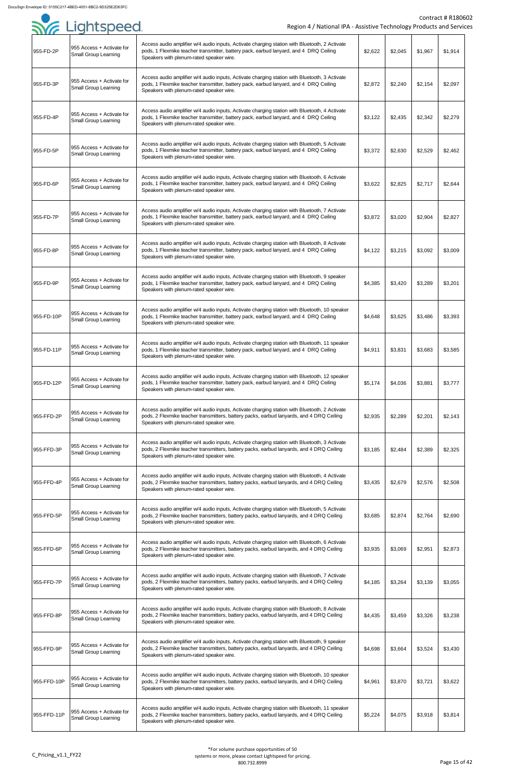|             | SYG Lightspeed                                           | Region 4 / National IPA - Assistive Technology Products and Service                                                                                                                                                                   |         |         |         | <b>Contract # R18060</b> |
|-------------|----------------------------------------------------------|---------------------------------------------------------------------------------------------------------------------------------------------------------------------------------------------------------------------------------------|---------|---------|---------|--------------------------|
|             |                                                          |                                                                                                                                                                                                                                       |         |         |         |                          |
| 955-FD-2P   | 955 Access + Activate for<br><b>Small Group Learning</b> | Access audio amplifier w/4 audio inputs, Activate charging station with Bluetooth, 2 Activate<br>pods, 1 Flexmike teacher transmitter, battery pack, earbud lanyard, and 4 DRQ Ceiling<br>Speakers with plenum-rated speaker wire.    | \$2,622 | \$2,045 | \$1,967 | \$1,914                  |
| 955-FD-3P   | 955 Access + Activate for<br><b>Small Group Learning</b> | Access audio amplifier w/4 audio inputs, Activate charging station with Bluetooth, 3 Activate<br>pods, 1 Flexmike teacher transmitter, battery pack, earbud lanyard, and 4 DRQ Ceiling<br>Speakers with plenum-rated speaker wire.    | \$2,872 | \$2,240 | \$2,154 | \$2,097                  |
| 955-FD-4P   | 955 Access + Activate for<br><b>Small Group Learning</b> | Access audio amplifier w/4 audio inputs, Activate charging station with Bluetooth, 4 Activate<br>pods, 1 Flexmike teacher transmitter, battery pack, earbud lanyard, and 4 DRQ Ceiling<br>Speakers with plenum-rated speaker wire.    | \$3,122 | \$2,435 | \$2,342 | \$2,279                  |
| 955-FD-5P   | 955 Access + Activate for<br><b>Small Group Learning</b> | Access audio amplifier w/4 audio inputs, Activate charging station with Bluetooth, 5 Activate<br>pods, 1 Flexmike teacher transmitter, battery pack, earbud lanyard, and 4 DRQ Ceiling<br>Speakers with plenum-rated speaker wire.    | \$3,372 | \$2,630 | \$2,529 | \$2,462                  |
| 955-FD-6P   | 955 Access + Activate for<br><b>Small Group Learning</b> | Access audio amplifier w/4 audio inputs, Activate charging station with Bluetooth, 6 Activate<br>pods, 1 Flexmike teacher transmitter, battery pack, earbud lanyard, and 4 DRQ Ceiling<br>Speakers with plenum-rated speaker wire.    | \$3,622 | \$2,825 | \$2,717 | \$2,644                  |
| 955-FD-7P   | 955 Access + Activate for<br><b>Small Group Learning</b> | Access audio amplifier w/4 audio inputs, Activate charging station with Bluetooth, 7 Activate<br>pods, 1 Flexmike teacher transmitter, battery pack, earbud lanyard, and 4 DRQ Ceiling<br>Speakers with plenum-rated speaker wire.    | \$3,872 | \$3,020 | \$2,904 | \$2,827                  |
| 955-FD-8P   | 955 Access + Activate for<br><b>Small Group Learning</b> | Access audio amplifier w/4 audio inputs, Activate charging station with Bluetooth, 8 Activate<br>pods, 1 Flexmike teacher transmitter, battery pack, earbud lanyard, and 4 DRQ Ceiling<br>Speakers with plenum-rated speaker wire.    | \$4,122 | \$3,215 | \$3,092 | \$3,009                  |
| 955-FD-9P   | 955 Access + Activate for<br><b>Small Group Learning</b> | Access audio amplifier w/4 audio inputs, Activate charging station with Bluetooth, 9 speaker<br>pods, 1 Flexmike teacher transmitter, battery pack, earbud lanyard, and 4 DRQ Ceiling<br>Speakers with plenum-rated speaker wire.     | \$4,385 | \$3,420 | \$3,289 | \$3,201                  |
| 955-FD-10P  | 955 Access + Activate for<br><b>Small Group Learning</b> | Access audio amplifier w/4 audio inputs, Activate charging station with Bluetooth, 10 speaker<br>pods, 1 Flexmike teacher transmitter, battery pack, earbud lanyard, and 4 DRQ Ceiling<br>Speakers with plenum-rated speaker wire.    | \$4,648 | \$3,625 | \$3,486 | \$3,393                  |
| 955-FD-11P  | 955 Access + Activate for<br><b>Small Group Learning</b> | Access audio amplifier w/4 audio inputs, Activate charging station with Bluetooth, 11 speaker<br>pods, 1 Flexmike teacher transmitter, battery pack, earbud lanyard, and 4 DRQ Ceiling<br>Speakers with plenum-rated speaker wire.    | \$4,911 | \$3,831 | \$3,683 | \$3,585                  |
| 955-FD-12P  | 955 Access + Activate for<br><b>Small Group Learning</b> | Access audio amplifier w/4 audio inputs, Activate charging station with Bluetooth, 12 speaker<br>pods, 1 Flexmike teacher transmitter, battery pack, earbud lanyard, and 4 DRQ Ceiling<br>Speakers with plenum-rated speaker wire.    | \$5,174 | \$4,036 | \$3,881 | \$3,777                  |
| 955-FFD-2P  | 955 Access + Activate for<br><b>Small Group Learning</b> | Access audio amplifier w/4 audio inputs, Activate charging station with Bluetooth, 2 Activate<br>pods, 2 Flexmike teacher transmitters, battery packs, earbud lanyards, and 4 DRQ Ceiling<br>Speakers with plenum-rated speaker wire. | \$2,935 | \$2,289 | \$2,201 | \$2,143                  |
| 955-FFD-3P  | 955 Access + Activate for<br><b>Small Group Learning</b> | Access audio amplifier w/4 audio inputs, Activate charging station with Bluetooth, 3 Activate<br>pods, 2 Flexmike teacher transmitters, battery packs, earbud lanyards, and 4 DRQ Ceiling<br>Speakers with plenum-rated speaker wire. | \$3,185 | \$2,484 | \$2,389 | \$2,325                  |
| 955-FFD-4P  | 955 Access + Activate for<br><b>Small Group Learning</b> | Access audio amplifier w/4 audio inputs, Activate charging station with Bluetooth, 4 Activate<br>pods, 2 Flexmike teacher transmitters, battery packs, earbud lanyards, and 4 DRQ Ceiling<br>Speakers with plenum-rated speaker wire. | \$3,435 | \$2,679 | \$2,576 | \$2,508                  |
| 955-FFD-5P  | 955 Access + Activate for<br><b>Small Group Learning</b> | Access audio amplifier w/4 audio inputs, Activate charging station with Bluetooth, 5 Activate<br>pods, 2 Flexmike teacher transmitters, battery packs, earbud lanyards, and 4 DRQ Ceiling<br>Speakers with plenum-rated speaker wire. | \$3,685 | \$2,874 | \$2,764 | \$2,690                  |
| 955-FFD-6P  | 955 Access + Activate for<br><b>Small Group Learning</b> | Access audio amplifier w/4 audio inputs, Activate charging station with Bluetooth, 6 Activate<br>pods, 2 Flexmike teacher transmitters, battery packs, earbud lanyards, and 4 DRQ Ceiling<br>Speakers with plenum-rated speaker wire. | \$3,935 | \$3,069 | \$2,951 | \$2,873                  |
| 955-FFD-7P  | 955 Access + Activate for<br><b>Small Group Learning</b> | Access audio amplifier w/4 audio inputs, Activate charging station with Bluetooth, 7 Activate<br>pods, 2 Flexmike teacher transmitters, battery packs, earbud lanyards, and 4 DRQ Ceiling<br>Speakers with plenum-rated speaker wire. | \$4,185 | \$3,264 | \$3,139 | \$3,055                  |
| 955-FFD-8P  | 955 Access + Activate for<br><b>Small Group Learning</b> | Access audio amplifier w/4 audio inputs, Activate charging station with Bluetooth, 8 Activate<br>pods, 2 Flexmike teacher transmitters, battery packs, earbud lanyards, and 4 DRQ Ceiling<br>Speakers with plenum-rated speaker wire. | \$4,435 | \$3,459 | \$3,326 | \$3,238                  |
| 955-FFD-9P  | 955 Access + Activate for<br><b>Small Group Learning</b> | Access audio amplifier w/4 audio inputs, Activate charging station with Bluetooth, 9 speaker<br>pods, 2 Flexmike teacher transmitters, battery packs, earbud lanyards, and 4 DRQ Ceiling<br>Speakers with plenum-rated speaker wire.  | \$4,698 | \$3,664 | \$3,524 | \$3,430                  |
| 955-FFD-10P | 955 Access + Activate for<br><b>Small Group Learning</b> | Access audio amplifier w/4 audio inputs, Activate charging station with Bluetooth, 10 speaker<br>pods, 2 Flexmike teacher transmitters, battery packs, earbud lanyards, and 4 DRQ Ceiling<br>Speakers with plenum-rated speaker wire. | \$4,961 | \$3,870 | \$3,721 | \$3,622                  |
| 955-FFD-11P | 955 Access + Activate for<br><b>Small Group Learning</b> | Access audio amplifier w/4 audio inputs, Activate charging station with Bluetooth, 11 speaker<br>pods, 2 Flexmike teacher transmitters, battery packs, earbud lanyards, and 4 DRQ Ceiling<br>Speakers with plenum-rated speaker wire. | \$5,224 | \$4,075 | \$3,918 | \$3,814                  |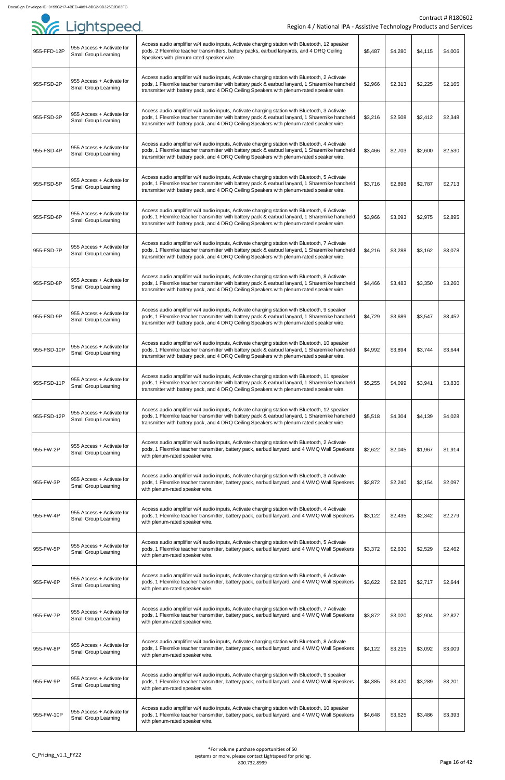

|             | SYG Lightspeed                                           | Region 4 / National IPA - Assistive Technology Products and Servic                                                                                                                                                                                                                          |         |         |         | <b>Contract # R1806</b> |
|-------------|----------------------------------------------------------|---------------------------------------------------------------------------------------------------------------------------------------------------------------------------------------------------------------------------------------------------------------------------------------------|---------|---------|---------|-------------------------|
| 955-FFD-12P | 955 Access + Activate for<br><b>Small Group Learning</b> | Access audio amplifier w/4 audio inputs, Activate charging station with Bluetooth, 12 speaker<br>pods, 2 Flexmike teacher transmitters, battery packs, earbud lanyards, and 4 DRQ Ceiling<br>Speakers with plenum-rated speaker wire.                                                       | \$5,487 | \$4,280 | \$4,115 | \$4,006                 |
| 955-FSD-2P  | 955 Access + Activate for<br><b>Small Group Learning</b> | Access audio amplifier w/4 audio inputs, Activate charging station with Bluetooth, 2 Activate<br>pods, 1 Flexmike teacher transmitter with battery pack & earbud lanyard, 1 Sharemike handheld<br>transmitter with battery pack, and 4 DRQ Ceiling Speakers with plenum-rated speaker wire. | \$2,966 | \$2,313 | \$2,225 | \$2,165                 |
| 955-FSD-3P  | 955 Access + Activate for<br><b>Small Group Learning</b> | Access audio amplifier w/4 audio inputs, Activate charging station with Bluetooth, 3 Activate<br>pods, 1 Flexmike teacher transmitter with battery pack & earbud lanyard, 1 Sharemike handheld<br>transmitter with battery pack, and 4 DRQ Ceiling Speakers with plenum-rated speaker wire. | \$3,216 | \$2,508 | \$2,412 | \$2,348                 |
| 955-FSD-4P  | 955 Access + Activate for<br><b>Small Group Learning</b> | Access audio amplifier w/4 audio inputs, Activate charging station with Bluetooth, 4 Activate<br>pods, 1 Flexmike teacher transmitter with battery pack & earbud lanyard, 1 Sharemike handheld<br>transmitter with battery pack, and 4 DRQ Ceiling Speakers with plenum-rated speaker wire. | \$3,466 | \$2,703 | \$2,600 | \$2,530                 |
| 955-FSD-5P  | 955 Access + Activate for<br><b>Small Group Learning</b> | Access audio amplifier w/4 audio inputs, Activate charging station with Bluetooth, 5 Activate<br>pods, 1 Flexmike teacher transmitter with battery pack & earbud lanyard, 1 Sharemike handheld<br>transmitter with battery pack, and 4 DRQ Ceiling Speakers with plenum-rated speaker wire. | \$3,716 | \$2,898 | \$2,787 | \$2,713                 |
| 955-FSD-6P  | 955 Access + Activate for<br><b>Small Group Learning</b> | Access audio amplifier w/4 audio inputs, Activate charging station with Bluetooth, 6 Activate<br>pods, 1 Flexmike teacher transmitter with battery pack & earbud lanyard, 1 Sharemike handheld<br>transmitter with battery pack, and 4 DRQ Ceiling Speakers with plenum-rated speaker wire. | \$3,966 | \$3,093 | \$2,975 | \$2,895                 |
| 955-FSD-7P  | 955 Access + Activate for<br><b>Small Group Learning</b> | Access audio amplifier w/4 audio inputs, Activate charging station with Bluetooth, 7 Activate<br>pods, 1 Flexmike teacher transmitter with battery pack & earbud lanyard, 1 Sharemike handheld<br>transmitter with battery pack, and 4 DRQ Ceiling Speakers with plenum-rated speaker wire. | \$4,216 | \$3,288 | \$3,162 | \$3,078                 |
| 955-FSD-8P  | 955 Access + Activate for<br><b>Small Group Learning</b> | Access audio amplifier w/4 audio inputs, Activate charging station with Bluetooth, 8 Activate<br>pods, 1 Flexmike teacher transmitter with battery pack & earbud lanyard, 1 Sharemike handheld<br>transmitter with battery pack, and 4 DRQ Ceiling Speakers with plenum-rated speaker wire. | \$4,466 | \$3,483 | \$3,350 | \$3,260                 |
| 955-FSD-9P  | 955 Access + Activate for<br><b>Small Group Learning</b> | Access audio amplifier w/4 audio inputs, Activate charging station with Bluetooth, 9 speaker<br>pods, 1 Flexmike teacher transmitter with battery pack & earbud lanyard, 1 Sharemike handheld<br>transmitter with battery pack, and 4 DRQ Ceiling Speakers with plenum-rated speaker wire.  | \$4,729 | \$3,689 | \$3,547 | \$3,452                 |
| 955-FSD-10P | 955 Access + Activate for<br><b>Small Group Learning</b> | Access audio amplifier w/4 audio inputs, Activate charging station with Bluetooth, 10 speaker<br>pods, 1 Flexmike teacher transmitter with battery pack & earbud lanyard, 1 Sharemike handheld<br>transmitter with battery pack, and 4 DRQ Ceiling Speakers with plenum-rated speaker wire. | \$4,992 | \$3,894 | \$3,744 | \$3,644                 |
| 955-FSD-11P | 955 Access + Activate for<br><b>Small Group Learning</b> | Access audio amplifier w/4 audio inputs, Activate charging station with Bluetooth, 11 speaker<br>pods, 1 Flexmike teacher transmitter with battery pack & earbud lanyard, 1 Sharemike handheld<br>transmitter with battery pack, and 4 DRQ Ceiling Speakers with plenum-rated speaker wire. | \$5,255 | \$4,099 | \$3,941 | \$3,836                 |
| 955-FSD-12P | 955 Access + Activate for<br><b>Small Group Learning</b> | Access audio amplifier w/4 audio inputs, Activate charging station with Bluetooth, 12 speaker<br>pods, 1 Flexmike teacher transmitter with battery pack & earbud lanyard, 1 Sharemike handheld<br>transmitter with battery pack, and 4 DRQ Ceiling Speakers with plenum-rated speaker wire. | \$5,518 | \$4,304 | \$4,139 | \$4,028                 |
| 955-FW-2P   | 955 Access + Activate for<br><b>Small Group Learning</b> | Access audio amplifier w/4 audio inputs, Activate charging station with Bluetooth, 2 Activate<br>pods, 1 Flexmike teacher transmitter, battery pack, earbud lanyard, and 4 WMQ Wall Speakers<br>with plenum-rated speaker wire.                                                             | \$2,622 | \$2,045 | \$1,967 | \$1,914                 |
| 955-FW-3P   | 955 Access + Activate for<br><b>Small Group Learning</b> | Access audio amplifier w/4 audio inputs, Activate charging station with Bluetooth, 3 Activate<br>pods, 1 Flexmike teacher transmitter, battery pack, earbud lanyard, and 4 WMQ Wall Speakers<br>with plenum-rated speaker wire.                                                             | \$2,872 | \$2,240 | \$2,154 | \$2,097                 |
| 955-FW-4P   | 955 Access + Activate for<br><b>Small Group Learning</b> | Access audio amplifier w/4 audio inputs, Activate charging station with Bluetooth, 4 Activate<br>pods, 1 Flexmike teacher transmitter, battery pack, earbud lanyard, and 4 WMQ Wall Speakers<br>with plenum-rated speaker wire.                                                             | \$3,122 | \$2,435 | \$2,342 | \$2,279                 |
| 955-FW-5P   | 955 Access + Activate for<br><b>Small Group Learning</b> | Access audio amplifier w/4 audio inputs, Activate charging station with Bluetooth, 5 Activate<br>pods, 1 Flexmike teacher transmitter, battery pack, earbud lanyard, and 4 WMQ Wall Speakers<br>with plenum-rated speaker wire.                                                             | \$3,372 | \$2,630 | \$2,529 | \$2,462                 |
| 955-FW-6P   | 955 Access + Activate for<br><b>Small Group Learning</b> | Access audio amplifier w/4 audio inputs, Activate charging station with Bluetooth, 6 Activate<br>pods, 1 Flexmike teacher transmitter, battery pack, earbud lanyard, and 4 WMQ Wall Speakers<br>with plenum-rated speaker wire.                                                             | \$3,622 | \$2,825 | \$2,717 | \$2,644                 |
| 955-FW-7P   | 955 Access + Activate for<br><b>Small Group Learning</b> | Access audio amplifier w/4 audio inputs, Activate charging station with Bluetooth, 7 Activate<br>pods, 1 Flexmike teacher transmitter, battery pack, earbud lanyard, and 4 WMQ Wall Speakers<br>with plenum-rated speaker wire.                                                             | \$3,872 | \$3,020 | \$2,904 | \$2,827                 |
| 955-FW-8P   | 955 Access + Activate for<br><b>Small Group Learning</b> | Access audio amplifier w/4 audio inputs, Activate charging station with Bluetooth, 8 Activate<br>pods, 1 Flexmike teacher transmitter, battery pack, earbud lanyard, and 4 WMQ Wall Speakers<br>with plenum-rated speaker wire.                                                             | \$4,122 | \$3,215 | \$3,092 | \$3,009                 |
| 955-FW-9P   | 955 Access + Activate for<br><b>Small Group Learning</b> | Access audio amplifier w/4 audio inputs, Activate charging station with Bluetooth, 9 speaker<br>pods, 1 Flexmike teacher transmitter, battery pack, earbud lanyard, and 4 WMQ Wall Speakers<br>with plenum-rated speaker wire.                                                              | \$4,385 | \$3,420 | \$3,289 | \$3,201                 |
| 955-FW-10P  | 955 Access + Activate for<br><b>Small Group Learning</b> | Access audio amplifier w/4 audio inputs, Activate charging station with Bluetooth, 10 speaker<br>pods, 1 Flexmike teacher transmitter, battery pack, earbud lanyard, and 4 WMQ Wall Speakers<br>with plenum-rated speaker wire.                                                             | \$4,648 | \$3,625 | \$3,486 | \$3,393                 |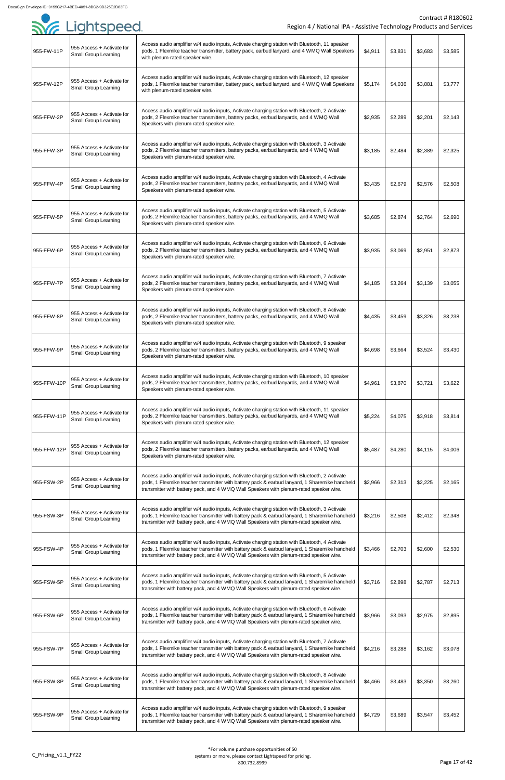|             | SYE Lightspeed                                           | Region 4 / National IPA - Assistive Technology Products and Service                                                                                                                                                                                                                      |         |         |         | Contract # R18060 |
|-------------|----------------------------------------------------------|------------------------------------------------------------------------------------------------------------------------------------------------------------------------------------------------------------------------------------------------------------------------------------------|---------|---------|---------|-------------------|
| 955-FW-11P  | 955 Access + Activate for<br><b>Small Group Learning</b> | Access audio amplifier w/4 audio inputs, Activate charging station with Bluetooth, 11 speaker<br>pods, 1 Flexmike teacher transmitter, battery pack, earbud lanyard, and 4 WMQ Wall Speakers<br>with plenum-rated speaker wire.                                                          | \$4,911 | \$3,831 | \$3,683 | \$3,585           |
| 955-FW-12P  | 955 Access + Activate for<br><b>Small Group Learning</b> | Access audio amplifier w/4 audio inputs, Activate charging station with Bluetooth, 12 speaker<br>pods, 1 Flexmike teacher transmitter, battery pack, earbud lanyard, and 4 WMQ Wall Speakers<br>with plenum-rated speaker wire.                                                          | \$5,174 | \$4,036 | \$3,881 | \$3,777           |
| 955-FFW-2P  | 955 Access + Activate for<br><b>Small Group Learning</b> | Access audio amplifier w/4 audio inputs, Activate charging station with Bluetooth, 2 Activate<br>pods, 2 Flexmike teacher transmitters, battery packs, earbud lanyards, and 4 WMQ Wall<br>Speakers with plenum-rated speaker wire.                                                       | \$2,935 | \$2,289 | \$2,201 | \$2,143           |
| 955-FFW-3P  | 955 Access + Activate for<br><b>Small Group Learning</b> | Access audio amplifier w/4 audio inputs, Activate charging station with Bluetooth, 3 Activate<br>pods, 2 Flexmike teacher transmitters, battery packs, earbud lanyards, and 4 WMQ Wall<br>Speakers with plenum-rated speaker wire.                                                       | \$3,185 | \$2,484 | \$2,389 | \$2,325           |
| 955-FFW-4P  | 955 Access + Activate for<br><b>Small Group Learning</b> | Access audio amplifier w/4 audio inputs, Activate charging station with Bluetooth, 4 Activate<br>pods, 2 Flexmike teacher transmitters, battery packs, earbud lanyards, and 4 WMQ Wall<br>Speakers with plenum-rated speaker wire.                                                       | \$3,435 | \$2,679 | \$2,576 | \$2,508           |
| 955-FFW-5P  | 955 Access + Activate for<br><b>Small Group Learning</b> | Access audio amplifier w/4 audio inputs, Activate charging station with Bluetooth, 5 Activate<br>pods, 2 Flexmike teacher transmitters, battery packs, earbud lanyards, and 4 WMQ Wall<br>Speakers with plenum-rated speaker wire.                                                       | \$3,685 | \$2,874 | \$2,764 | \$2,690           |
| 955-FFW-6P  | 955 Access + Activate for<br><b>Small Group Learning</b> | Access audio amplifier w/4 audio inputs, Activate charging station with Bluetooth, 6 Activate<br>pods, 2 Flexmike teacher transmitters, battery packs, earbud lanyards, and 4 WMQ Wall<br>Speakers with plenum-rated speaker wire.                                                       | \$3,935 | \$3,069 | \$2,951 | \$2,873           |
| 955-FFW-7P  | 955 Access + Activate for<br><b>Small Group Learning</b> | Access audio amplifier w/4 audio inputs, Activate charging station with Bluetooth, 7 Activate<br>pods, 2 Flexmike teacher transmitters, battery packs, earbud lanyards, and 4 WMQ Wall<br>Speakers with plenum-rated speaker wire.                                                       | \$4,185 | \$3,264 | \$3,139 | \$3,055           |
| 955-FFW-8P  | 955 Access + Activate for<br><b>Small Group Learning</b> | Access audio amplifier w/4 audio inputs, Activate charging station with Bluetooth, 8 Activate<br>pods, 2 Flexmike teacher transmitters, battery packs, earbud lanyards, and 4 WMQ Wall<br>Speakers with plenum-rated speaker wire.                                                       | \$4,435 | \$3,459 | \$3,326 | \$3,238           |
| 955-FFW-9P  | 955 Access + Activate for<br><b>Small Group Learning</b> | Access audio amplifier w/4 audio inputs, Activate charging station with Bluetooth, 9 speaker<br>pods, 2 Flexmike teacher transmitters, battery packs, earbud lanyards, and 4 WMQ Wall<br>Speakers with plenum-rated speaker wire.                                                        | \$4,698 | \$3,664 | \$3,524 | \$3,430           |
| 955-FFW-10P | 955 Access + Activate for<br><b>Small Group Learning</b> | Access audio amplifier w/4 audio inputs, Activate charging station with Bluetooth, 10 speaker<br>pods, 2 Flexmike teacher transmitters, battery packs, earbud lanyards, and 4 WMQ Wall<br>Speakers with plenum-rated speaker wire.                                                       | \$4,961 | \$3,870 | \$3,721 | \$3,622           |
| 955-FFW-11P | 955 Access + Activate for<br><b>Small Group Learning</b> | Access audio amplifier w/4 audio inputs, Activate charging station with Bluetooth, 11 speaker<br>pods, 2 Flexmike teacher transmitters, battery packs, earbud lanyards, and 4 WMQ Wall<br>Speakers with plenum-rated speaker wire.                                                       | \$5,224 | \$4,075 | \$3,918 | \$3,814           |
| 955-FFW-12P | 955 Access + Activate for<br><b>Small Group Learning</b> | Access audio amplifier w/4 audio inputs, Activate charging station with Bluetooth, 12 speaker<br>pods, 2 Flexmike teacher transmitters, battery packs, earbud lanyards, and 4 WMQ Wall<br>Speakers with plenum-rated speaker wire.                                                       | \$5,487 | \$4,280 | \$4,115 | \$4,006           |
| 955-FSW-2P  | 955 Access + Activate for<br><b>Small Group Learning</b> | Access audio amplifier w/4 audio inputs, Activate charging station with Bluetooth, 2 Activate<br>pods, 1 Flexmike teacher transmitter with battery pack & earbud lanyard, 1 Sharemike handheld<br>transmitter with battery pack, and 4 WMQ Wall Speakers with plenum-rated speaker wire. | \$2,966 | \$2,313 | \$2,225 | \$2,165           |
| 955-FSW-3P  | 955 Access + Activate for<br><b>Small Group Learning</b> | Access audio amplifier w/4 audio inputs, Activate charging station with Bluetooth, 3 Activate<br>pods, 1 Flexmike teacher transmitter with battery pack & earbud lanyard, 1 Sharemike handheld<br>transmitter with battery pack, and 4 WMQ Wall Speakers with plenum-rated speaker wire. | \$3,216 | \$2,508 | \$2,412 | \$2,348           |
| 955-FSW-4P  | 955 Access + Activate for<br><b>Small Group Learning</b> | Access audio amplifier w/4 audio inputs, Activate charging station with Bluetooth, 4 Activate<br>pods, 1 Flexmike teacher transmitter with battery pack & earbud lanyard, 1 Sharemike handheld<br>transmitter with battery pack, and 4 WMQ Wall Speakers with plenum-rated speaker wire. | \$3,466 | \$2,703 | \$2,600 | \$2,530           |
| 955-FSW-5P  | 955 Access + Activate for<br><b>Small Group Learning</b> | Access audio amplifier w/4 audio inputs, Activate charging station with Bluetooth, 5 Activate<br>pods, 1 Flexmike teacher transmitter with battery pack & earbud lanyard, 1 Sharemike handheld<br>transmitter with battery pack, and 4 WMQ Wall Speakers with plenum-rated speaker wire. | \$3,716 | \$2,898 | \$2,787 | \$2,713           |
| 955-FSW-6P  | 955 Access + Activate for<br><b>Small Group Learning</b> | Access audio amplifier w/4 audio inputs, Activate charging station with Bluetooth, 6 Activate<br>pods, 1 Flexmike teacher transmitter with battery pack & earbud lanyard, 1 Sharemike handheld<br>transmitter with battery pack, and 4 WMQ Wall Speakers with plenum-rated speaker wire. | \$3,966 | \$3,093 | \$2,975 | \$2,895           |
| 955-FSW-7P  | 955 Access + Activate for<br><b>Small Group Learning</b> | Access audio amplifier w/4 audio inputs, Activate charging station with Bluetooth, 7 Activate<br>pods, 1 Flexmike teacher transmitter with battery pack & earbud lanyard, 1 Sharemike handheld<br>transmitter with battery pack, and 4 WMQ Wall Speakers with plenum-rated speaker wire. | \$4,216 | \$3,288 | \$3,162 | \$3,078           |
| 955-FSW-8P  | 955 Access + Activate for<br><b>Small Group Learning</b> | Access audio amplifier w/4 audio inputs, Activate charging station with Bluetooth, 8 Activate<br>pods, 1 Flexmike teacher transmitter with battery pack & earbud lanyard, 1 Sharemike handheld<br>transmitter with battery pack, and 4 WMQ Wall Speakers with plenum-rated speaker wire. | \$4,466 | \$3,483 | \$3,350 | \$3,260           |
| 955-FSW-9P  | 955 Access + Activate for<br><b>Small Group Learning</b> | Access audio amplifier w/4 audio inputs, Activate charging station with Bluetooth, 9 speaker<br>pods, 1 Flexmike teacher transmitter with battery pack & earbud lanyard, 1 Sharemike handheld<br>transmitter with battery pack, and 4 WMQ Wall Speakers with plenum-rated speaker wire.  | \$4,729 | \$3,689 | \$3,547 | \$3,452           |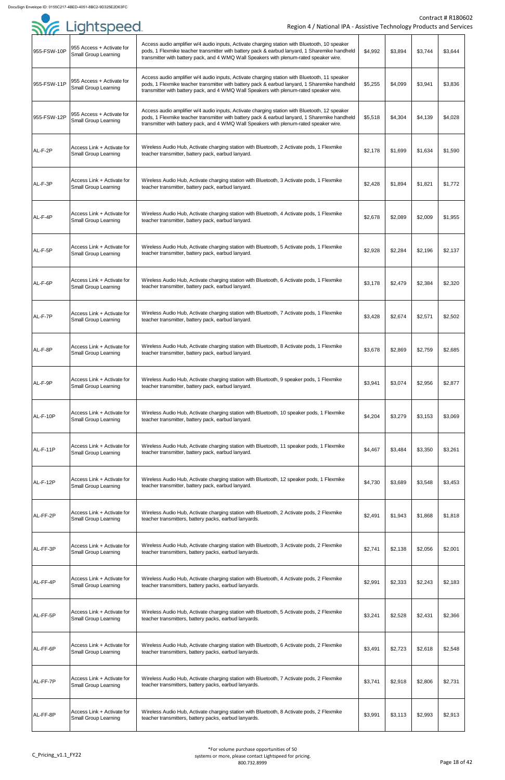|             | Sie Lightspeed.                                           | Region 4 / National IPA - Assistive Technology Products and Service                                                                                                                                                                                                                      |         |         |         | <b>Contract # R18060</b> |
|-------------|-----------------------------------------------------------|------------------------------------------------------------------------------------------------------------------------------------------------------------------------------------------------------------------------------------------------------------------------------------------|---------|---------|---------|--------------------------|
| 955-FSW-10P | 955 Access + Activate for<br><b>Small Group Learning</b>  | Access audio amplifier w/4 audio inputs, Activate charging station with Bluetooth, 10 speaker<br>pods, 1 Flexmike teacher transmitter with battery pack & earbud lanyard, 1 Sharemike handheld<br>transmitter with battery pack, and 4 WMQ Wall Speakers with plenum-rated speaker wire. | \$4,992 | \$3,894 | \$3,744 | \$3,644                  |
| 955-FSW-11P | 955 Access + Activate for<br><b>Small Group Learning</b>  | Access audio amplifier w/4 audio inputs, Activate charging station with Bluetooth, 11 speaker<br>pods, 1 Flexmike teacher transmitter with battery pack & earbud lanyard, 1 Sharemike handheld<br>transmitter with battery pack, and 4 WMQ Wall Speakers with plenum-rated speaker wire. | \$5,255 | \$4,099 | \$3,941 | \$3,836                  |
| 955-FSW-12P | 955 Access + Activate for<br><b>Small Group Learning</b>  | Access audio amplifier w/4 audio inputs, Activate charging station with Bluetooth, 12 speaker<br>pods, 1 Flexmike teacher transmitter with battery pack & earbud lanyard, 1 Sharemike handheld<br>transmitter with battery pack, and 4 WMQ Wall Speakers with plenum-rated speaker wire. | \$5,518 | \$4,304 | \$4,139 | \$4,028                  |
| AL-F-2P     | Access Link + Activate for<br><b>Small Group Learning</b> | Wireless Audio Hub, Activate charging station with Bluetooth, 2 Activate pods, 1 Flexmike<br>teacher transmitter, battery pack, earbud lanyard.                                                                                                                                          | \$2,178 | \$1,699 | \$1,634 | \$1,590                  |
| AL-F-3P     | Access Link + Activate for<br><b>Small Group Learning</b> | Wireless Audio Hub, Activate charging station with Bluetooth, 3 Activate pods, 1 Flexmike<br>teacher transmitter, battery pack, earbud lanyard.                                                                                                                                          | \$2,428 | \$1,894 | \$1,821 | \$1,772                  |
| AL-F-4P     | Access Link + Activate for<br><b>Small Group Learning</b> | Wireless Audio Hub, Activate charging station with Bluetooth, 4 Activate pods, 1 Flexmike<br>teacher transmitter, battery pack, earbud lanyard.                                                                                                                                          | \$2,678 | \$2,089 | \$2,009 | \$1,955                  |
| AL-F-5P     | Access Link + Activate for<br><b>Small Group Learning</b> | Wireless Audio Hub, Activate charging station with Bluetooth, 5 Activate pods, 1 Flexmike<br>teacher transmitter, battery pack, earbud lanyard.                                                                                                                                          | \$2,928 | \$2,284 | \$2,196 | \$2,137                  |
| AL-F-6P     | Access Link + Activate for<br><b>Small Group Learning</b> | Wireless Audio Hub, Activate charging station with Bluetooth, 6 Activate pods, 1 Flexmike<br>teacher transmitter, battery pack, earbud lanyard.                                                                                                                                          | \$3,178 | \$2,479 | \$2,384 | \$2,320                  |
| AL-F-7P     | Access Link + Activate for<br><b>Small Group Learning</b> | Wireless Audio Hub, Activate charging station with Bluetooth, 7 Activate pods, 1 Flexmike<br>teacher transmitter, battery pack, earbud lanyard.                                                                                                                                          | \$3,428 | \$2,674 | \$2,571 | \$2,502                  |
| AL-F-8P     | Access Link + Activate for<br><b>Small Group Learning</b> | Wireless Audio Hub, Activate charging station with Bluetooth, 8 Activate pods, 1 Flexmike<br>teacher transmitter, battery pack, earbud lanyard.                                                                                                                                          | \$3,678 | \$2,869 | \$2,759 | \$2,685                  |
| AL-F-9P     | Access Link + Activate for<br><b>Small Group Learning</b> | Wireless Audio Hub, Activate charging station with Bluetooth, 9 speaker pods, 1 Flexmike<br>teacher transmitter, battery pack, earbud lanyard.                                                                                                                                           | \$3,941 | \$3,074 | \$2,956 | \$2,877                  |
| AL-F-10P    | Access Link + Activate for<br><b>Small Group Learning</b> | Wireless Audio Hub, Activate charging station with Bluetooth, 10 speaker pods, 1 Flexmike<br>teacher transmitter, battery pack, earbud lanyard.                                                                                                                                          | \$4,204 | \$3,279 | \$3,153 | \$3,069                  |
| AL-F-11P    | Access Link + Activate for<br><b>Small Group Learning</b> | Wireless Audio Hub, Activate charging station with Bluetooth, 11 speaker pods, 1 Flexmike<br>teacher transmitter, battery pack, earbud lanyard.                                                                                                                                          | \$4,467 | \$3,484 | \$3,350 | \$3,261                  |
| AL-F-12P    | Access Link + Activate for<br><b>Small Group Learning</b> | Wireless Audio Hub, Activate charging station with Bluetooth, 12 speaker pods, 1 Flexmike<br>teacher transmitter, battery pack, earbud lanyard.                                                                                                                                          | \$4,730 | \$3,689 | \$3,548 | \$3,453                  |
| AL-FF-2P    | Access Link + Activate for<br><b>Small Group Learning</b> | Wireless Audio Hub, Activate charging station with Bluetooth, 2 Activate pods, 2 Flexmike<br>teacher transmitters, battery packs, earbud lanyards.                                                                                                                                       | \$2,491 | \$1,943 | \$1,868 | \$1,818                  |
| AL-FF-3P    | Access Link + Activate for<br><b>Small Group Learning</b> | Wireless Audio Hub, Activate charging station with Bluetooth, 3 Activate pods, 2 Flexmike<br>teacher transmitters, battery packs, earbud lanyards.                                                                                                                                       | \$2,741 | \$2,138 | \$2,056 | \$2,001                  |
| AL-FF-4P    | Access Link + Activate for<br><b>Small Group Learning</b> | Wireless Audio Hub, Activate charging station with Bluetooth, 4 Activate pods, 2 Flexmike<br>teacher transmitters, battery packs, earbud lanyards.                                                                                                                                       | \$2,991 | \$2,333 | \$2,243 | \$2,183                  |
| AL-FF-5P    | Access Link + Activate for<br><b>Small Group Learning</b> | Wireless Audio Hub, Activate charging station with Bluetooth, 5 Activate pods, 2 Flexmike<br>teacher transmitters, battery packs, earbud lanyards.                                                                                                                                       | \$3,241 | \$2,528 | \$2,431 | \$2,366                  |
| AL-FF-6P    | Access Link + Activate for<br><b>Small Group Learning</b> | Wireless Audio Hub, Activate charging station with Bluetooth, 6 Activate pods, 2 Flexmike<br>teacher transmitters, battery packs, earbud lanyards.                                                                                                                                       | \$3,491 | \$2,723 | \$2,618 | \$2,548                  |
| AL-FF-7P    | Access Link + Activate for<br><b>Small Group Learning</b> | Wireless Audio Hub, Activate charging station with Bluetooth, 7 Activate pods, 2 Flexmike<br>teacher transmitters, battery packs, earbud lanyards.                                                                                                                                       | \$3,741 | \$2,918 | \$2,806 | \$2,731                  |
| AL-FF-8P    | Access Link + Activate for<br><b>Small Group Learning</b> | Wireless Audio Hub, Activate charging station with Bluetooth, 8 Activate pods, 2 Flexmike<br>teacher transmitters, battery packs, earbud lanyards.                                                                                                                                       | \$3,991 | \$3,113 | \$2,993 | \$2,913                  |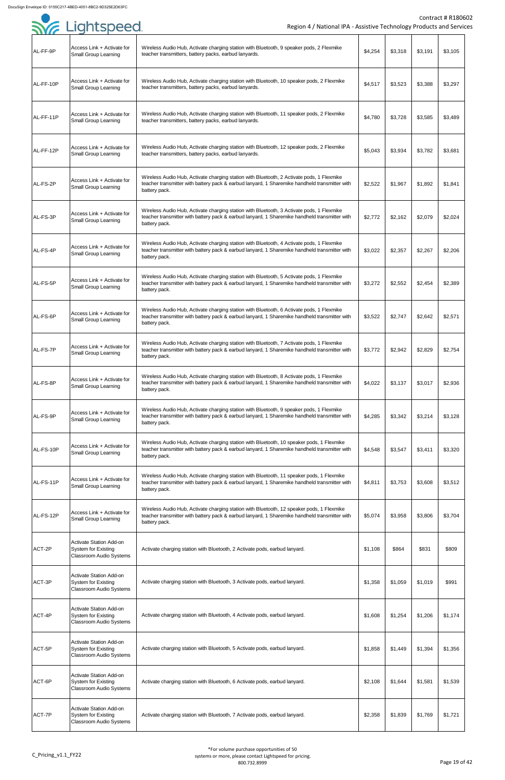| Region 4 / National IPA - Assistive Technology Products and Services                         |         |         |         |         |  |
|----------------------------------------------------------------------------------------------|---------|---------|---------|---------|--|
| ate charging station with Bluetooth, 9 speaker pods, 2 Flexmike<br>y packs, earbud lanyards. | \$4,254 | \$3,318 | \$3,191 | \$3,105 |  |

| AL-FF-9P  | Access Link + Activate for<br><b>Small Group Learning</b>                                      | Wireless Audio Hub, Activate charging station with Bluetooth, 9 speaker pods, 2 Flexmike<br>teacher transmitters, battery packs, earbud lanyards.                                                           | \$4,254 | \$3,318 | \$3,191 | \$3,105 |
|-----------|------------------------------------------------------------------------------------------------|-------------------------------------------------------------------------------------------------------------------------------------------------------------------------------------------------------------|---------|---------|---------|---------|
| AL-FF-10P | Access Link + Activate for<br><b>Small Group Learning</b>                                      | Wireless Audio Hub, Activate charging station with Bluetooth, 10 speaker pods, 2 Flexmike<br>teacher transmitters, battery packs, earbud lanyards.                                                          | \$4,517 | \$3,523 | \$3,388 | \$3,297 |
| AL-FF-11P | Access Link + Activate for<br><b>Small Group Learning</b>                                      | Wireless Audio Hub, Activate charging station with Bluetooth, 11 speaker pods, 2 Flexmike<br>teacher transmitters, battery packs, earbud lanyards.                                                          | \$4,780 | \$3,728 | \$3,585 | \$3,489 |
| AL-FF-12P | Access Link + Activate for<br><b>Small Group Learning</b>                                      | Wireless Audio Hub, Activate charging station with Bluetooth, 12 speaker pods, 2 Flexmike<br>teacher transmitters, battery packs, earbud lanyards.                                                          | \$5,043 | \$3,934 | \$3,782 | \$3,681 |
| AL-FS-2P  | Access Link + Activate for<br><b>Small Group Learning</b>                                      | Wireless Audio Hub, Activate charging station with Bluetooth, 2 Activate pods, 1 Flexmike<br>teacher transmitter with battery pack & earbud lanyard, 1 Sharemike handheld transmitter with<br>battery pack. | \$2,522 | \$1,967 | \$1,892 | \$1,841 |
| AL-FS-3P  | Access Link + Activate for<br><b>Small Group Learning</b>                                      | Wireless Audio Hub, Activate charging station with Bluetooth, 3 Activate pods, 1 Flexmike<br>teacher transmitter with battery pack & earbud lanyard, 1 Sharemike handheld transmitter with<br>battery pack. | \$2,772 | \$2,162 | \$2,079 | \$2,024 |
| AL-FS-4P  | Access Link + Activate for<br><b>Small Group Learning</b>                                      | Wireless Audio Hub, Activate charging station with Bluetooth, 4 Activate pods, 1 Flexmike<br>teacher transmitter with battery pack & earbud lanyard, 1 Sharemike handheld transmitter with<br>battery pack. | \$3,022 | \$2,357 | \$2,267 | \$2,206 |
| AL-FS-5P  | Access Link + Activate for<br><b>Small Group Learning</b>                                      | Wireless Audio Hub, Activate charging station with Bluetooth, 5 Activate pods, 1 Flexmike<br>teacher transmitter with battery pack & earbud lanyard, 1 Sharemike handheld transmitter with<br>battery pack. | \$3,272 | \$2,552 | \$2,454 | \$2,389 |
| AL-FS-6P  | Access Link + Activate for<br><b>Small Group Learning</b>                                      | Wireless Audio Hub, Activate charging station with Bluetooth, 6 Activate pods, 1 Flexmike<br>teacher transmitter with battery pack & earbud lanyard, 1 Sharemike handheld transmitter with<br>battery pack. | \$3,522 | \$2,747 | \$2,642 | \$2,571 |
| AL-FS-7P  | Access Link + Activate for<br><b>Small Group Learning</b>                                      | Wireless Audio Hub, Activate charging station with Bluetooth, 7 Activate pods, 1 Flexmike<br>teacher transmitter with battery pack & earbud lanyard, 1 Sharemike handheld transmitter with<br>battery pack. | \$3,772 | \$2,942 | \$2,829 | \$2,754 |
| AL-FS-8P  | Access Link + Activate for<br><b>Small Group Learning</b>                                      | Wireless Audio Hub, Activate charging station with Bluetooth, 8 Activate pods, 1 Flexmike<br>teacher transmitter with battery pack & earbud lanyard, 1 Sharemike handheld transmitter with<br>battery pack. | \$4,022 | \$3,137 | \$3,017 | \$2,936 |
| AL-FS-9P  | Access Link + Activate for<br><b>Small Group Learning</b>                                      | Wireless Audio Hub, Activate charging station with Bluetooth, 9 speaker pods, 1 Flexmike<br>teacher transmitter with battery pack & earbud lanyard, 1 Sharemike handheld transmitter with<br>battery pack.  | \$4,285 | \$3,342 | \$3,214 | \$3,128 |
| AL-FS-10P | Access Link + Activate for<br><b>Small Group Learning</b>                                      | Wireless Audio Hub, Activate charging station with Bluetooth, 10 speaker pods, 1 Flexmike<br>teacher transmitter with battery pack & earbud lanyard, 1 Sharemike handheld transmitter with<br>battery pack. | \$4,548 | \$3,547 | \$3,411 | \$3,320 |
| AL-FS-11P | Access Link + Activate for<br>Small Group Learning                                             | Wireless Audio Hub, Activate charging station with Bluetooth, 11 speaker pods, 1 Flexmike<br>teacher transmitter with battery pack & earbud lanyard, 1 Sharemike handheld transmitter with<br>battery pack. | \$4,811 | \$3,753 | \$3,608 | \$3,512 |
| AL-FS-12P | Access Link + Activate for<br><b>Small Group Learning</b>                                      | Wireless Audio Hub, Activate charging station with Bluetooth, 12 speaker pods, 1 Flexmike<br>teacher transmitter with battery pack & earbud lanyard, 1 Sharemike handheld transmitter with<br>battery pack. | \$5,074 | \$3,958 | \$3,806 | \$3,704 |
| ACT-2P    | <b>Activate Station Add-on</b><br><b>System for Existing</b><br><b>Classroom Audio Systems</b> | Activate charging station with Bluetooth, 2 Activate pods, earbud lanyard.                                                                                                                                  | \$1,108 | \$864   | \$831   | \$809   |
| ACT-3P    | <b>Activate Station Add-on</b><br><b>System for Existing</b><br><b>Classroom Audio Systems</b> | Activate charging station with Bluetooth, 3 Activate pods, earbud lanyard.                                                                                                                                  | \$1,358 | \$1,059 | \$1,019 | \$991   |
| ACT-4P    | <b>Activate Station Add-on</b><br><b>System for Existing</b><br><b>Classroom Audio Systems</b> | Activate charging station with Bluetooth, 4 Activate pods, earbud lanyard.                                                                                                                                  | \$1,608 | \$1,254 | \$1,206 | \$1,174 |
| ACT-5P    | <b>Activate Station Add-on</b><br><b>System for Existing</b><br><b>Classroom Audio Systems</b> | Activate charging station with Bluetooth, 5 Activate pods, earbud lanyard.                                                                                                                                  | \$1,858 | \$1,449 | \$1,394 | \$1,356 |
| ACT-6P    | <b>Activate Station Add-on</b><br><b>System for Existing</b><br><b>Classroom Audio Systems</b> | Activate charging station with Bluetooth, 6 Activate pods, earbud lanyard.                                                                                                                                  | \$2,108 | \$1,644 | \$1,581 | \$1,539 |
| ACT-7P    | <b>Activate Station Add-on</b><br><b>System for Existing</b><br>Classroom Audio Systems        | Activate charging station with Bluetooth, 7 Activate pods, earbud lanyard.                                                                                                                                  | \$2,358 | \$1,839 | \$1,769 | \$1,721 |

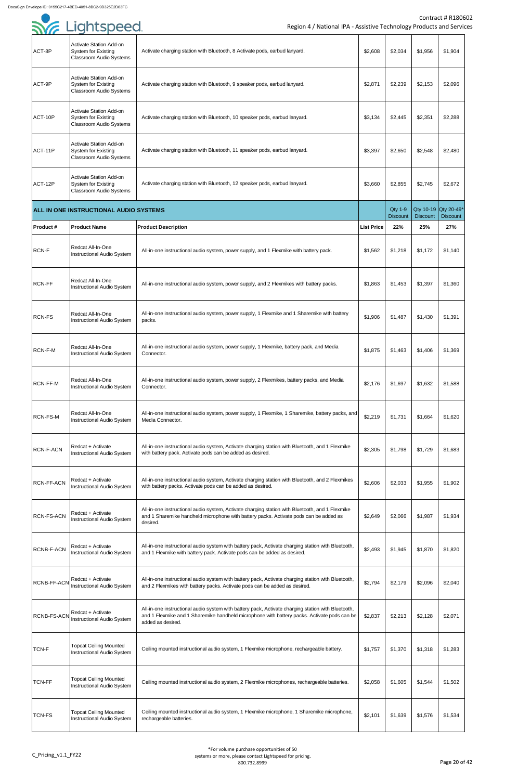|                    | $ \rightarrow$ $\rightarrow$ $\rightarrow$ $\rightarrow$                                       |                                                                                                                                                                                                                        |                   |                        |                        |                        |
|--------------------|------------------------------------------------------------------------------------------------|------------------------------------------------------------------------------------------------------------------------------------------------------------------------------------------------------------------------|-------------------|------------------------|------------------------|------------------------|
| ACT-8P             | <b>Activate Station Add-on</b><br><b>System for Existing</b><br><b>Classroom Audio Systems</b> | Activate charging station with Bluetooth, 8 Activate pods, earbud lanyard.                                                                                                                                             | \$2,608           | \$2,034                | \$1,956                | \$1,904                |
| ACT-9P             | <b>Activate Station Add-on</b><br><b>System for Existing</b><br><b>Classroom Audio Systems</b> | Activate charging station with Bluetooth, 9 speaker pods, earbud lanyard.                                                                                                                                              | \$2,871           | \$2,239                | \$2,153                | \$2,096                |
| ACT-10P            | <b>Activate Station Add-on</b><br><b>System for Existing</b><br><b>Classroom Audio Systems</b> | Activate charging station with Bluetooth, 10 speaker pods, earbud lanyard.                                                                                                                                             | \$3,134           | \$2,445                | \$2,351                | \$2,288                |
| ACT-11P            | <b>Activate Station Add-on</b><br><b>System for Existing</b><br><b>Classroom Audio Systems</b> | Activate charging station with Bluetooth, 11 speaker pods, earbud lanyard.                                                                                                                                             | \$3,397           | \$2,650                | \$2,548                | \$2,480                |
| ACT-12P            | <b>Activate Station Add-on</b><br><b>System for Existing</b><br><b>Classroom Audio Systems</b> | Activate charging station with Bluetooth, 12 speaker pods, earbud lanyard.                                                                                                                                             | \$3,660           | \$2,855                | \$2,745                | \$2,672                |
|                    | <b>ALL IN ONE INSTRUCTIONAL AUDIO SYSTEMS</b>                                                  |                                                                                                                                                                                                                        |                   | <b>Qty 1-9</b>         |                        | Qty 10-19 Qty 20-49*   |
| <b>Product#</b>    | <b>Product Name</b>                                                                            | <b>Product Description</b>                                                                                                                                                                                             | <b>List Price</b> | <b>Discount</b><br>22% | <b>Discount</b><br>25% | <b>Discount</b><br>27% |
| <b>RCN-F</b>       | Redcat All-In-One<br>Instructional Audio System                                                | All-in-one instructional audio system, power supply, and 1 Flexmike with battery pack.                                                                                                                                 | \$1,562           | \$1,218                | \$1,172                | \$1,140                |
| <b>RCN-FF</b>      | Redcat All-In-One<br><b>Instructional Audio System</b>                                         | All-in-one instructional audio system, power supply, and 2 Flexmikes with battery packs.                                                                                                                               | \$1,863           | \$1,453                | \$1,397                | \$1,360                |
| <b>RCN-FS</b>      | Redcat All-In-One<br><b>Instructional Audio System</b>                                         | All-in-one instructional audio system, power supply, 1 Flexmike and 1 Sharemike with battery<br>packs.                                                                                                                 | \$1,906           | \$1,487                | \$1,430                | \$1,391                |
| RCN-F-M            | <b>Redcat All-In-One</b><br>Instructional Audio System                                         | All-in-one instructional audio system, power supply, 1 Flexmike, battery pack, and Media<br>Connector.                                                                                                                 | \$1,875           | \$1,463                | \$1,406                | \$1,369                |
| <b>RCN-FF-M</b>    | Redcat All-In-One<br><b>Instructional Audio System</b>                                         | All-in-one instructional audio system, power supply, 2 Flexmikes, battery packs, and Media<br>Connector.                                                                                                               | \$2,176           | \$1,697                | \$1,632                | \$1,588                |
| <b>RCN-FS-M</b>    | Redcat All-In-One<br><b>Instructional Audio System</b>                                         | All-in-one instructional audio system, power supply, 1 Flexmike, 1 Sharemike, battery packs, and<br>Media Connector.                                                                                                   | \$2,219           | \$1,731                | \$1,664                | \$1,620                |
| <b>RCN-F-ACN</b>   | Redcat + Activate<br>Instructional Audio System                                                | All-in-one instructional audio system, Activate charging station with Bluetooth, and 1 Flexmike<br>with battery pack. Activate pods can be added as desired.                                                           | \$2,305           | \$1,798                | \$1,729                | \$1,683                |
| <b>RCN-FF-ACN</b>  | Redcat + Activate<br><b>Instructional Audio System</b>                                         | All-in-one instructional audio system, Activate charging station with Bluetooth, and 2 Flexmikes<br>with battery packs. Activate pods can be added as desired.                                                         | \$2,606           | \$2,033                | \$1,955                | \$1,902                |
| <b>RCN-FS-ACN</b>  | Redcat + Activate<br>Instructional Audio System                                                | All-in-one instructional audio system, Activate charging station with Bluetooth, and 1 Flexmike<br>and 1 Sharemike handheld microphone with battery packs. Activate pods can be added as<br>desired.                   | \$2,649           | \$2,066                | \$1,987                | \$1,934                |
| <b>RCNB-F-ACN</b>  | Redcat + Activate<br>Instructional Audio System                                                | All-in-one instructional audio system with battery pack, Activate charging station with Bluetooth,<br>and 1 Flexmike with battery pack. Activate pods can be added as desired.                                         | \$2,493           | \$1,945                | \$1,870                | \$1,820                |
| <b>RCNB-FF-ACN</b> | Redcat + Activate<br>Instructional Audio System                                                | All-in-one instructional audio system with battery pack, Activate charging station with Bluetooth,<br>and 2 Flexmikes with battery packs. Activate pods can be added as desired.                                       | \$2,794           | \$2,179                | \$2,096                | \$2,040                |
| <b>RCNB-FS-ACM</b> | Redcat + Activate<br><b>Instructional Audio System</b>                                         | All-in-one instructional audio system with battery pack, Activate charging station with Bluetooth,<br>and 1 Flexmike and 1 Sharemike handheld microphone with battery packs. Activate pods can be<br>added as desired. | \$2,837           | \$2,213                | \$2,128                | \$2,071                |
| <b>TCN-F</b>       | <b>Topcat Ceiling Mounted</b><br>Instructional Audio System                                    | Ceiling mounted instructional audio system, 1 Flexmike microphone, rechargeable battery.                                                                                                                               | \$1,757           | \$1,370                | \$1,318                | \$1,283                |
| <b>TCN-FF</b>      | <b>Topcat Ceiling Mounted</b><br>Instructional Audio System                                    | Ceiling mounted instructional audio system, 2 Flexmike microphones, rechargeable batteries.                                                                                                                            | \$2,058           | \$1,605                | \$1,544                | \$1,502                |
| TCN-FS             | <b>Topcat Ceiling Mounted</b><br>Instructional Audio System                                    | Ceiling mounted instructional audio system, 1 Flexmike microphone, 1 Sharemike microphone,<br>rechargeable batteries.                                                                                                  | \$2,101           | \$1,639                | \$1,576                | \$1,534                |

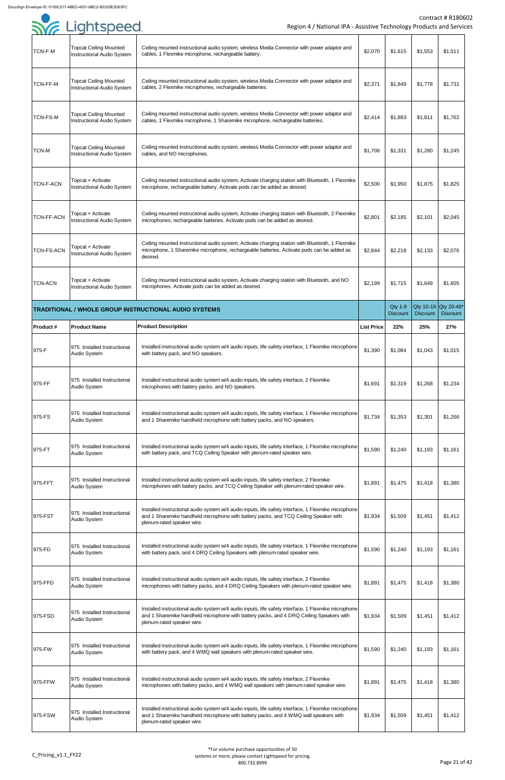| TCN-F-M           | <b>Topcat Ceiling Mounted</b><br><b>Instructional Audio System</b> | Ceiling mounted instructional audio system, wireless Media Connector with power adaptor and<br>cables, 1 Flexmike microphone, rechargeable battery.                                                                          | \$2,070           | \$1,615                           | \$1,553         | \$1,511                                 |
|-------------------|--------------------------------------------------------------------|------------------------------------------------------------------------------------------------------------------------------------------------------------------------------------------------------------------------------|-------------------|-----------------------------------|-----------------|-----------------------------------------|
| <b>TCN-FF-M</b>   | <b>Topcat Ceiling Mounted</b><br><b>Instructional Audio System</b> | Ceiling mounted instructional audio system, wireless Media Connector with power adaptor and<br>cables, 2 Flexmike microphones, rechargeable batteries.                                                                       | \$2,371           | \$1,849                           | \$1,778         | \$1,731                                 |
| TCN-FS-M          | <b>Topcat Ceiling Mounted</b><br><b>Instructional Audio System</b> | Ceiling mounted instructional audio system, wireless Media Connector with power adaptor and<br>cables, 1 Flexmike microphone, 1 Sharemike microphone, rechargeable batteries.                                                | \$2,414           | \$1,883                           | \$1,811         | \$1,762                                 |
| <b>TCN-M</b>      | <b>Topcat Ceiling Mounted</b><br><b>Instructional Audio System</b> | Ceiling mounted instructional audio system, wireless Media Connector with power adaptor and<br>cables, and NO microphones.                                                                                                   | \$1,706           | \$1,331                           | \$1,280         | \$1,245                                 |
| <b>TCN-F-ACN</b>  | Topcat + Activate<br><b>Instructional Audio System</b>             | Ceiling mounted instructional audio system, Activate charging station with Bluetooth, 1 Flexmike<br>microphone, rechargeable battery. Activate pods can be added as desired.                                                 | \$2,500           | \$1,950                           | \$1,875         | \$1,825                                 |
| <b>TCN-FF-ACN</b> | Topcat + Activate<br><b>Instructional Audio System</b>             | Ceiling mounted instructional audio system, Activate charging station with Bluetooth, 2 Flexmike<br>microphones, rechargeable batteries. Activate pods can be added as desired.                                              | \$2,801           | \$2,185                           | \$2,101         | \$2,045                                 |
| TCN-FS-ACN        | Topcat + Activate<br><b>Instructional Audio System</b>             | Ceiling mounted instructional audio system, Activate charging station with Bluetooth, 1 Flexmike<br>microphone, 1 Sharemike microphone, rechargeable batteries. Activate pods can be added as<br>desired.                    | \$2,844           | \$2,218                           | \$2,133         | \$2,076                                 |
| <b>TCN-ACN</b>    | Topcat + Activate<br><b>Instructional Audio System</b>             | Ceiling mounted instructional audio system, Activate charging station with Bluetooth, and NO<br>microphones. Activate pods can be added as desired.                                                                          | \$2,199           | \$1,715                           | \$1,649         | \$1,605                                 |
|                   |                                                                    | <b>TRADITIONAL / WHOLE GROUP INSTRUCTIONAL AUDIO SYSTEMS</b>                                                                                                                                                                 |                   | <b>Qty 1-9</b><br><b>Discount</b> | <b>Discount</b> | Qty 10-19 Qty 20-49*<br><b>Discount</b> |
| <b>Product #</b>  | <b>Product Name</b>                                                | <b>Product Description</b>                                                                                                                                                                                                   | <b>List Price</b> | 22%                               | 25%             | 27%                                     |
| 975-F             | 975 Installed Instructional<br>Audio System                        | Installed instructional audio system w/4 audio inputs, life safety interface, 1 Flexmike microphone<br>with battery pack, and NO speakers.                                                                                   | \$1,390           | \$1,084                           | \$1,043         | \$1,015                                 |
| 975-FF            | 975 Installed Instructional<br>Audio System                        | Installed instructional audio system w/4 audio inputs, life safety interface, 2 Flexmike<br>microphones with battery packs, and NO speakers.                                                                                 | \$1,691           | \$1,319                           | \$1,268         | \$1,234                                 |
| 975-FS            | 975 Installed Instructional<br>Audio System                        | Installed instructional audio system w/4 audio inputs, life safety interface, 1 Flexmike microphone<br>and 1 Sharemike handheld microphone with battery packs, and NO speakers.                                              | \$1,734           | \$1,353                           | \$1,301         | \$1,266                                 |
| 975-FT            | 975 Installed Instructional<br>Audio System                        | Installed instructional audio system w/4 audio inputs, life safety interface, 1 Flexmike microphone<br>with battery pack, and TCQ Ceiling Speaker with plenum-rated speaker wire.                                            | \$1,590           | \$1,240                           | \$1,193         | \$1,161                                 |
| 975-FFT           | 975 Installed Instructional<br>Audio System                        | Installed instructional audio system w/4 audio inputs, life safety interface, 2 Flexmike<br>microphones with battery packs, and TCQ Ceiling Speaker with plenum-rated speaker wire.                                          | \$1,891           | \$1,475                           | \$1,418         | \$1,380                                 |
| 975-FST           | 975 Installed Instructional<br>Audio System                        | Installed instructional audio system w/4 audio inputs, life safety interface, 1 Flexmike microphone<br>and 1 Sharemike handheld microphone with battery packs, and TCQ Ceiling Speaker with<br>plenum-rated speaker wire.    | \$1,934           | \$1,509                           | \$1,451         | \$1,412                                 |
| 975-FD            | 975 Installed Instructional<br>Audio System                        | Installed instructional audio system w/4 audio inputs, life safety interface, 1 Flexmike microphone<br>with battery pack, and 4 DRQ Ceiling Speakers with plenum-rated speaker wire.                                         | \$1,590           | \$1,240                           | \$1,193         | \$1,161                                 |
| 975-FFD           | 975 Installed Instructional<br>Audio System                        | Installed instructional audio system w/4 audio inputs, life safety interface, 2 Flexmike<br>microphones with battery packs, and 4 DRQ Ceiling Speakers with plenum-rated speaker wire.                                       | \$1,891           | \$1,475                           | \$1,418         | \$1,380                                 |
| 975-FSD           | 975 Installed Instructional<br>Audio System                        | Installed instructional audio system w/4 audio inputs, life safety interface, 1 Flexmike microphone<br>and 1 Sharemike handheld microphone with battery packs, and 4 DRQ Ceiling Speakers with<br>plenum-rated speaker wire. | \$1,934           | \$1,509                           | \$1,451         | \$1,412                                 |
| 975-FW            | 975 Installed Instructional<br>Audio System                        | Installed instructional audio system w/4 audio inputs, life safety interface, 1 Flexmike microphone<br>with battery pack, and 4 WMQ wall speakers with plenum-rated speaker wire.                                            | \$1,590           | \$1,240                           | \$1,193         | \$1,161                                 |
| 975-FFW           | 975 Installed Instructional<br>Audio System                        | Installed instructional audio system w/4 audio inputs, life safety interface, 2 Flexmike<br>microphones with battery packs, and 4 WMQ wall speakers with plenum-rated speaker wire.                                          | \$1,891           | \$1,475                           | \$1,418         | \$1,380                                 |
| 975-FSW           | 975 Installed Instructional<br>Audio System                        | Installed instructional audio system w/4 audio inputs, life safety interface, 1 Flexmike microphone<br>and 1 Sharemike handheld microphone with battery packs, and 4 WMQ wall speakers with<br>plenum-rated speaker wire.    | \$1,934           | \$1,509                           | \$1,451         | \$1,412                                 |

| <b>SYE Lightspeed</b> |
|-----------------------|
|                       |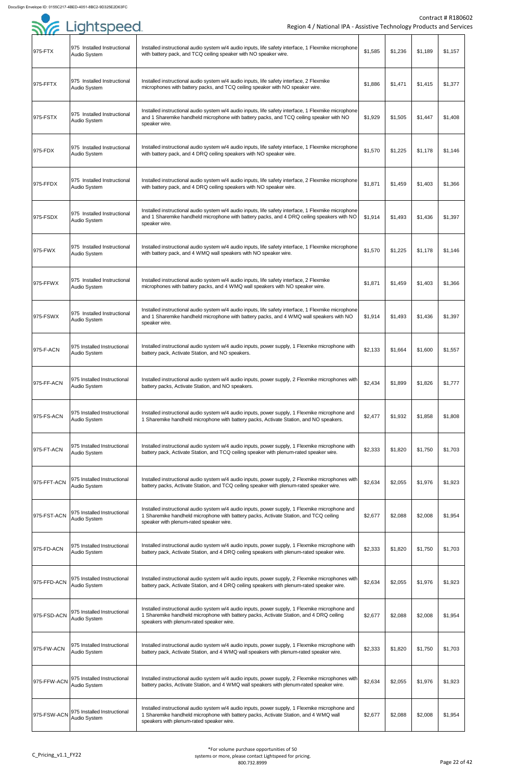| .           | 975 Installed Instructional                  | Installed instructional audio system w/4 audio inputs, life safety interface, 1 Flexmike microphone                                                                                                                                   |         |         |         |         |
|-------------|----------------------------------------------|---------------------------------------------------------------------------------------------------------------------------------------------------------------------------------------------------------------------------------------|---------|---------|---------|---------|
| 975-FTX     | Audio System                                 | with battery pack, and TCQ ceiling speaker with NO speaker wire.                                                                                                                                                                      | \$1,585 | \$1,236 | \$1,189 | \$1,157 |
| 975-FFTX    | 975 Installed Instructional<br>Audio System  | Installed instructional audio system w/4 audio inputs, life safety interface, 2 Flexmike<br>microphones with battery packs, and TCQ ceiling speaker with NO speaker wire.                                                             | \$1,886 | \$1,471 | \$1,415 | \$1,377 |
| 975-FSTX    | 975 Installed Instructional<br>Audio System  | Installed instructional audio system w/4 audio inputs, life safety interface, 1 Flexmike microphone<br>and 1 Sharemike handheld microphone with battery packs, and TCQ ceiling speaker with NO<br>speaker wire.                       | \$1,929 | \$1,505 | \$1,447 | \$1,408 |
| 975-FDX     | 1975 Installed Instructional<br>Audio System | Installed instructional audio system w/4 audio inputs, life safety interface, 1 Flexmike microphone<br>with battery pack, and 4 DRQ ceiling speakers with NO speaker wire.                                                            | \$1,570 | \$1,225 | \$1,178 | \$1,146 |
| 975-FFDX    | 975 Installed Instructional<br>Audio System  | Installed instructional audio system w/4 audio inputs, life safety interface, 2 Flexmike microphone<br>with battery pack, and 4 DRQ ceiling speakers with NO speaker wire.                                                            | \$1,871 | \$1,459 | \$1,403 | \$1,366 |
| 975-FSDX    | 975 Installed Instructional<br>Audio System  | Installed instructional audio system w/4 audio inputs, life safety interface, 1 Flexmike microphone<br>and 1 Sharemike handheld microphone with battery packs, and 4 DRQ ceiling speakers with NO<br>speaker wire.                    | \$1,914 | \$1,493 | \$1,436 | \$1,397 |
| 975-FWX     | 975 Installed Instructional<br>Audio System  | Installed instructional audio system w/4 audio inputs, life safety interface, 1 Flexmike microphone<br>with battery pack, and 4 WMQ wall speakers with NO speaker wire.                                                               | \$1,570 | \$1,225 | \$1,178 | \$1,146 |
| 975-FFWX    | 975 Installed Instructional<br>Audio System  | Installed instructional audio system w/4 audio inputs, life safety interface, 2 Flexmike<br>microphones with battery packs, and 4 WMQ wall speakers with NO speaker wire.                                                             | \$1,871 | \$1,459 | \$1,403 | \$1,366 |
| 975-FSWX    | 975 Installed Instructional<br>Audio System  | Installed instructional audio system w/4 audio inputs, life safety interface, 1 Flexmike microphone<br>and 1 Sharemike handheld microphone with battery packs, and 4 WMQ wall speakers with NO<br>speaker wire.                       | \$1,914 | \$1,493 | \$1,436 | \$1,397 |
| 975-F-ACN   | 975 Installed Instructional<br>Audio System  | Installed instructional audio system w/4 audio inputs, power supply, 1 Flexmike microphone with<br>battery pack, Activate Station, and NO speakers.                                                                                   | \$2,133 | \$1,664 | \$1,600 | \$1,557 |
| 975-FF-ACN  | 975 Installed Instructional<br>Audio System  | Installed instructional audio system w/4 audio inputs, power supply, 2 Flexmike microphones with<br>battery packs, Activate Station, and NO speakers.                                                                                 | \$2,434 | \$1,899 | \$1,826 | \$1,777 |
| 975-FS-ACN  | 975 Installed Instructional<br>Audio System  | Installed instructional audio system w/4 audio inputs, power supply, 1 Flexmike microphone and<br>1 Sharemike handheld microphone with battery packs, Activate Station, and NO speakers.                                              | \$2,477 | \$1,932 | \$1,858 | \$1,808 |
| 975-FT-ACN  | 975 Installed Instructional<br>Audio System  | Installed instructional audio system w/4 audio inputs, power supply, 1 Flexmike microphone with<br>battery pack, Activate Station, and TCQ ceiling speaker with plenum-rated speaker wire.                                            | \$2,333 | \$1,820 | \$1,750 | \$1,703 |
| 975-FFT-ACN | 975 Installed Instructional<br>Audio System  | Installed instructional audio system w/4 audio inputs, power supply, 2 Flexmike microphones with<br>battery packs, Activate Station, and TCQ ceiling speaker with plenum-rated speaker wire.                                          | \$2,634 | \$2,055 | \$1,976 | \$1,923 |
| 975-FST-ACN | 975 Installed Instructional<br>Audio System  | Installed instructional audio system w/4 audio inputs, power supply, 1 Flexmike microphone and<br>1 Sharemike handheld microphone with battery packs, Activate Station, and TCQ ceiling<br>speaker with plenum-rated speaker wire.    | \$2,677 | \$2,088 | \$2,008 | \$1,954 |
| 975-FD-ACN  | 975 Installed Instructional<br>Audio System  | Installed instructional audio system w/4 audio inputs, power supply, 1 Flexmike microphone with<br>battery pack, Activate Station, and 4 DRQ ceiling speakers with plenum-rated speaker wire.                                         | \$2,333 | \$1,820 | \$1,750 | \$1,703 |
| 975-FFD-ACN | 975 Installed Instructional<br>Audio System  | Installed instructional audio system w/4 audio inputs, power supply, 2 Flexmike microphones with<br>battery pack, Activate Station, and 4 DRQ ceiling speakers with plenum-rated speaker wire.                                        | \$2,634 | \$2,055 | \$1,976 | \$1,923 |
| 975-FSD-ACN | 975 Installed Instructional<br>Audio System  | Installed instructional audio system w/4 audio inputs, power supply, 1 Flexmike microphone and<br>1 Sharemike handheld microphone with battery packs, Activate Station, and 4 DRQ ceiling<br>speakers with plenum-rated speaker wire. | \$2,677 | \$2,088 | \$2,008 | \$1,954 |
| 975-FW-ACN  | 975 Installed Instructional<br>Audio System  | Installed instructional audio system w/4 audio inputs, power supply, 1 Flexmike microphone with<br>battery pack, Activate Station, and 4 WMQ wall speakers with plenum-rated speaker wire.                                            | \$2,333 | \$1,820 | \$1,750 | \$1,703 |
| 975-FFW-ACN | 975 Installed Instructional<br>Audio System  | Installed instructional audio system w/4 audio inputs, power supply, 2 Flexmike microphones with<br>battery packs, Activate Station, and 4 WMQ wall speakers with plenum-rated speaker wire.                                          | \$2,634 | \$2,055 | \$1,976 | \$1,923 |
| 975-FSW-ACN | 975 Installed Instructional<br>Audio System  | Installed instructional audio system w/4 audio inputs, power supply, 1 Flexmike microphone and<br>1 Sharemike handheld microphone with battery packs, Activate Station, and 4 WMQ wall<br>speakers with plenum-rated speaker wire.    | \$2,677 | \$2,088 | \$2,008 | \$1,954 |

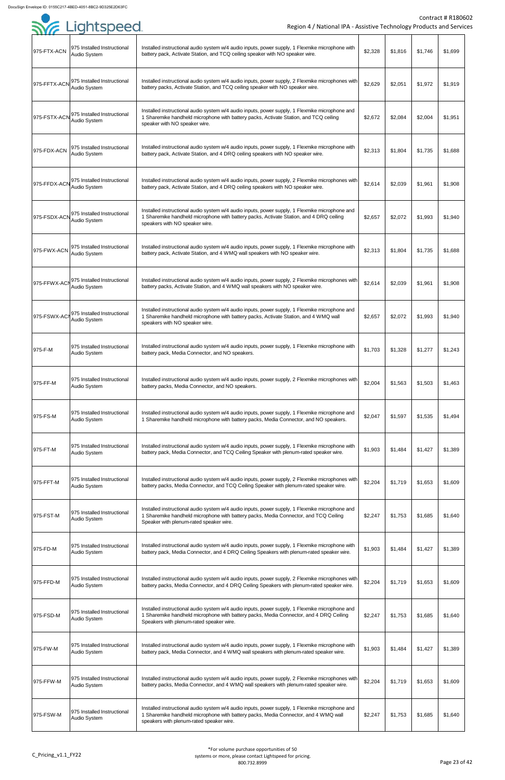| 975-FTX-ACN  | 975 Installed Instructional<br>Audio System        | Installed instructional audio system w/4 audio inputs, power supply, 1 Flexmike microphone with<br>battery pack, Activate Station, and TCQ ceiling speaker with NO speaker wire.                                                     | \$2,328 | \$1,816 | \$1,746 | \$1,699 |
|--------------|----------------------------------------------------|--------------------------------------------------------------------------------------------------------------------------------------------------------------------------------------------------------------------------------------|---------|---------|---------|---------|
| 975-FFTX-ACN | 975 Installed Instructional<br>Audio System        | Installed instructional audio system w/4 audio inputs, power supply, 2 Flexmike microphones with<br>battery packs, Activate Station, and TCQ ceiling speaker with NO speaker wire.                                                   | \$2,629 | \$2,051 | \$1,972 | \$1,919 |
| 975-FSTX-ACN | 975 Installed Instructional<br>Audio System        | Installed instructional audio system w/4 audio inputs, power supply, 1 Flexmike microphone and<br>1 Sharemike handheld microphone with battery packs, Activate Station, and TCQ ceiling<br>speaker with NO speaker wire.             | \$2,672 | \$2,084 | \$2,004 | \$1,951 |
| 975-FDX-ACN  | 975 Installed Instructional<br>Audio System        | Installed instructional audio system w/4 audio inputs, power supply, 1 Flexmike microphone with<br>battery pack, Activate Station, and 4 DRQ ceiling speakers with NO speaker wire.                                                  | \$2,313 | \$1,804 | \$1,735 | \$1,688 |
| 975-FFDX-ACN | 975 Installed Instructional<br>Audio System        | Installed instructional audio system w/4 audio inputs, power supply, 2 Flexmike microphones with<br>battery pack, Activate Station, and 4 DRQ ceiling speakers with NO speaker wire.                                                 | \$2,614 | \$2,039 | \$1,961 | \$1,908 |
| 975-FSDX-AC  | 975 Installed Instructional<br>Audio System        | Installed instructional audio system w/4 audio inputs, power supply, 1 Flexmike microphone and<br>1 Sharemike handheld microphone with battery packs, Activate Station, and 4 DRQ ceiling<br>speakers with NO speaker wire.          | \$2,657 | \$2,072 | \$1,993 | \$1,940 |
| 975-FWX-ACN  | 1975 Installed Instructional<br>Audio System       | Installed instructional audio system w/4 audio inputs, power supply, 1 Flexmike microphone with<br>battery pack, Activate Station, and 4 WMQ wall speakers with NO speaker wire.                                                     | \$2,313 | \$1,804 | \$1,735 | \$1,688 |
| 975-FFWX-AC  | 975 Installed Instructional<br><b>Audio System</b> | Installed instructional audio system w/4 audio inputs, power supply, 2 Flexmike microphones with<br>battery packs, Activate Station, and 4 WMQ wall speakers with NO speaker wire.                                                   | \$2,614 | \$2,039 | \$1,961 | \$1,908 |
| 975-FSWX-AC  | 975 Installed Instructional<br>Audio System        | Installed instructional audio system w/4 audio inputs, power supply, 1 Flexmike microphone and<br>1 Sharemike handheld microphone with battery packs, Activate Station, and 4 WMQ wall<br>speakers with NO speaker wire.             | \$2,657 | \$2,072 | \$1,993 | \$1,940 |
| 975-F-M      | 975 Installed Instructional<br>Audio System        | Installed instructional audio system w/4 audio inputs, power supply, 1 Flexmike microphone with<br>battery pack, Media Connector, and NO speakers.                                                                                   | \$1,703 | \$1,328 | \$1,277 | \$1,243 |
| 975-FF-M     | 975 Installed Instructional<br><b>Audio System</b> | Installed instructional audio system w/4 audio inputs, power supply, 2 Flexmike microphones with<br>battery packs, Media Connector, and NO speakers.                                                                                 | \$2,004 | \$1,563 | \$1,503 | \$1,463 |
| 975-FS-M     | 975 Installed Instructional<br>Audio System        | Installed instructional audio system w/4 audio inputs, power supply, 1 Flexmike microphone and<br>1 Sharemike handheld microphone with battery packs, Media Connector, and NO speakers.                                              | \$2,047 | \$1,597 | \$1,535 | \$1,494 |
| 975-FT-M     | 975 Installed Instructional<br>Audio System        | Installed instructional audio system w/4 audio inputs, power supply, 1 Flexmike microphone with<br>battery pack, Media Connector, and TCQ Ceiling Speaker with plenum-rated speaker wire.                                            | \$1,903 | \$1,484 | \$1,427 | \$1,389 |
| 975-FFT-M    | 975 Installed Instructional<br>Audio System        | Installed instructional audio system w/4 audio inputs, power supply, 2 Flexmike microphones with<br>battery packs, Media Connector, and TCQ Ceiling Speaker with plenum-rated speaker wire.                                          | \$2,204 | \$1,719 | \$1,653 | \$1,609 |
| 975-FST-M    | 975 Installed Instructional<br>Audio System        | Installed instructional audio system w/4 audio inputs, power supply, 1 Flexmike microphone and<br>1 Sharemike handheld microphone with battery packs, Media Connector, and TCQ Ceiling<br>Speaker with plenum-rated speaker wire.    | \$2,247 | \$1,753 | \$1,685 | \$1,640 |
| 975-FD-M     | 975 Installed Instructional<br>Audio System        | Installed instructional audio system w/4 audio inputs, power supply, 1 Flexmike microphone with<br>battery pack, Media Connector, and 4 DRQ Ceiling Speakers with plenum-rated speaker wire.                                         | \$1,903 | \$1,484 | \$1,427 | \$1,389 |
| 975-FFD-M    | 975 Installed Instructional<br>Audio System        | Installed instructional audio system w/4 audio inputs, power supply, 2 Flexmike microphones with<br>battery packs, Media Connector, and 4 DRQ Ceiling Speakers with plenum-rated speaker wire.                                       | \$2,204 | \$1,719 | \$1,653 | \$1,609 |
| 975-FSD-M    | 975 Installed Instructional<br>Audio System        | Installed instructional audio system w/4 audio inputs, power supply, 1 Flexmike microphone and<br>1 Sharemike handheld microphone with battery packs, Media Connector, and 4 DRQ Ceiling<br>Speakers with plenum-rated speaker wire. | \$2,247 | \$1,753 | \$1,685 | \$1,640 |
| 975-FW-M     | 975 Installed Instructional<br>Audio System        | Installed instructional audio system w/4 audio inputs, power supply, 1 Flexmike microphone with<br>battery pack, Media Connector, and 4 WMQ wall speakers with plenum-rated speaker wire.                                            | \$1,903 | \$1,484 | \$1,427 | \$1,389 |
| 975-FFW-M    | 975 Installed Instructional<br>Audio System        | Installed instructional audio system w/4 audio inputs, power supply, 2 Flexmike microphones with<br>battery packs, Media Connector, and 4 WMQ wall speakers with plenum-rated speaker wire.                                          | \$2,204 | \$1,719 | \$1,653 | \$1,609 |
| 975-FSW-M    | 975 Installed Instructional<br>Audio System        | Installed instructional audio system w/4 audio inputs, power supply, 1 Flexmike microphone and<br>1 Sharemike handheld microphone with battery packs, Media Connector, and 4 WMQ wall<br>speakers with plenum-rated speaker wire.    | \$2,247 | \$1,753 | \$1,685 | \$1,640 |

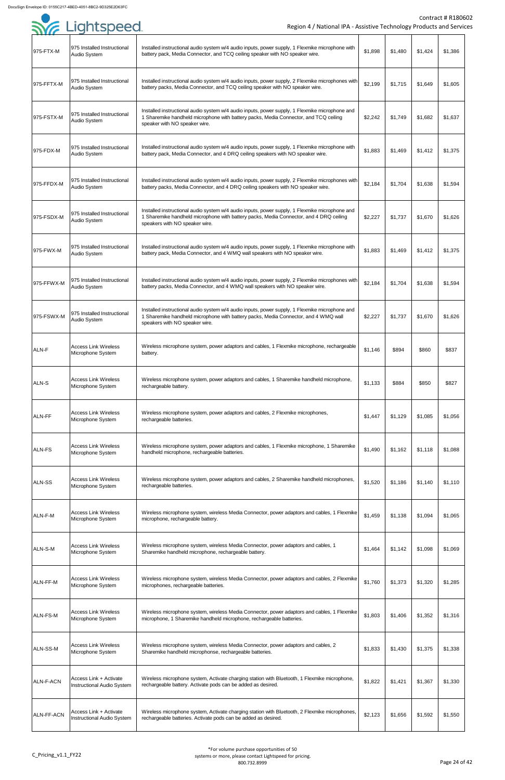| .<br>975-FTX-M    | 975 Installed Instructional<br>Audio System          | Installed instructional audio system w/4 audio inputs, power supply, 1 Flexmike microphone with<br>battery pack, Media Connector, and TCQ ceiling speaker with NO speaker wire.                                            | \$1,898 | \$1,480 | \$1,424 | \$1,386 |
|-------------------|------------------------------------------------------|----------------------------------------------------------------------------------------------------------------------------------------------------------------------------------------------------------------------------|---------|---------|---------|---------|
| 975-FFTX-M        | 975 Installed Instructional<br>Audio System          | Installed instructional audio system w/4 audio inputs, power supply, 2 Flexmike microphones with<br>battery packs, Media Connector, and TCQ ceiling speaker with NO speaker wire.                                          | \$2,199 | \$1,715 | \$1,649 | \$1,605 |
| 975-FSTX-M        | 975 Installed Instructional                          | Installed instructional audio system w/4 audio inputs, power supply, 1 Flexmike microphone and<br>1 Sharemike handheld microphone with battery packs, Media Connector, and TCQ ceiling                                     | \$2,242 | \$1,749 | \$1,682 | \$1,637 |
|                   | Audio System<br>975 Installed Instructional          | speaker with NO speaker wire.<br>Installed instructional audio system w/4 audio inputs, power supply, 1 Flexmike microphone with                                                                                           |         |         |         |         |
| 975-FDX-M         | Audio System                                         | battery pack, Media Connector, and 4 DRQ ceiling speakers with NO speaker wire.                                                                                                                                            | \$1,883 | \$1,469 | \$1,412 | \$1,375 |
| 975-FFDX-M        | 975 Installed Instructional<br>Audio System          | Installed instructional audio system w/4 audio inputs, power supply, 2 Flexmike microphones with<br>battery packs, Media Connector, and 4 DRQ ceiling speakers with NO speaker wire.                                       | \$2,184 | \$1,704 | \$1,638 | \$1,594 |
| 975-FSDX-M        | 975 Installed Instructional<br>Audio System          | Installed instructional audio system w/4 audio inputs, power supply, 1 Flexmike microphone and<br>1 Sharemike handheld microphone with battery packs, Media Connector, and 4 DRQ ceiling<br>speakers with NO speaker wire. | \$2,227 | \$1,737 | \$1,670 | \$1,626 |
| 975-FWX-M         | 975 Installed Instructional<br><b>Audio System</b>   | Installed instructional audio system w/4 audio inputs, power supply, 1 Flexmike microphone with<br>battery pack, Media Connector, and 4 WMQ wall speakers with NO speaker wire.                                            | \$1,883 | \$1,469 | \$1,412 | \$1,375 |
| 975-FFWX-M        | 975 Installed Instructional<br>Audio System          | Installed instructional audio system w/4 audio inputs, power supply, 2 Flexmike microphones with<br>battery packs, Media Connector, and 4 WMQ wall speakers with NO speaker wire.                                          | \$2,184 | \$1,704 | \$1,638 | \$1,594 |
| 975-FSWX-M        | 975 Installed Instructional<br>Audio System          | Installed instructional audio system w/4 audio inputs, power supply, 1 Flexmike microphone and<br>1 Sharemike handheld microphone with battery packs, Media Connector, and 4 WMQ wall<br>speakers with NO speaker wire.    | \$2,227 | \$1,737 | \$1,670 | \$1,626 |
| ALN-F             | <b>Access Link Wireless</b><br>Microphone System     | Wireless microphone system, power adaptors and cables, 1 Flexmike microphone, rechargeable<br>battery.                                                                                                                     | \$1,146 | \$894   | \$860   | \$837   |
| <b>ALN-S</b>      | <b>Access Link Wireless</b><br>Microphone System     | Wireless microphone system, power adaptors and cables, 1 Sharemike handheld microphone,<br>rechargeable battery.                                                                                                           | \$1,133 | \$884   | \$850   | \$827   |
| <b>ALN-FF</b>     | <b>Access Link Wireless</b><br>Microphone System     | Wireless microphone system, power adaptors and cables, 2 Flexmike microphones,<br>rechargeable batteries.                                                                                                                  | \$1,447 | \$1,129 | \$1,085 | \$1,056 |
| <b>ALN-FS</b>     | <b>Access Link Wireless</b><br>Microphone System     | Wireless microphone system, power adaptors and cables, 1 Flexmike microphone, 1 Sharemike<br>handheld microphone, rechargeable batteries.                                                                                  | \$1,490 | \$1,162 | \$1,118 | \$1,088 |
| <b>ALN-SS</b>     | <b>Access Link Wireless</b><br>Microphone System     | Wireless microphone system, power adaptors and cables, 2 Sharemike handheld microphones,<br>rechargeable batteries.                                                                                                        | \$1,520 | \$1,186 | \$1,140 | \$1,110 |
| ALN-F-M           | <b>Access Link Wireless</b><br>Microphone System     | Wireless microphone system, wireless Media Connector, power adaptors and cables, 1 Flexmike<br>microphone, rechargeable battery.                                                                                           | \$1,459 | \$1,138 | \$1,094 | \$1,065 |
| ALN-S-M           | <b>Access Link Wireless</b><br>Microphone System     | Wireless microphone system, wireless Media Connector, power adaptors and cables, 1<br>Sharemike handheld microphone, rechargeable battery.                                                                                 | \$1,464 | \$1,142 | \$1,098 | \$1,069 |
| ALN-FF-M          | <b>Access Link Wireless</b><br>Microphone System     | Wireless microphone system, wireless Media Connector, power adaptors and cables, 2 Flexmike<br>microphones, rechargeable batteries.                                                                                        | \$1,760 | \$1,373 | \$1,320 | \$1,285 |
| <b>ALN-FS-M</b>   | <b>Access Link Wireless</b><br>Microphone System     | Wireless microphone system, wireless Media Connector, power adaptors and cables, 1 Flexmike<br>microphone, 1 Sharemike handheld microphone, rechargeable batteries.                                                        | \$1,803 | \$1,406 | \$1,352 | \$1,316 |
| ALN-SS-M          | <b>Access Link Wireless</b><br>Microphone System     | Wireless microphone system, wireless Media Connector, power adaptors and cables, 2<br>Sharemike handheld microphonse, rechargeable batteries.                                                                              | \$1,833 | \$1,430 | \$1,375 | \$1,338 |
| ALN-F-ACN         | Access Link + Activate<br>Instructional Audio System | Wireless microphone system, Activate charging station with Bluetooth, 1 Flexmike microphone,<br>rechargeable battery. Activate pods can be added as desired.                                                               | \$1,822 | \$1,421 | \$1,367 | \$1,330 |
| <b>ALN-FF-ACN</b> | Access Link + Activate<br>Instructional Audio System | Wireless microphone system, Activate charging station with Bluetooth, 2 Flexmike microphones,<br>rechargeable batteries. Activate pods can be added as desired.                                                            | \$2,123 | \$1,656 | \$1,592 | \$1,550 |

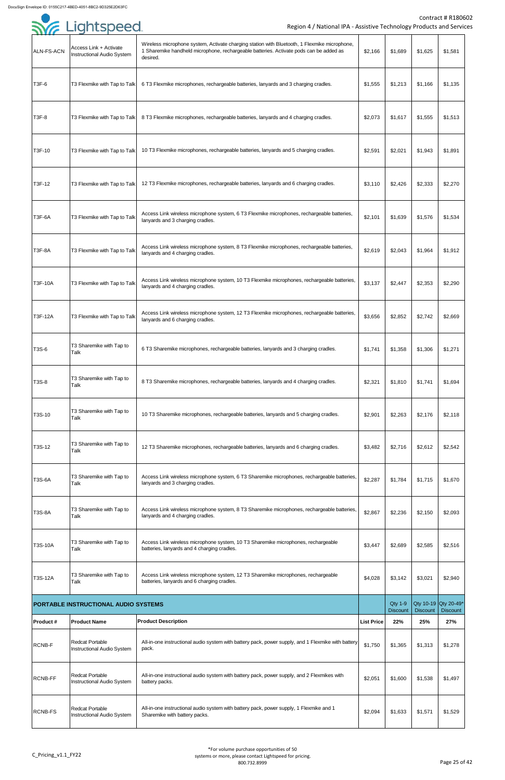

|                   |                                                             |                                                                                                                                                                                                    |                   |                                   |                 | Contract # R1806                        |
|-------------------|-------------------------------------------------------------|----------------------------------------------------------------------------------------------------------------------------------------------------------------------------------------------------|-------------------|-----------------------------------|-----------------|-----------------------------------------|
|                   | SYG Lightspeed                                              | Region 4 / National IPA - Assistive Technology Products and Servic                                                                                                                                 |                   |                                   |                 |                                         |
| <b>ALN-FS-ACN</b> | Access Link + Activate<br>Instructional Audio System        | Wireless microphone system, Activate charging station with Bluetooth, 1 Flexmike microphone,<br>1 Sharemike handheld microphone, rechargeable batteries. Activate pods can be added as<br>desired. | \$2,166           | \$1,689                           | \$1,625         | \$1,581                                 |
| T3F-6             | T3 Flexmike with Tap to Talk                                | 6 T3 Flexmike microphones, rechargeable batteries, lanyards and 3 charging cradles.                                                                                                                | \$1,555           | \$1,213                           | \$1,166         | \$1,135                                 |
| <b>T3F-8</b>      | T3 Flexmike with Tap to Talk                                | 8 T3 Flexmike microphones, rechargeable batteries, lanyards and 4 charging cradles.                                                                                                                | \$2,073           | \$1,617                           | \$1,555         | \$1,513                                 |
| T3F-10            | T3 Flexmike with Tap to Talk                                | 10 T3 Flexmike microphones, rechargeable batteries, lanyards and 5 charging cradles.                                                                                                               | \$2,591           | \$2,021                           | \$1,943         | \$1,891                                 |
| T3F-12            | T3 Flexmike with Tap to Talk                                | 12 T3 Flexmike microphones, rechargeable batteries, lanyards and 6 charging cradles.                                                                                                               | \$3,110           | \$2,426                           | \$2,333         | \$2,270                                 |
| <b>T3F-6A</b>     | T3 Flexmike with Tap to Talk                                | Access Link wireless microphone system, 6 T3 Flexmike microphones, rechargeable batteries,<br>lanyards and 3 charging cradles.                                                                     | \$2,101           | \$1,639                           | \$1,576         | \$1,534                                 |
| T3F-8A            | T3 Flexmike with Tap to Talk                                | Access Link wireless microphone system, 8 T3 Flexmike microphones, rechargeable batteries,<br>lanyards and 4 charging cradles.                                                                     | \$2,619           | \$2,043                           | \$1,964         | \$1,912                                 |
| <b>T3F-10A</b>    | T3 Flexmike with Tap to Talk                                | Access Link wireless microphone system, 10 T3 Flexmike microphones, rechargeable batteries,<br>lanyards and 4 charging cradles.                                                                    | \$3,137           | \$2,447                           | \$2,353         | \$2,290                                 |
| <b>T3F-12A</b>    | T3 Flexmike with Tap to Talk                                | Access Link wireless microphone system, 12 T3 Flexmike microphones, rechargeable batteries,<br>lanyards and 6 charging cradles.                                                                    | \$3,656           | \$2,852                           | \$2,742         | \$2,669                                 |
| <b>T3S-6</b>      | T3 Sharemike with Tap to<br>Talk                            | 6 T3 Sharemike microphones, rechargeable batteries, lanyards and 3 charging cradles.                                                                                                               | \$1,741           | \$1,358                           | \$1,306         | \$1,271                                 |
| T3S-8             | T3 Sharemike with Tap to<br>Talk                            | 8 T3 Sharemike microphones, rechargeable batteries, lanyards and 4 charging cradles.                                                                                                               | \$2,321           | \$1,810                           | \$1,741         | \$1,694                                 |
| T3S-10            | T3 Sharemike with Tap to<br>Talk                            | 10 T3 Sharemike microphones, rechargeable batteries, lanyards and 5 charging cradles.                                                                                                              | \$2,901           | \$2,263                           | \$2,176         | \$2,118                                 |
| T3S-12            | T3 Sharemike with Tap to<br>Talk                            | 12 T3 Sharemike microphones, rechargeable batteries, lanyards and 6 charging cradles.                                                                                                              | \$3,482           | \$2,716                           | \$2,612         | \$2,542                                 |
| <b>T3S-6A</b>     | T3 Sharemike with Tap to<br>Talk                            | Access Link wireless microphone system, 6 T3 Sharemike microphones, rechargeable batteries,<br>lanyards and 3 charging cradles.                                                                    | \$2,287           | \$1,784                           | \$1,715         | \$1,670                                 |
| <b>T3S-8A</b>     | T3 Sharemike with Tap to<br>Talk                            | Access Link wireless microphone system, 8 T3 Sharemike microphones, rechargeable batteries,<br>lanyards and 4 charging cradles.                                                                    | \$2,867           | \$2,236                           | \$2,150         | \$2,093                                 |
| <b>T3S-10A</b>    | T3 Sharemike with Tap to<br>Talk                            | Access Link wireless microphone system, 10 T3 Sharemike microphones, rechargeable<br>batteries, lanyards and 4 charging cradles.                                                                   | \$3,447           | \$2,689                           | \$2,585         | \$2,516                                 |
| <b>T3S-12A</b>    | T3 Sharemike with Tap to<br>Talk                            | Access Link wireless microphone system, 12 T3 Sharemike microphones, rechargeable<br>batteries, lanyards and 6 charging cradles.                                                                   | \$4,028           | \$3,142                           | \$3,021         | \$2,940                                 |
|                   | PORTABLE INSTRUCTIONAL AUDIO SYSTEMS                        |                                                                                                                                                                                                    |                   | <b>Qty 1-9</b><br><b>Discount</b> | <b>Discount</b> | Qty 10-19 Qty 20-49*<br><b>Discount</b> |
| <b>Product#</b>   | <b>Product Name</b>                                         | <b>Product Description</b>                                                                                                                                                                         | <b>List Price</b> | 22%                               | 25%             | 27%                                     |
| <b>RCNB-F</b>     | <b>Redcat Portable</b><br><b>Instructional Audio System</b> | All-in-one instructional audio system with battery pack, power supply, and 1 Flexmike with battery<br>pack.                                                                                        | \$1,750           | \$1,365                           | \$1,313         | \$1,278                                 |
| <b>RCNB-FF</b>    | <b>Redcat Portable</b><br><b>Instructional Audio System</b> | All-in-one instructional audio system with battery pack, power supply, and 2 Flexmikes with<br>battery packs.                                                                                      | \$2,051           | \$1,600                           | \$1,538         | \$1,497                                 |
| <b>RCNB-FS</b>    | <b>Redcat Portable</b><br>Instructional Audio System        | All-in-one instructional audio system with battery pack, power supply, 1 Flexmike and 1<br>Sharemike with battery packs.                                                                           | \$2,094           | \$1,633                           | \$1,571         | \$1,529                                 |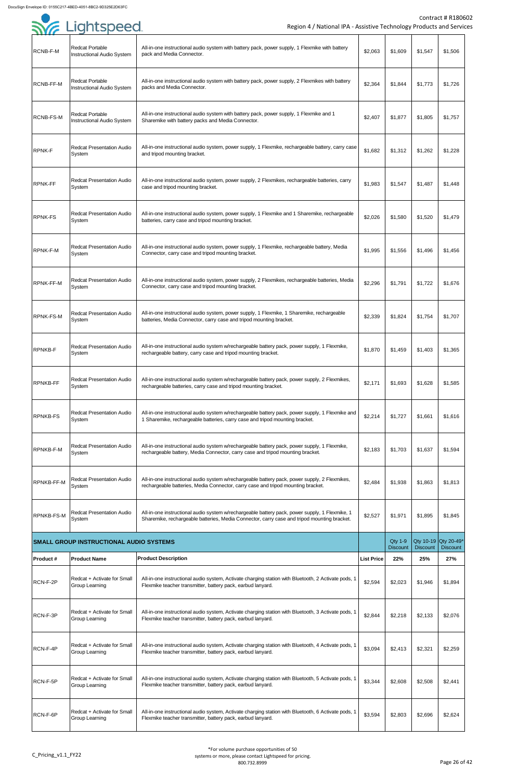| RCNB-F-M          | <b>Redcat Portable</b><br>Instructional Audio System        | All-in-one instructional audio system with battery pack, power supply, 1 Flexmike with battery<br>pack and Media Connector.                                                                   | \$2,063           | \$1,609                           | \$1,547         | \$1,506                                 |
|-------------------|-------------------------------------------------------------|-----------------------------------------------------------------------------------------------------------------------------------------------------------------------------------------------|-------------------|-----------------------------------|-----------------|-----------------------------------------|
| RCNB-FF-M         | <b>Redcat Portable</b><br><b>Instructional Audio System</b> | All-in-one instructional audio system with battery pack, power supply, 2 Flexmikes with battery<br>packs and Media Connector.                                                                 | \$2,364           | \$1,844                           | \$1,773         | \$1,726                                 |
| <b>RCNB-FS-M</b>  | <b>Redcat Portable</b><br>Instructional Audio System        | All-in-one instructional audio system with battery pack, power supply, 1 Flexmike and 1<br>Sharemike with battery packs and Media Connector.                                                  | \$2,407           | \$1,877                           | \$1,805         | \$1,757                                 |
| <b>RPNK-F</b>     | <b>Redcat Presentation Audio</b><br>System                  | All-in-one instructional audio system, power supply, 1 Flexmike, rechargeable battery, carry case<br>and tripod mounting bracket.                                                             | \$1,682           | \$1,312                           | \$1,262         | \$1,228                                 |
| <b>RPNK-FF</b>    | <b>Redcat Presentation Audio</b><br>System                  | All-in-one instructional audio system, power supply, 2 Flexmikes, rechargeable batteries, carry<br>case and tripod mounting bracket.                                                          | \$1,983           | \$1,547                           | \$1,487         | \$1,448                                 |
| <b>RPNK-FS</b>    | <b>Redcat Presentation Audio</b><br>System                  | All-in-one instructional audio system, power supply, 1 Flexmike and 1 Sharemike, rechargeable<br>batteries, carry case and tripod mounting bracket.                                           | \$2,026           | \$1,580                           | \$1,520         | \$1,479                                 |
| RPNK-F-M          | <b>Redcat Presentation Audio</b><br>System                  | All-in-one instructional audio system, power supply, 1 Flexmike, rechargeable battery, Media<br>Connector, carry case and tripod mounting bracket.                                            | \$1,995           | \$1,556                           | \$1,496         | \$1,456                                 |
| <b>RPNK-FF-M</b>  | <b>Redcat Presentation Audio</b><br>System                  | All-in-one instructional audio system, power supply, 2 Flexmikes, rechargeable batteries, Media<br>Connector, carry case and tripod mounting bracket.                                         | \$2,296           | \$1,791                           | \$1,722         | \$1,676                                 |
| <b>RPNK-FS-M</b>  | <b>Redcat Presentation Audio</b><br>System                  | All-in-one instructional audio system, power supply, 1 Flexmike, 1 Sharemike, rechargeable<br>batteries, Media Connector, carry case and tripod mounting bracket.                             | \$2,339           | \$1,824                           | \$1,754         | \$1,707                                 |
| <b>RPNKB-F</b>    | <b>Redcat Presentation Audio</b><br>System                  | All-in-one instructional audio system w/rechargeable battery pack, power supply, 1 Flexmike,<br>rechargeable battery, carry case and tripod mounting bracket.                                 | \$1,870           | \$1,459                           | \$1,403         | \$1,365                                 |
| <b>RPNKB-FF</b>   | <b>Redcat Presentation Audio</b><br>System                  | All-in-one instructional audio system w/rechargeable battery pack, power supply, 2 Flexmikes,<br>rechargeable batteries, carry case and tripod mounting bracket.                              | \$2,171           | \$1,693                           | \$1,628         | \$1,585                                 |
| <b>RPNKB-FS</b>   | <b>Redcat Presentation Audio</b><br>System                  | All-in-one instructional audio system w/rechargeable battery pack, power supply, 1 Flexmike and<br>1 Sharemike, rechargeable batteries, carry case and tripod mounting bracket.               | \$2,214           | \$1,727                           | \$1,661         | \$1,616                                 |
| <b>RPNKB-F-M</b>  | <b>Redcat Presentation Audio</b><br>System                  | All-in-one instructional audio system w/rechargeable battery pack, power supply, 1 Flexmike,<br>rechargeable battery, Media Connector, carry case and tripod mounting bracket.                | \$2,183           | \$1,703                           | \$1,637         | \$1,594                                 |
| <b>RPNKB-FF-M</b> | <b>Redcat Presentation Audio</b><br>System                  | All-in-one instructional audio system w/rechargeable battery pack, power supply, 2 Flexmikes,<br>rechargeable batteries, Media Connector, carry case and tripod mounting bracket.             | \$2,484           | \$1,938                           | \$1,863         | \$1,813                                 |
| <b>RPNKB-FS-M</b> | <b>Redcat Presentation Audio</b><br>System                  | All-in-one instructional audio system w/rechargeable battery pack, power supply, 1 Flexmike, 1<br>Sharemike, rechargeable batteries, Media Connector, carry case and tripod mounting bracket. | \$2,527           | \$1,971                           | \$1,895         | \$1,845                                 |
|                   | <b>SMALL GROUP INSTRUCTIONAL AUDIO SYSTEMS</b>              |                                                                                                                                                                                               |                   | <b>Qty 1-9</b><br><b>Discount</b> | <b>Discount</b> | Qty 10-19 Qty 20-49*<br><b>Discount</b> |
| <b>Product #</b>  | <b>Product Name</b>                                         | <b>Product Description</b>                                                                                                                                                                    | <b>List Price</b> | 22%                               | 25%             | 27%                                     |
| RCN-F-2P          | Redcat + Activate for Small<br><b>Group Learning</b>        | All-in-one instructional audio system, Activate charging station with Bluetooth, 2 Activate pods, 1<br>Flexmike teacher transmitter, battery pack, earbud lanyard.                            | \$2,594           | \$2,023                           | \$1,946         | \$1,894                                 |
| RCN-F-3P          | Redcat + Activate for Small<br><b>Group Learning</b>        | All-in-one instructional audio system, Activate charging station with Bluetooth, 3 Activate pods, 1<br>Flexmike teacher transmitter, battery pack, earbud lanyard.                            | \$2,844           | \$2,218                           | \$2,133         | \$2,076                                 |
| RCN-F-4P          | Redcat + Activate for Small<br><b>Group Learning</b>        | All-in-one instructional audio system, Activate charging station with Bluetooth, 4 Activate pods, 1<br>Flexmike teacher transmitter, battery pack, earbud lanyard.                            | \$3,094           | \$2,413                           | \$2,321         | \$2,259                                 |
| RCN-F-5P          | Redcat + Activate for Small<br><b>Group Learning</b>        | All-in-one instructional audio system, Activate charging station with Bluetooth, 5 Activate pods, 1<br>Flexmike teacher transmitter, battery pack, earbud lanyard.                            | \$3,344           | \$2,608                           | \$2,508         | \$2,441                                 |
| RCN-F-6P          | Redcat + Activate for Small<br>Group Learning               | All-in-one instructional audio system, Activate charging station with Bluetooth, 6 Activate pods, 1<br>Flexmike teacher transmitter, battery pack, earbud lanyard.                            | \$3,594           | \$2,803                           | \$2,696         | \$2,624                                 |

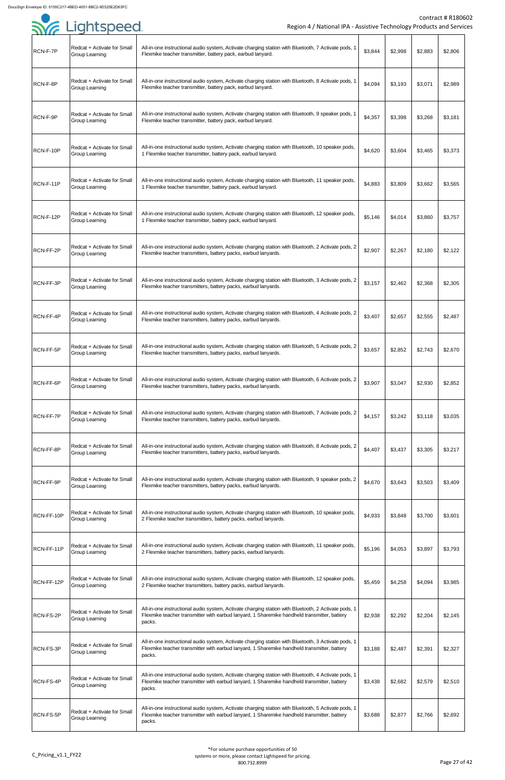| RCN-F-7P   | Redcat + Activate for Small<br><b>Group Learning</b>        | All-in-one instructional audio system, Activate charging station with Bluetooth, 7 Activate pods, 1<br>Flexmike teacher transmitter, battery pack, earbud lanyard.                                           | \$3,844 | \$2,998 | \$2,883 | \$2,806 |
|------------|-------------------------------------------------------------|--------------------------------------------------------------------------------------------------------------------------------------------------------------------------------------------------------------|---------|---------|---------|---------|
| RCN-F-8P   | Redcat + Activate for Small<br><b>Group Learning</b>        | All-in-one instructional audio system, Activate charging station with Bluetooth, 8 Activate pods, 1<br>Flexmike teacher transmitter, battery pack, earbud lanyard.                                           | \$4,094 | \$3,193 | \$3,071 | \$2,989 |
| RCN-F-9P   | Redcat + Activate for Small<br>Group Learning               | All-in-one instructional audio system, Activate charging station with Bluetooth, 9 speaker pods, 1<br>Flexmike teacher transmitter, battery pack, earbud lanyard.                                            | \$4,357 | \$3,398 | \$3,268 | \$3,181 |
| RCN-F-10P  | Redcat + Activate for Small<br><b>Group Learning</b>        | All-in-one instructional audio system, Activate charging station with Bluetooth, 10 speaker pods,<br>1 Flexmike teacher transmitter, battery pack, earbud lanyard.                                           | \$4,620 | \$3,604 | \$3,465 | \$3,373 |
| RCN-F-11P  | Redcat + Activate for Small<br><b>Group Learning</b>        | All-in-one instructional audio system, Activate charging station with Bluetooth, 11 speaker pods,<br>1 Flexmike teacher transmitter, battery pack, earbud lanyard.                                           | \$4,883 | \$3,809 | \$3,662 | \$3,565 |
| RCN-F-12P  | Redcat + Activate for Small<br><b>Group Learning</b>        | All-in-one instructional audio system, Activate charging station with Bluetooth, 12 speaker pods,<br>1 Flexmike teacher transmitter, battery pack, earbud lanyard.                                           | \$5,146 | \$4,014 | \$3,860 | \$3,757 |
| RCN-FF-2P  | Redcat + Activate for Small<br><b>Group Learning</b>        | All-in-one instructional audio system, Activate charging station with Bluetooth, 2 Activate pods, 2<br>Flexmike teacher transmitters, battery packs, earbud lanyards.                                        | \$2,907 | \$2,267 | \$2,180 | \$2,122 |
| RCN-FF-3P  | Redcat + Activate for Small<br><b>Group Learning</b>        | All-in-one instructional audio system, Activate charging station with Bluetooth, 3 Activate pods, 2<br>Flexmike teacher transmitters, battery packs, earbud lanyards.                                        | \$3,157 | \$2,462 | \$2,368 | \$2,305 |
| RCN-FF-4P  | Redcat + Activate for Small<br><b>Group Learning</b>        | All-in-one instructional audio system, Activate charging station with Bluetooth, 4 Activate pods, 2<br>Flexmike teacher transmitters, battery packs, earbud lanyards.                                        | \$3,407 | \$2,657 | \$2,555 | \$2,487 |
| RCN-FF-5P  | Redcat + Activate for Small<br><b>Group Learning</b>        | All-in-one instructional audio system, Activate charging station with Bluetooth, 5 Activate pods, 2<br>Flexmike teacher transmitters, battery packs, earbud lanyards.                                        | \$3,657 | \$2,852 | \$2,743 | \$2,670 |
| RCN-FF-6P  | Redcat + Activate for Small<br><b>Group Learning</b>        | All-in-one instructional audio system, Activate charging station with Bluetooth, 6 Activate pods, 2<br>Flexmike teacher transmitters, battery packs, earbud lanyards.                                        | \$3,907 | \$3,047 | \$2,930 | \$2,852 |
| RCN-FF-7P  | Redcat + Activate for Small<br><b>Group Learning</b>        | All-in-one instructional audio system, Activate charging station with Bluetooth, 7 Activate pods, 2<br>Flexmike teacher transmitters, battery packs, earbud lanyards.                                        | \$4,157 | \$3,242 | \$3,118 | \$3,035 |
| RCN-FF-8P  | Redcat + Activate for Small<br>Group Learning               | All-in-one instructional audio system, Activate charging station with Bluetooth, 8 Activate pods, 2<br>Flexmike teacher transmitters, battery packs, earbud lanyards.                                        | \$4,407 | \$3,437 | \$3,305 | \$3,217 |
| RCN-FF-9P  | Redcat + Activate for Small<br><b>Group Learning</b>        | All-in-one instructional audio system, Activate charging station with Bluetooth, 9 speaker pods, 2<br>Flexmike teacher transmitters, battery packs, earbud lanyards.                                         | \$4,670 | \$3,643 | \$3,503 | \$3,409 |
| RCN-FF-10P | Redcat + Activate for Small<br><b>Group Learning</b>        | All-in-one instructional audio system, Activate charging station with Bluetooth, 10 speaker pods,<br>2 Flexmike teacher transmitters, battery packs, earbud lanyards.                                        | \$4,933 | \$3,848 | \$3,700 | \$3,601 |
| RCN-FF-11P | Redcat + Activate for Small<br><b>Group Learning</b>        | All-in-one instructional audio system, Activate charging station with Bluetooth, 11 speaker pods,<br>2 Flexmike teacher transmitters, battery packs, earbud lanyards.                                        | \$5,196 | \$4,053 | \$3,897 | \$3,793 |
| RCN-FF-12P | Redcat + Activate for Small<br><b>Group Learning</b>        | All-in-one instructional audio system, Activate charging station with Bluetooth, 12 speaker pods,<br>2 Flexmike teacher transmitters, battery packs, earbud lanyards.                                        | \$5,459 | \$4,258 | \$4,094 | \$3,985 |
| RCN-FS-2P  | Redcat + Activate for Small<br><b>Group Learning</b>        | All-in-one instructional audio system, Activate charging station with Bluetooth, 2 Activate pods, 1<br>Flexmike teacher transmitter with earbud lanyard, 1 Sharemike handheld transmitter, battery<br>packs. | \$2,938 | \$2,292 | \$2,204 | \$2,145 |
| RCN-FS-3P  | <b>Redcat + Activate for Small</b><br><b>Group Learning</b> | All-in-one instructional audio system, Activate charging station with Bluetooth, 3 Activate pods, 1<br>Flexmike teacher transmitter with earbud lanyard, 1 Sharemike handheld transmitter, battery<br>packs. | \$3,188 | \$2,487 | \$2,391 | \$2,327 |
| RCN-FS-4P  | Redcat + Activate for Small<br><b>Group Learning</b>        | All-in-one instructional audio system, Activate charging station with Bluetooth, 4 Activate pods, 1<br>Flexmike teacher transmitter with earbud lanyard, 1 Sharemike handheld transmitter, battery<br>packs. | \$3,438 | \$2,682 | \$2,579 | \$2,510 |
| RCN-FS-5P  | Redcat + Activate for Small<br><b>Group Learning</b>        | All-in-one instructional audio system, Activate charging station with Bluetooth, 5 Activate pods, 1<br>Flexmike teacher transmitter with earbud lanyard, 1 Sharemike handheld transmitter, battery<br>packs. | \$3,688 | \$2,877 | \$2,766 | \$2,692 |

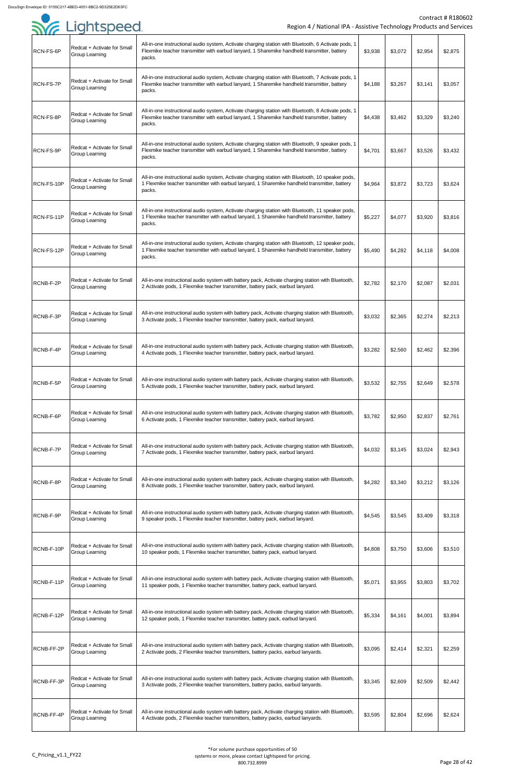

|            | <b>SYG</b> Lightspeed                                | Region 4 / National IPA - Assistive Technology Products and Servic                                                                                                                                           |         |         |         | Contract # R1806 |
|------------|------------------------------------------------------|--------------------------------------------------------------------------------------------------------------------------------------------------------------------------------------------------------------|---------|---------|---------|------------------|
| RCN-FS-6P  | Redcat + Activate for Small<br>Group Learning        | All-in-one instructional audio system, Activate charging station with Bluetooth, 6 Activate pods, 1<br>Flexmike teacher transmitter with earbud lanyard, 1 Sharemike handheld transmitter, battery<br>packs. | \$3,938 | \$3,072 | \$2,954 | \$2,875          |
| RCN-FS-7P  | Redcat + Activate for Small<br>Group Learning        | All-in-one instructional audio system, Activate charging station with Bluetooth, 7 Activate pods, 1<br>Flexmike teacher transmitter with earbud lanyard, 1 Sharemike handheld transmitter, battery<br>packs. | \$4,188 | \$3,267 | \$3,141 | \$3,057          |
| RCN-FS-8P  | Redcat + Activate for Small<br>Group Learning        | All-in-one instructional audio system, Activate charging station with Bluetooth, 8 Activate pods, 1<br>Flexmike teacher transmitter with earbud lanyard, 1 Sharemike handheld transmitter, battery<br>packs. | \$4,438 | \$3,462 | \$3,329 | \$3,240          |
| RCN-FS-9P  | Redcat + Activate for Small<br><b>Group Learning</b> | All-in-one instructional audio system, Activate charging station with Bluetooth, 9 speaker pods, 1<br>Flexmike teacher transmitter with earbud lanyard, 1 Sharemike handheld transmitter, battery<br>packs.  | \$4,701 | \$3,667 | \$3,526 | \$3,432          |
| RCN-FS-10P | Redcat + Activate for Small<br><b>Group Learning</b> | All-in-one instructional audio system, Activate charging station with Bluetooth, 10 speaker pods,<br>1 Flexmike teacher transmitter with earbud lanyard, 1 Sharemike handheld transmitter, battery<br>packs. | \$4,964 | \$3,872 | \$3,723 | \$3,624          |
| RCN-FS-11P | Redcat + Activate for Small<br><b>Group Learning</b> | All-in-one instructional audio system, Activate charging station with Bluetooth, 11 speaker pods,<br>1 Flexmike teacher transmitter with earbud lanyard, 1 Sharemike handheld transmitter, battery<br>packs. | \$5,227 | \$4,077 | \$3,920 | \$3,816          |
| RCN-FS-12P | Redcat + Activate for Small<br>Group Learning        | All-in-one instructional audio system, Activate charging station with Bluetooth, 12 speaker pods,<br>1 Flexmike teacher transmitter with earbud lanyard, 1 Sharemike handheld transmitter, battery<br>packs. | \$5,490 | \$4,282 | \$4,118 | \$4,008          |
| RCNB-F-2P  | Redcat + Activate for Small<br>Group Learning        | All-in-one instructional audio system with battery pack, Activate charging station with Bluetooth,<br>2 Activate pods, 1 Flexmike teacher transmitter, battery pack, earbud lanyard.                         | \$2,782 | \$2,170 | \$2,087 | \$2,031          |
| RCNB-F-3P  | Redcat + Activate for Small<br>Group Learning        | All-in-one instructional audio system with battery pack, Activate charging station with Bluetooth,<br>3 Activate pods, 1 Flexmike teacher transmitter, battery pack, earbud lanyard.                         | \$3,032 | \$2,365 | \$2,274 | \$2,213          |
| RCNB-F-4P  | Redcat + Activate for Small<br>Group Learning        | All-in-one instructional audio system with battery pack, Activate charging station with Bluetooth,<br>4 Activate pods, 1 Flexmike teacher transmitter, battery pack, earbud lanyard.                         | \$3,282 | \$2,560 | \$2,462 | \$2,396          |
| RCNB-F-5P  | Redcat + Activate for Small<br>Group Learning        | All-in-one instructional audio system with battery pack, Activate charging station with Bluetooth,<br>5 Activate pods, 1 Flexmike teacher transmitter, battery pack, earbud lanyard.                         | \$3,532 | \$2,755 | \$2,649 | \$2,578          |
| RCNB-F-6P  | Redcat + Activate for Small<br>Group Learning        | All-in-one instructional audio system with battery pack, Activate charging station with Bluetooth,<br>6 Activate pods, 1 Flexmike teacher transmitter, battery pack, earbud lanyard.                         | \$3,782 | \$2,950 | \$2,837 | \$2,761          |
| RCNB-F-7P  | Redcat + Activate for Small<br><b>Group Learning</b> | All-in-one instructional audio system with battery pack, Activate charging station with Bluetooth,<br>7 Activate pods, 1 Flexmike teacher transmitter, battery pack, earbud lanyard.                         | \$4,032 | \$3,145 | \$3,024 | \$2,943          |
| RCNB-F-8P  | Redcat + Activate for Small<br>Group Learning        | All-in-one instructional audio system with battery pack, Activate charging station with Bluetooth,<br>8 Activate pods, 1 Flexmike teacher transmitter, battery pack, earbud lanyard.                         | \$4,282 | \$3,340 | \$3,212 | \$3,126          |
| RCNB-F-9P  | Redcat + Activate for Small<br>Group Learning        | All-in-one instructional audio system with battery pack, Activate charging station with Bluetooth,<br>9 speaker pods, 1 Flexmike teacher transmitter, battery pack, earbud lanyard.                          | \$4,545 | \$3,545 | \$3,409 | \$3,318          |
| RCNB-F-10P | Redcat + Activate for Small<br>Group Learning        | All-in-one instructional audio system with battery pack, Activate charging station with Bluetooth,<br>10 speaker pods, 1 Flexmike teacher transmitter, battery pack, earbud lanyard.                         | \$4,808 | \$3,750 | \$3,606 | \$3,510          |
| RCNB-F-11P | Redcat + Activate for Small<br>Group Learning        | All-in-one instructional audio system with battery pack, Activate charging station with Bluetooth,<br>11 speaker pods, 1 Flexmike teacher transmitter, battery pack, earbud lanyard.                         | \$5,071 | \$3,955 | \$3,803 | \$3,702          |
| RCNB-F-12P | Redcat + Activate for Small<br><b>Group Learning</b> | All-in-one instructional audio system with battery pack, Activate charging station with Bluetooth,<br>12 speaker pods, 1 Flexmike teacher transmitter, battery pack, earbud lanyard.                         | \$5,334 | \$4,161 | \$4,001 | \$3,894          |
| RCNB-FF-2P | Redcat + Activate for Small<br><b>Group Learning</b> | All-in-one instructional audio system with battery pack, Activate charging station with Bluetooth,<br>2 Activate pods, 2 Flexmike teacher transmitters, battery packs, earbud lanyards.                      | \$3,095 | \$2,414 | \$2,321 | \$2,259          |
| RCNB-FF-3P | Redcat + Activate for Small<br><b>Group Learning</b> | All-in-one instructional audio system with battery pack, Activate charging station with Bluetooth,<br>3 Activate pods, 2 Flexmike teacher transmitters, battery packs, earbud lanyards.                      | \$3,345 | \$2,609 | \$2,509 | \$2,442          |
| RCNB-FF-4P | Redcat + Activate for Small<br>Group Learning        | All-in-one instructional audio system with battery pack, Activate charging station with Bluetooth,<br>4 Activate pods, 2 Flexmike teacher transmitters, battery packs, earbud lanyards.                      | \$3,595 | \$2,804 | \$2,696 | \$2,624          |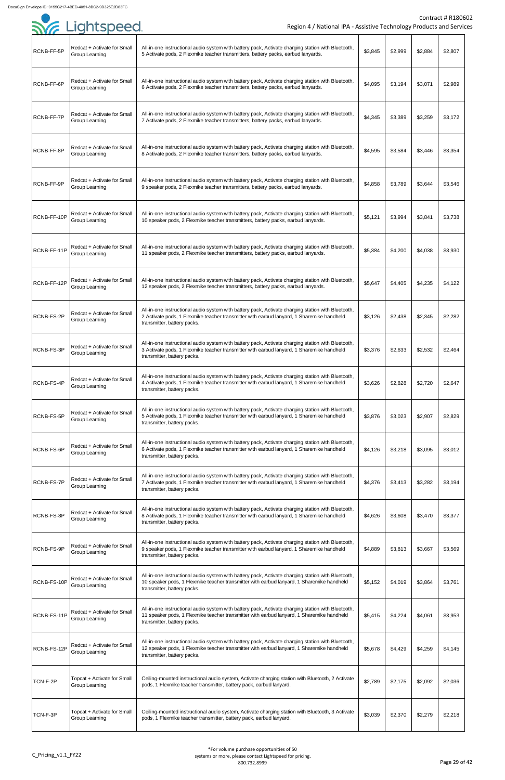| 111 <i>11</i> |                                                      |                                                                                                                                                                                                                                |         |         |         |         |
|---------------|------------------------------------------------------|--------------------------------------------------------------------------------------------------------------------------------------------------------------------------------------------------------------------------------|---------|---------|---------|---------|
| RCNB-FF-5P    | Redcat + Activate for Small<br>Group Learning        | All-in-one instructional audio system with battery pack, Activate charging station with Bluetooth,<br>5 Activate pods, 2 Flexmike teacher transmitters, battery packs, earbud lanyards.                                        | \$3,845 | \$2,999 | \$2,884 | \$2,807 |
| RCNB-FF-6P    | Redcat + Activate for Small<br>Group Learning        | All-in-one instructional audio system with battery pack, Activate charging station with Bluetooth,<br>6 Activate pods, 2 Flexmike teacher transmitters, battery packs, earbud lanyards.                                        | \$4,095 | \$3,194 | \$3,071 | \$2,989 |
| RCNB-FF-7P    | Redcat + Activate for Small<br>Group Learning        | All-in-one instructional audio system with battery pack, Activate charging station with Bluetooth,<br>7 Activate pods, 2 Flexmike teacher transmitters, battery packs, earbud lanyards.                                        | \$4,345 | \$3,389 | \$3,259 | \$3,172 |
| RCNB-FF-8P    | Redcat + Activate for Small<br>Group Learning        | All-in-one instructional audio system with battery pack, Activate charging station with Bluetooth,<br>8 Activate pods, 2 Flexmike teacher transmitters, battery packs, earbud lanyards.                                        | \$4,595 | \$3,584 | \$3,446 | \$3,354 |
| RCNB-FF-9P    | Redcat + Activate for Small<br>Group Learning        | All-in-one instructional audio system with battery pack, Activate charging station with Bluetooth,<br>9 speaker pods, 2 Flexmike teacher transmitters, battery packs, earbud lanyards.                                         | \$4,858 | \$3,789 | \$3,644 | \$3,546 |
| RCNB-FF-10P   | Redcat + Activate for Small<br>Group Learning        | All-in-one instructional audio system with battery pack, Activate charging station with Bluetooth,<br>10 speaker pods, 2 Flexmike teacher transmitters, battery packs, earbud lanyards.                                        | \$5,121 | \$3,994 | \$3,841 | \$3,738 |
| RCNB-FF-11P   | Redcat + Activate for Small<br><b>Group Learning</b> | All-in-one instructional audio system with battery pack, Activate charging station with Bluetooth,<br>11 speaker pods, 2 Flexmike teacher transmitters, battery packs, earbud lanyards.                                        | \$5,384 | \$4,200 | \$4,038 | \$3,930 |
| RCNB-FF-12P   | Redcat + Activate for Small<br>Group Learning        | All-in-one instructional audio system with battery pack, Activate charging station with Bluetooth,<br>12 speaker pods, 2 Flexmike teacher transmitters, battery packs, earbud lanyards.                                        | \$5,647 | \$4,405 | \$4,235 | \$4,122 |
| RCNB-FS-2P    | Redcat + Activate for Small<br><b>Group Learning</b> | All-in-one instructional audio system with battery pack, Activate charging station with Bluetooth,<br>2 Activate pods, 1 Flexmike teacher transmitter with earbud lanyard, 1 Sharemike handheld<br>transmitter, battery packs. | \$3,126 | \$2,438 | \$2,345 | \$2,282 |
| RCNB-FS-3P    | Redcat + Activate for Small<br>Group Learning        | All-in-one instructional audio system with battery pack, Activate charging station with Bluetooth,<br>3 Activate pods, 1 Flexmike teacher transmitter with earbud lanyard, 1 Sharemike handheld<br>transmitter, battery packs. | \$3,376 | \$2,633 | \$2,532 | \$2,464 |
| RCNB-FS-4P    | Redcat + Activate for Small<br>Group Learning        | All-in-one instructional audio system with battery pack, Activate charging station with Bluetooth,<br>4 Activate pods, 1 Flexmike teacher transmitter with earbud lanyard, 1 Sharemike handheld<br>transmitter, battery packs. | \$3,626 | \$2,828 | \$2,720 | \$2,647 |
| RCNB-FS-5P    | Redcat + Activate for Small<br>Group Learning        | All-in-one instructional audio system with battery pack, Activate charging station with Bluetooth,<br>5 Activate pods, 1 Flexmike teacher transmitter with earbud lanyard, 1 Sharemike handheld<br>transmitter, battery packs. | \$3,876 | \$3,023 | \$2,907 | \$2,829 |
| RCNB-FS-6P    | Redcat + Activate for Small<br>Group Learning        | All-in-one instructional audio system with battery pack, Activate charging station with Bluetooth,<br>6 Activate pods, 1 Flexmike teacher transmitter with earbud lanyard, 1 Sharemike handheld<br>transmitter, battery packs. | \$4,126 | \$3,218 | \$3,095 | \$3,012 |
| RCNB-FS-7P    | Redcat + Activate for Small<br>Group Learning        | All-in-one instructional audio system with battery pack, Activate charging station with Bluetooth,<br>7 Activate pods, 1 Flexmike teacher transmitter with earbud lanyard, 1 Sharemike handheld<br>transmitter, battery packs. | \$4,376 | \$3,413 | \$3,282 | \$3,194 |
| RCNB-FS-8P    | Redcat + Activate for Small<br><b>Group Learning</b> | All-in-one instructional audio system with battery pack, Activate charging station with Bluetooth,<br>8 Activate pods, 1 Flexmike teacher transmitter with earbud lanyard, 1 Sharemike handheld<br>transmitter, battery packs. | \$4,626 | \$3,608 | \$3,470 | \$3,377 |
| RCNB-FS-9P    | Redcat + Activate for Small<br><b>Group Learning</b> | All-in-one instructional audio system with battery pack, Activate charging station with Bluetooth,<br>9 speaker pods, 1 Flexmike teacher transmitter with earbud lanyard, 1 Sharemike handheld<br>transmitter, battery packs.  | \$4,889 | \$3,813 | \$3,667 | \$3,569 |
| RCNB-FS-10P   | Redcat + Activate for Small<br><b>Group Learning</b> | All-in-one instructional audio system with battery pack, Activate charging station with Bluetooth,<br>10 speaker pods, 1 Flexmike teacher transmitter with earbud lanyard, 1 Sharemike handheld<br>transmitter, battery packs. | \$5,152 | \$4,019 | \$3,864 | \$3,761 |
| RCNB-FS-11P   | Redcat + Activate for Small<br><b>Group Learning</b> | All-in-one instructional audio system with battery pack, Activate charging station with Bluetooth,<br>11 speaker pods, 1 Flexmike teacher transmitter with earbud lanyard, 1 Sharemike handheld<br>transmitter, battery packs. | \$5,415 | \$4,224 | \$4,061 | \$3,953 |
| RCNB-FS-12P   | Redcat + Activate for Small<br>Group Learning        | All-in-one instructional audio system with battery pack, Activate charging station with Bluetooth,<br>12 speaker pods, 1 Flexmike teacher transmitter with earbud lanyard, 1 Sharemike handheld<br>transmitter, battery packs. | \$5,678 | \$4,429 | \$4,259 | \$4,145 |
| TCN-F-2P      | Topcat + Activate for Small<br>Group Learning        | Ceiling-mounted instructional audio system, Activate charging station with Bluetooth, 2 Activate<br>pods, 1 Flexmike teacher transmitter, battery pack, earbud lanyard.                                                        | \$2,789 | \$2,175 | \$2,092 | \$2,036 |
| TCN-F-3P      | Topcat + Activate for Small<br>Group Learning        | Ceiling-mounted instructional audio system, Activate charging station with Bluetooth, 3 Activate<br>pods, 1 Flexmike teacher transmitter, battery pack, earbud lanyard.                                                        | \$3,039 | \$2,370 | \$2,279 | \$2,218 |

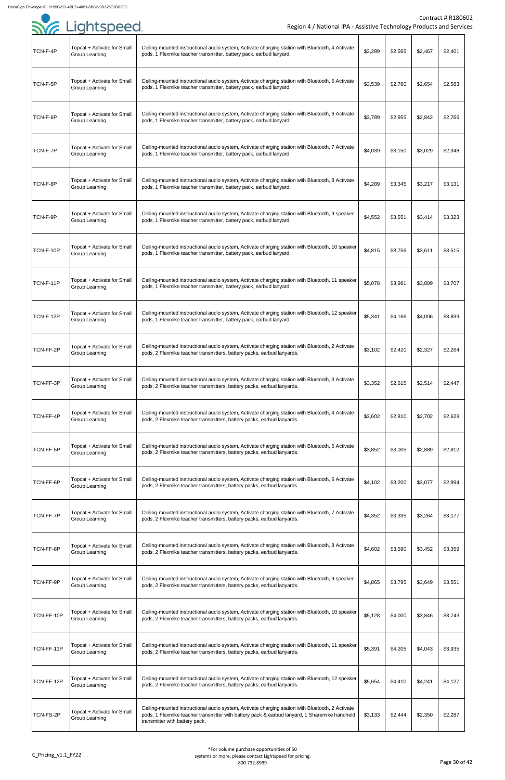| ,,,,,,     |                                                      |                                                                                                                                                                                                                                     |         |         |         |         |
|------------|------------------------------------------------------|-------------------------------------------------------------------------------------------------------------------------------------------------------------------------------------------------------------------------------------|---------|---------|---------|---------|
| TCN-F-4P   | Topcat + Activate for Small<br><b>Group Learning</b> | Ceiling-mounted instructional audio system, Activate charging station with Bluetooth, 4 Activate<br>pods, 1 Flexmike teacher transmitter, battery pack, earbud lanyard.                                                             | \$3,289 | \$2,565 | \$2,467 | \$2,401 |
| TCN-F-5P   | Topcat + Activate for Small<br><b>Group Learning</b> | Ceiling-mounted instructional audio system, Activate charging station with Bluetooth, 5 Activate<br>pods, 1 Flexmike teacher transmitter, battery pack, earbud lanyard.                                                             | \$3,539 | \$2,760 | \$2,654 | \$2,583 |
| TCN-F-6P   | Topcat + Activate for Small<br><b>Group Learning</b> | Ceiling-mounted instructional audio system, Activate charging station with Bluetooth, 6 Activate<br>pods, 1 Flexmike teacher transmitter, battery pack, earbud lanyard.                                                             | \$3,789 | \$2,955 | \$2,842 | \$2,766 |
| TCN-F-7P   | Topcat + Activate for Small<br><b>Group Learning</b> | Ceiling-mounted instructional audio system, Activate charging station with Bluetooth, 7 Activate<br>pods, 1 Flexmike teacher transmitter, battery pack, earbud lanyard.                                                             | \$4,039 | \$3,150 | \$3,029 | \$2,948 |
| TCN-F-8P   | Topcat + Activate for Small<br><b>Group Learning</b> | Ceiling-mounted instructional audio system, Activate charging station with Bluetooth, 8 Activate<br>pods, 1 Flexmike teacher transmitter, battery pack, earbud lanyard.                                                             | \$4,289 | \$3,345 | \$3,217 | \$3,131 |
| TCN-F-9P   | Topcat + Activate for Small<br><b>Group Learning</b> | Ceiling-mounted instructional audio system, Activate charging station with Bluetooth, 9 speaker<br>pods, 1 Flexmike teacher transmitter, battery pack, earbud lanyard.                                                              | \$4,552 | \$3,551 | \$3,414 | \$3,323 |
| TCN-F-10P  | Topcat + Activate for Small<br><b>Group Learning</b> | Ceiling-mounted instructional audio system, Activate charging station with Bluetooth, 10 speaker<br>pods, 1 Flexmike teacher transmitter, battery pack, earbud lanyard.                                                             | \$4,815 | \$3,756 | \$3,611 | \$3,515 |
| TCN-F-11P  | Topcat + Activate for Small<br><b>Group Learning</b> | Ceiling-mounted instructional audio system, Activate charging station with Bluetooth, 11 speaker<br>pods, 1 Flexmike teacher transmitter, battery pack, earbud lanyard.                                                             | \$5,078 | \$3,961 | \$3,809 | \$3,707 |
| TCN-F-12P  | Topcat + Activate for Small<br><b>Group Learning</b> | Ceiling-mounted instructional audio system, Activate charging station with Bluetooth, 12 speaker<br>pods, 1 Flexmike teacher transmitter, battery pack, earbud lanyard.                                                             | \$5,341 | \$4,166 | \$4,006 | \$3,899 |
| TCN-FF-2P  | Topcat + Activate for Small<br><b>Group Learning</b> | Ceiling-mounted instructional audio system, Activate charging station with Bluetooth, 2 Activate<br>pods, 2 Flexmike teacher transmitters, battery packs, earbud lanyards.                                                          | \$3,102 | \$2,420 | \$2,327 | \$2,264 |
| TCN-FF-3P  | Topcat + Activate for Small<br><b>Group Learning</b> | Ceiling-mounted instructional audio system, Activate charging station with Bluetooth, 3 Activate<br>pods, 2 Flexmike teacher transmitters, battery packs, earbud lanyards.                                                          | \$3,352 | \$2,615 | \$2,514 | \$2,447 |
| TCN-FF-4P  | Topcat + Activate for Small<br><b>Group Learning</b> | Ceiling-mounted instructional audio system, Activate charging station with Bluetooth, 4 Activate<br>pods, 2 Flexmike teacher transmitters, battery packs, earbud lanyards.                                                          | \$3,602 | \$2,810 | \$2,702 | \$2,629 |
| TCN-FF-5P  | Topcat + Activate for Small<br>Group Learning        | Ceiling-mounted instructional audio system, Activate charging station with Bluetooth, 5 Activate<br>pods, 2 Flexmike teacher transmitters, battery packs, earbud lanyards.                                                          | \$3,852 | \$3,005 | \$2,889 | \$2,812 |
| TCN-FF-6P  | Topcat + Activate for Small<br><b>Group Learning</b> | Ceiling-mounted instructional audio system, Activate charging station with Bluetooth, 6 Activate<br>pods, 2 Flexmike teacher transmitters, battery packs, earbud lanyards.                                                          | \$4,102 | \$3,200 | \$3,077 | \$2,994 |
| TCN-FF-7P  | Topcat + Activate for Small<br><b>Group Learning</b> | Ceiling-mounted instructional audio system, Activate charging station with Bluetooth, 7 Activate<br>pods, 2 Flexmike teacher transmitters, battery packs, earbud lanyards.                                                          | \$4,352 | \$3,395 | \$3,264 | \$3,177 |
| TCN-FF-8P  | Topcat + Activate for Small<br><b>Group Learning</b> | Ceiling-mounted instructional audio system, Activate charging station with Bluetooth, 8 Activate<br>pods, 2 Flexmike teacher transmitters, battery packs, earbud lanyards.                                                          | \$4,602 | \$3,590 | \$3,452 | \$3,359 |
| TCN-FF-9P  | Topcat + Activate for Small<br><b>Group Learning</b> | Ceiling-mounted instructional audio system, Activate charging station with Bluetooth, 9 speaker<br>pods, 2 Flexmike teacher transmitters, battery packs, earbud lanyards.                                                           | \$4,865 | \$3,795 | \$3,649 | \$3,551 |
| TCN-FF-10P | Topcat + Activate for Small<br><b>Group Learning</b> | Ceiling-mounted instructional audio system, Activate charging station with Bluetooth, 10 speaker<br>pods, 2 Flexmike teacher transmitters, battery packs, earbud lanyards.                                                          | \$5,128 | \$4,000 | \$3,846 | \$3,743 |
| TCN-FF-11P | Topcat + Activate for Small<br><b>Group Learning</b> | Ceiling-mounted instructional audio system, Activate charging station with Bluetooth, 11 speaker<br>pods, 2 Flexmike teacher transmitters, battery packs, earbud lanyards.                                                          | \$5,391 | \$4,205 | \$4,043 | \$3,935 |
| TCN-FF-12P | Topcat + Activate for Small<br>Group Learning        | Ceiling-mounted instructional audio system, Activate charging station with Bluetooth, 12 speaker<br>pods, 2 Flexmike teacher transmitters, battery packs, earbud lanyards.                                                          | \$5,654 | \$4,410 | \$4,241 | \$4,127 |
| TCN-FS-2P  | Topcat + Activate for Small<br><b>Group Learning</b> | Ceiling-mounted instructional audio system, Activate charging station with Bluetooth, 2 Activate<br>pods, 1 Flexmike teacher transmitter with battery pack & earbud lanyard, 1 Sharemike handheld<br>transmitter with battery pack. | \$3,133 | \$2,444 | \$2,350 | \$2,287 |

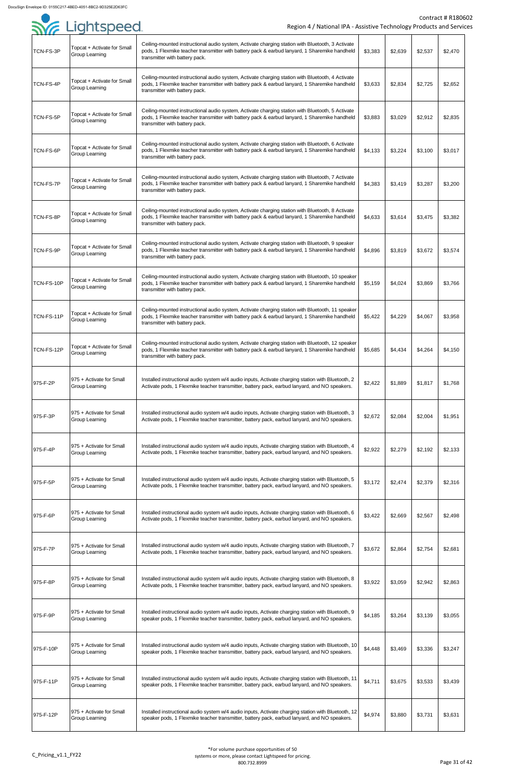|            | <b>SYE Lightspeed</b>                                | Region 4 / National IPA - Assistive Technology Products and Service                                                                                                                                                                 |         |         |         | Contract # R18060 |
|------------|------------------------------------------------------|-------------------------------------------------------------------------------------------------------------------------------------------------------------------------------------------------------------------------------------|---------|---------|---------|-------------------|
| TCN-FS-3P  | Topcat + Activate for Small<br>Group Learning        | Ceiling-mounted instructional audio system, Activate charging station with Bluetooth, 3 Activate<br>pods, 1 Flexmike teacher transmitter with battery pack & earbud lanyard, 1 Sharemike handheld<br>transmitter with battery pack. | \$3,383 | \$2,639 | \$2,537 | \$2,470           |
| TCN-FS-4P  | Topcat + Activate for Small<br><b>Group Learning</b> | Ceiling-mounted instructional audio system, Activate charging station with Bluetooth, 4 Activate<br>pods, 1 Flexmike teacher transmitter with battery pack & earbud lanyard, 1 Sharemike handheld<br>transmitter with battery pack. | \$3,633 | \$2,834 | \$2,725 | \$2,652           |
| TCN-FS-5P  | Topcat + Activate for Small<br>Group Learning        | Ceiling-mounted instructional audio system, Activate charging station with Bluetooth, 5 Activate<br>pods, 1 Flexmike teacher transmitter with battery pack & earbud lanyard, 1 Sharemike handheld<br>transmitter with battery pack. | \$3,883 | \$3,029 | \$2,912 | \$2,835           |
| TCN-FS-6P  | Topcat + Activate for Small<br>Group Learning        | Ceiling-mounted instructional audio system, Activate charging station with Bluetooth, 6 Activate<br>pods, 1 Flexmike teacher transmitter with battery pack & earbud lanyard, 1 Sharemike handheld<br>transmitter with battery pack. | \$4,133 | \$3,224 | \$3,100 | \$3,017           |
| TCN-FS-7P  | Topcat + Activate for Small<br><b>Group Learning</b> | Ceiling-mounted instructional audio system, Activate charging station with Bluetooth, 7 Activate<br>pods, 1 Flexmike teacher transmitter with battery pack & earbud lanyard, 1 Sharemike handheld<br>transmitter with battery pack. | \$4,383 | \$3,419 | \$3,287 | \$3,200           |
| TCN-FS-8P  | Topcat + Activate for Small<br><b>Group Learning</b> | Ceiling-mounted instructional audio system, Activate charging station with Bluetooth, 8 Activate<br>pods, 1 Flexmike teacher transmitter with battery pack & earbud lanyard, 1 Sharemike handheld<br>transmitter with battery pack. | \$4,633 | \$3,614 | \$3,475 | \$3,382           |
| TCN-FS-9P  | Topcat + Activate for Small<br><b>Group Learning</b> | Ceiling-mounted instructional audio system, Activate charging station with Bluetooth, 9 speaker<br>pods, 1 Flexmike teacher transmitter with battery pack & earbud lanyard, 1 Sharemike handheld<br>transmitter with battery pack.  | \$4,896 | \$3,819 | \$3,672 | \$3,574           |
| TCN-FS-10P | Topcat + Activate for Small<br>Group Learning        | Ceiling-mounted instructional audio system, Activate charging station with Bluetooth, 10 speaker<br>pods, 1 Flexmike teacher transmitter with battery pack & earbud lanyard, 1 Sharemike handheld<br>transmitter with battery pack. | \$5,159 | \$4,024 | \$3,869 | \$3,766           |
| TCN-FS-11P | Topcat + Activate for Small<br><b>Group Learning</b> | Ceiling-mounted instructional audio system, Activate charging station with Bluetooth, 11 speaker<br>pods, 1 Flexmike teacher transmitter with battery pack & earbud lanyard, 1 Sharemike handheld<br>transmitter with battery pack. | \$5,422 | \$4,229 | \$4,067 | \$3,958           |
| TCN-FS-12P | Topcat + Activate for Small<br><b>Group Learning</b> | Ceiling-mounted instructional audio system, Activate charging station with Bluetooth, 12 speaker<br>pods, 1 Flexmike teacher transmitter with battery pack & earbud lanyard, 1 Sharemike handheld<br>transmitter with battery pack. | \$5,685 | \$4,434 | \$4,264 | \$4,150           |
| 975-F-2P   | 975 + Activate for Small<br>Group Learning           | Installed instructional audio system w/4 audio inputs, Activate charging station with Bluetooth, 2<br>Activate pods, 1 Flexmike teacher transmitter, battery pack, earbud lanyard, and NO speakers.                                 | \$2,422 | \$1,889 | \$1,817 | \$1,768           |
| 975-F-3P   | 975 + Activate for Small<br><b>Group Learning</b>    | Installed instructional audio system w/4 audio inputs, Activate charging station with Bluetooth, 3<br>Activate pods, 1 Flexmike teacher transmitter, battery pack, earbud lanyard, and NO speakers.                                 | \$2,672 | \$2,084 | \$2,004 | \$1,951           |
| 975-F-4P   | 975 + Activate for Small<br>Group Learning           | Installed instructional audio system w/4 audio inputs, Activate charging station with Bluetooth, 4<br>Activate pods, 1 Flexmike teacher transmitter, battery pack, earbud lanyard, and NO speakers.                                 | \$2,922 | \$2,279 | \$2,192 | \$2,133           |
| 975-F-5P   | 975 + Activate for Small<br>Group Learning           | Installed instructional audio system w/4 audio inputs, Activate charging station with Bluetooth, 5<br>Activate pods, 1 Flexmike teacher transmitter, battery pack, earbud lanyard, and NO speakers.                                 | \$3,172 | \$2,474 | \$2,379 | \$2,316           |
| 975-F-6P   | 975 + Activate for Small<br>Group Learning           | Installed instructional audio system w/4 audio inputs, Activate charging station with Bluetooth, 6<br>Activate pods, 1 Flexmike teacher transmitter, battery pack, earbud lanyard, and NO speakers.                                 | \$3,422 | \$2,669 | \$2,567 | \$2,498           |
| 975-F-7P   | 1975 + Activate for Small<br>Group Learning          | Installed instructional audio system w/4 audio inputs, Activate charging station with Bluetooth, 7<br>Activate pods, 1 Flexmike teacher transmitter, battery pack, earbud lanyard, and NO speakers.                                 | \$3,672 | \$2,864 | \$2,754 | \$2,681           |
| 975-F-8P   | 975 + Activate for Small<br>Group Learning           | Installed instructional audio system w/4 audio inputs, Activate charging station with Bluetooth, 8<br>Activate pods, 1 Flexmike teacher transmitter, battery pack, earbud lanyard, and NO speakers.                                 | \$3,922 | \$3,059 | \$2,942 | \$2,863           |
| 975-F-9P   | 975 + Activate for Small<br>Group Learning           | Installed instructional audio system w/4 audio inputs, Activate charging station with Bluetooth, 9<br>speaker pods, 1 Flexmike teacher transmitter, battery pack, earbud lanyard, and NO speakers.                                  | \$4,185 | \$3,264 | \$3,139 | \$3,055           |
| 975-F-10P  | 975 + Activate for Small<br>Group Learning           | Installed instructional audio system w/4 audio inputs, Activate charging station with Bluetooth, 10<br>speaker pods, 1 Flexmike teacher transmitter, battery pack, earbud lanyard, and NO speakers.                                 | \$4,448 | \$3,469 | \$3,336 | \$3,247           |
| 975-F-11P  | 975 + Activate for Small<br><b>Group Learning</b>    | Installed instructional audio system w/4 audio inputs, Activate charging station with Bluetooth, 11<br>speaker pods, 1 Flexmike teacher transmitter, battery pack, earbud lanyard, and NO speakers.                                 | \$4,711 | \$3,675 | \$3,533 | \$3,439           |
| 975-F-12P  | 975 + Activate for Small<br><b>Group Learning</b>    | Installed instructional audio system w/4 audio inputs, Activate charging station with Bluetooth, 12<br>speaker pods, 1 Flexmike teacher transmitter, battery pack, earbud lanyard, and NO speakers.                                 | \$4,974 | \$3,880 | \$3,731 | \$3,631           |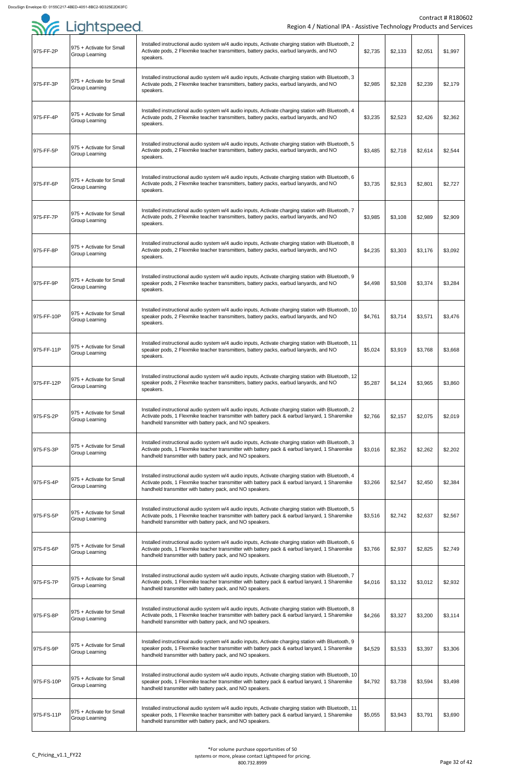| . <i>.</i> |                                                   |                                                                                                                                                                                                                                                                 |         |         |         |         |
|------------|---------------------------------------------------|-----------------------------------------------------------------------------------------------------------------------------------------------------------------------------------------------------------------------------------------------------------------|---------|---------|---------|---------|
| 975-FF-2P  | 975 + Activate for Small<br><b>Group Learning</b> | Installed instructional audio system w/4 audio inputs, Activate charging station with Bluetooth, 2<br>Activate pods, 2 Flexmike teacher transmitters, battery packs, earbud lanyards, and NO<br>speakers.                                                       | \$2,735 | \$2,133 | \$2,051 | \$1,997 |
| 975-FF-3P  | 975 + Activate for Small<br>Group Learning        | Installed instructional audio system w/4 audio inputs, Activate charging station with Bluetooth, 3<br>Activate pods, 2 Flexmike teacher transmitters, battery packs, earbud lanyards, and NO<br>speakers.                                                       | \$2,985 | \$2,328 | \$2,239 | \$2,179 |
| 975-FF-4P  | 975 + Activate for Small<br><b>Group Learning</b> | Installed instructional audio system w/4 audio inputs, Activate charging station with Bluetooth, 4<br>Activate pods, 2 Flexmike teacher transmitters, battery packs, earbud lanyards, and NO<br>speakers.                                                       | \$3,235 | \$2,523 | \$2,426 | \$2,362 |
| 975-FF-5P  | 975 + Activate for Small<br>Group Learning        | Installed instructional audio system w/4 audio inputs, Activate charging station with Bluetooth, 5<br>Activate pods, 2 Flexmike teacher transmitters, battery packs, earbud lanyards, and NO<br>speakers.                                                       | \$3,485 | \$2,718 | \$2,614 | \$2,544 |
| 975-FF-6P  | 975 + Activate for Small<br><b>Group Learning</b> | Installed instructional audio system w/4 audio inputs, Activate charging station with Bluetooth, 6<br>Activate pods, 2 Flexmike teacher transmitters, battery packs, earbud lanyards, and NO<br>speakers.                                                       | \$3,735 | \$2,913 | \$2,801 | \$2,727 |
| 975-FF-7P  | 975 + Activate for Small<br><b>Group Learning</b> | Installed instructional audio system w/4 audio inputs, Activate charging station with Bluetooth, 7<br>Activate pods, 2 Flexmike teacher transmitters, battery packs, earbud lanyards, and NO<br>speakers.                                                       | \$3,985 | \$3,108 | \$2,989 | \$2,909 |
| 975-FF-8P  | 975 + Activate for Small<br>Group Learning        | Installed instructional audio system w/4 audio inputs, Activate charging station with Bluetooth, 8<br>Activate pods, 2 Flexmike teacher transmitters, battery packs, earbud lanyards, and NO<br>speakers.                                                       | \$4,235 | \$3,303 | \$3,176 | \$3,092 |
| 975-FF-9P  | 975 + Activate for Small<br><b>Group Learning</b> | Installed instructional audio system w/4 audio inputs, Activate charging station with Bluetooth, 9<br>speaker pods, 2 Flexmike teacher transmitters, battery packs, earbud lanyards, and NO<br>speakers.                                                        | \$4,498 | \$3,508 | \$3,374 | \$3,284 |
| 975-FF-10P | 975 + Activate for Small<br><b>Group Learning</b> | Installed instructional audio system w/4 audio inputs, Activate charging station with Bluetooth, 10<br>speaker pods, 2 Flexmike teacher transmitters, battery packs, earbud lanyards, and NO<br>speakers.                                                       | \$4,761 | \$3,714 | \$3,571 | \$3,476 |
| 975-FF-11P | 975 + Activate for Small<br><b>Group Learning</b> | Installed instructional audio system w/4 audio inputs, Activate charging station with Bluetooth, 11<br>speaker pods, 2 Flexmike teacher transmitters, battery packs, earbud lanyards, and NO<br>speakers.                                                       | \$5,024 | \$3,919 | \$3,768 | \$3,668 |
| 975-FF-12P | 975 + Activate for Small<br>Group Learning        | Installed instructional audio system w/4 audio inputs, Activate charging station with Bluetooth, 12<br>speaker pods, 2 Flexmike teacher transmitters, battery packs, earbud lanyards, and NO<br>speakers.                                                       | \$5,287 | \$4,124 | \$3,965 | \$3,860 |
| 975-FS-2P  | 975 + Activate for Small<br><b>Group Learning</b> | Installed instructional audio system w/4 audio inputs, Activate charging station with Bluetooth, 2<br>Activate pods, 1 Flexmike teacher transmitter with battery pack & earbud lanyard, 1 Sharemike<br>handheld transmitter with battery pack, and NO speakers. | \$2,766 | \$2,157 | \$2,075 | \$2,019 |
| 975-FS-3P  | 975 + Activate for Small<br><b>Group Learning</b> | Installed instructional audio system w/4 audio inputs, Activate charging station with Bluetooth, 3<br>Activate pods, 1 Flexmike teacher transmitter with battery pack & earbud lanyard, 1 Sharemike<br>handheld transmitter with battery pack, and NO speakers. | \$3,016 | \$2,352 | \$2,262 | \$2,202 |
| 975-FS-4P  | 975 + Activate for Small<br><b>Group Learning</b> | Installed instructional audio system w/4 audio inputs, Activate charging station with Bluetooth, 4<br>Activate pods, 1 Flexmike teacher transmitter with battery pack & earbud lanyard, 1 Sharemike<br>handheld transmitter with battery pack, and NO speakers. | \$3,266 | \$2,547 | \$2,450 | \$2,384 |
| 975-FS-5P  | 975 + Activate for Small<br><b>Group Learning</b> | Installed instructional audio system w/4 audio inputs, Activate charging station with Bluetooth, 5<br>Activate pods, 1 Flexmike teacher transmitter with battery pack & earbud lanyard, 1 Sharemike<br>handheld transmitter with battery pack, and NO speakers. | \$3,516 | \$2,742 | \$2,637 | \$2,567 |
| 975-FS-6P  | 975 + Activate for Small<br><b>Group Learning</b> | Installed instructional audio system w/4 audio inputs, Activate charging station with Bluetooth, 6<br>Activate pods, 1 Flexmike teacher transmitter with battery pack & earbud lanyard, 1 Sharemike<br>handheld transmitter with battery pack, and NO speakers. | \$3,766 | \$2,937 | \$2,825 | \$2,749 |
| 975-FS-7P  | 975 + Activate for Small<br><b>Group Learning</b> | Installed instructional audio system w/4 audio inputs, Activate charging station with Bluetooth, 7<br>Activate pods, 1 Flexmike teacher transmitter with battery pack & earbud lanyard, 1 Sharemike<br>handheld transmitter with battery pack, and NO speakers. | \$4,016 | \$3,132 | \$3,012 | \$2,932 |
| 975-FS-8P  | 975 + Activate for Small<br>Group Learning        | Installed instructional audio system w/4 audio inputs, Activate charging station with Bluetooth, 8<br>Activate pods, 1 Flexmike teacher transmitter with battery pack & earbud lanyard, 1 Sharemike<br>handheld transmitter with battery pack, and NO speakers. | \$4,266 | \$3,327 | \$3,200 | \$3,114 |
| 975-FS-9P  | 975 + Activate for Small<br><b>Group Learning</b> | Installed instructional audio system w/4 audio inputs, Activate charging station with Bluetooth, 9<br>speaker pods, 1 Flexmike teacher transmitter with battery pack & earbud lanyard, 1 Sharemike<br>handheld transmitter with battery pack, and NO speakers.  | \$4,529 | \$3,533 | \$3,397 | \$3,306 |
| 975-FS-10P | 975 + Activate for Small<br><b>Group Learning</b> | Installed instructional audio system w/4 audio inputs, Activate charging station with Bluetooth, 10<br>speaker pods, 1 Flexmike teacher transmitter with battery pack & earbud lanyard, 1 Sharemike<br>handheld transmitter with battery pack, and NO speakers. | \$4,792 | \$3,738 | \$3,594 | \$3,498 |
| 975-FS-11P | 975 + Activate for Small<br><b>Group Learning</b> | Installed instructional audio system w/4 audio inputs, Activate charging station with Bluetooth, 11<br>speaker pods, 1 Flexmike teacher transmitter with battery pack & earbud lanyard, 1 Sharemike<br>handheld transmitter with battery pack, and NO speakers. | \$5,055 | \$3,943 | \$3,791 | \$3,690 |

## **SYG** Lightspeed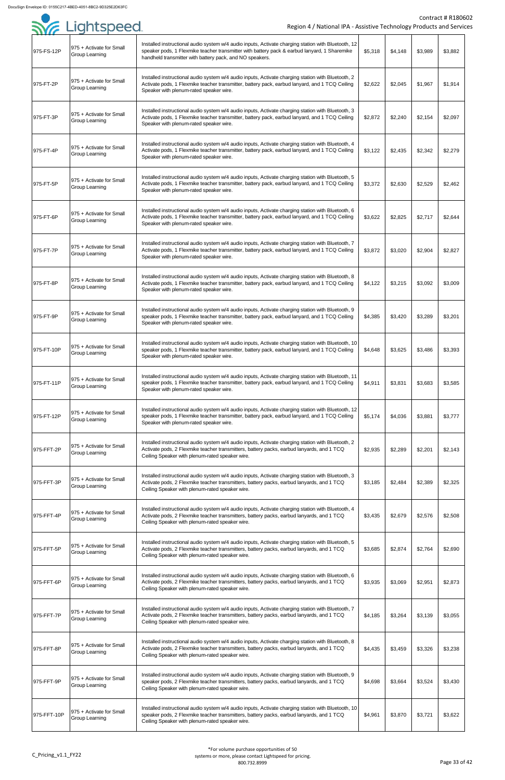|             | Sie Lightspeed.                                   | Region 4 / National IPA - Assistive Technology Products and Service                                                                                                                                                                                             |         |         |         | <b>Contract # R18060</b> |
|-------------|---------------------------------------------------|-----------------------------------------------------------------------------------------------------------------------------------------------------------------------------------------------------------------------------------------------------------------|---------|---------|---------|--------------------------|
| 975-FS-12P  | 975 + Activate for Small<br>Group Learning        | Installed instructional audio system w/4 audio inputs, Activate charging station with Bluetooth, 12<br>speaker pods, 1 Flexmike teacher transmitter with battery pack & earbud lanyard, 1 Sharemike<br>handheld transmitter with battery pack, and NO speakers. | \$5,318 | \$4,148 | \$3,989 | \$3,882                  |
| 975-FT-2P   | 975 + Activate for Small<br>Group Learning        | Installed instructional audio system w/4 audio inputs, Activate charging station with Bluetooth, 2<br>Activate pods, 1 Flexmike teacher transmitter, battery pack, earbud lanyard, and 1 TCQ Ceiling<br>Speaker with plenum-rated speaker wire.                 | \$2,622 | \$2,045 | \$1,967 | \$1,914                  |
| 975-FT-3P   | 975 + Activate for Small<br>Group Learning        | Installed instructional audio system w/4 audio inputs, Activate charging station with Bluetooth, 3<br>Activate pods, 1 Flexmike teacher transmitter, battery pack, earbud lanyard, and 1 TCQ Ceiling<br>Speaker with plenum-rated speaker wire.                 | \$2,872 | \$2,240 | \$2,154 | \$2,097                  |
| 975-FT-4P   | 975 + Activate for Small<br><b>Group Learning</b> | Installed instructional audio system w/4 audio inputs, Activate charging station with Bluetooth, 4<br>Activate pods, 1 Flexmike teacher transmitter, battery pack, earbud lanyard, and 1 TCQ Ceiling<br>Speaker with plenum-rated speaker wire.                 | \$3,122 | \$2,435 | \$2,342 | \$2,279                  |
| 975-FT-5P   | 975 + Activate for Small<br>Group Learning        | Installed instructional audio system w/4 audio inputs, Activate charging station with Bluetooth, 5<br>Activate pods, 1 Flexmike teacher transmitter, battery pack, earbud lanyard, and 1 TCQ Ceiling<br>Speaker with plenum-rated speaker wire.                 | \$3,372 | \$2,630 | \$2,529 | \$2,462                  |
| 975-FT-6P   | 975 + Activate for Small<br><b>Group Learning</b> | Installed instructional audio system w/4 audio inputs, Activate charging station with Bluetooth, 6<br>Activate pods, 1 Flexmike teacher transmitter, battery pack, earbud lanyard, and 1 TCQ Ceiling<br>Speaker with plenum-rated speaker wire.                 | \$3,622 | \$2,825 | \$2,717 | \$2,644                  |
| 975-FT-7P   | 975 + Activate for Small<br>Group Learning        | Installed instructional audio system w/4 audio inputs, Activate charging station with Bluetooth, 7<br>Activate pods, 1 Flexmike teacher transmitter, battery pack, earbud lanyard, and 1 TCQ Ceiling<br>Speaker with plenum-rated speaker wire.                 | \$3,872 | \$3,020 | \$2,904 | \$2,827                  |
| 975-FT-8P   | 975 + Activate for Small<br>Group Learning        | Installed instructional audio system w/4 audio inputs, Activate charging station with Bluetooth, 8<br>Activate pods, 1 Flexmike teacher transmitter, battery pack, earbud lanyard, and 1 TCQ Ceiling<br>Speaker with plenum-rated speaker wire.                 | \$4,122 | \$3,215 | \$3,092 | \$3,009                  |
| 975-FT-9P   | 975 + Activate for Small<br>Group Learning        | Installed instructional audio system w/4 audio inputs, Activate charging station with Bluetooth, 9<br>speaker pods, 1 Flexmike teacher transmitter, battery pack, earbud lanyard, and 1 TCQ Ceiling<br>Speaker with plenum-rated speaker wire.                  | \$4,385 | \$3,420 | \$3,289 | \$3,201                  |
| 975-FT-10P  | 975 + Activate for Small<br>Group Learning        | Installed instructional audio system w/4 audio inputs, Activate charging station with Bluetooth, 10<br>speaker pods, 1 Flexmike teacher transmitter, battery pack, earbud lanyard, and 1 TCQ Ceiling<br>Speaker with plenum-rated speaker wire.                 | \$4,648 | \$3,625 | \$3,486 | \$3,393                  |
| 975-FT-11P  | 975 + Activate for Small<br><b>Group Learning</b> | Installed instructional audio system w/4 audio inputs, Activate charging station with Bluetooth, 11<br>speaker pods, 1 Flexmike teacher transmitter, battery pack, earbud lanyard, and 1 TCQ Ceiling<br>Speaker with plenum-rated speaker wire.                 | \$4,911 | \$3,831 | \$3,683 | \$3,585                  |
| 975-FT-12P  | 975 + Activate for Small<br>Group Learning        | Installed instructional audio system w/4 audio inputs, Activate charging station with Bluetooth, 12<br>speaker pods, 1 Flexmike teacher transmitter, battery pack, earbud lanyard, and 1 TCQ Ceiling<br>Speaker with plenum-rated speaker wire.                 | \$5,174 | \$4,036 | \$3,881 | \$3,777                  |
| 975-FFT-2P  | 975 + Activate for Small<br>Group Learning        | Installed instructional audio system w/4 audio inputs, Activate charging station with Bluetooth, 2<br>Activate pods, 2 Flexmike teacher transmitters, battery packs, earbud lanyards, and 1 TCQ<br>Ceiling Speaker with plenum-rated speaker wire.              | \$2,935 | \$2,289 | \$2,201 | \$2,143                  |
| 975-FFT-3P  | 975 + Activate for Small<br>Group Learning        | Installed instructional audio system w/4 audio inputs, Activate charging station with Bluetooth, 3<br>Activate pods, 2 Flexmike teacher transmitters, battery packs, earbud lanyards, and 1 TCQ<br>Ceiling Speaker with plenum-rated speaker wire.              | \$3,185 | \$2,484 | \$2,389 | \$2,325                  |
| 975-FFT-4P  | 975 + Activate for Small<br>Group Learning        | Installed instructional audio system w/4 audio inputs, Activate charging station with Bluetooth, 4<br>Activate pods, 2 Flexmike teacher transmitters, battery packs, earbud lanyards, and 1 TCQ<br>Ceiling Speaker with plenum-rated speaker wire.              | \$3,435 | \$2,679 | \$2,576 | \$2,508                  |
| 975-FFT-5P  | 975 + Activate for Small<br>Group Learning        | Installed instructional audio system w/4 audio inputs, Activate charging station with Bluetooth, 5<br>Activate pods, 2 Flexmike teacher transmitters, battery packs, earbud lanyards, and 1 TCQ<br>Ceiling Speaker with plenum-rated speaker wire.              | \$3,685 | \$2,874 | \$2,764 | \$2,690                  |
| 975-FFT-6P  | 975 + Activate for Small<br>Group Learning        | Installed instructional audio system w/4 audio inputs, Activate charging station with Bluetooth, 6<br>Activate pods, 2 Flexmike teacher transmitters, battery packs, earbud lanyards, and 1 TCQ<br>Ceiling Speaker with plenum-rated speaker wire.              | \$3,935 | \$3,069 | \$2,951 | \$2,873                  |
| 975-FFT-7P  | 975 + Activate for Small<br>Group Learning        | Installed instructional audio system w/4 audio inputs, Activate charging station with Bluetooth, 7<br>Activate pods, 2 Flexmike teacher transmitters, battery packs, earbud lanyards, and 1 TCQ<br>Ceiling Speaker with plenum-rated speaker wire.              | \$4,185 | \$3,264 | \$3,139 | \$3,055                  |
| 975-FFT-8P  | 975 + Activate for Small<br>Group Learning        | Installed instructional audio system w/4 audio inputs, Activate charging station with Bluetooth, 8<br>Activate pods, 2 Flexmike teacher transmitters, battery packs, earbud lanyards, and 1 TCQ<br>Ceiling Speaker with plenum-rated speaker wire.              | \$4,435 | \$3,459 | \$3,326 | \$3,238                  |
| 975-FFT-9P  | 975 + Activate for Small<br>Group Learning        | Installed instructional audio system w/4 audio inputs, Activate charging station with Bluetooth, 9<br>speaker pods, 2 Flexmike teacher transmitters, battery packs, earbud lanyards, and 1 TCQ<br>Ceiling Speaker with plenum-rated speaker wire.               | \$4,698 | \$3,664 | \$3,524 | \$3,430                  |
| 975-FFT-10P | 975 + Activate for Small<br>Group Learning        | Installed instructional audio system w/4 audio inputs, Activate charging station with Bluetooth, 10<br>speaker pods, 2 Flexmike teacher transmitters, battery packs, earbud lanyards, and 1 TCQ<br>Ceiling Speaker with plenum-rated speaker wire.              | \$4,961 | \$3,870 | \$3,721 | \$3,622                  |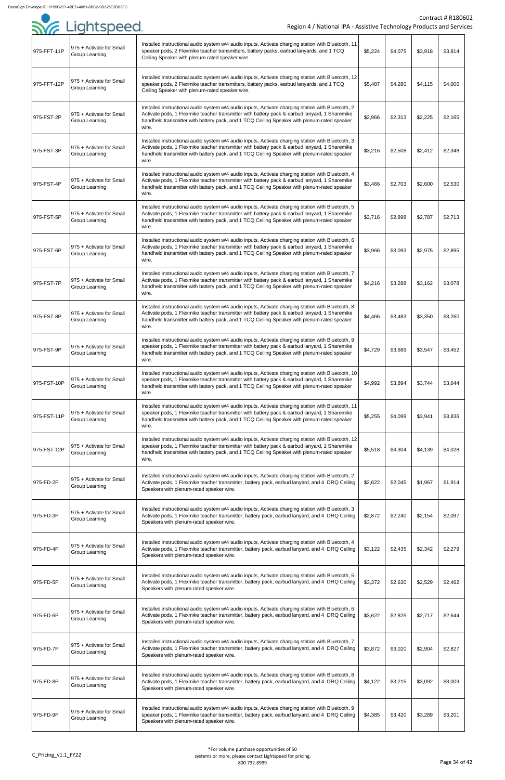|             | Sie Lightspeed                                    | Region 4 / National IPA - Assistive Technology Products and Service                                                                                                                                                                                                                                         |         |         |         | <b>Contract # R18060</b> |
|-------------|---------------------------------------------------|-------------------------------------------------------------------------------------------------------------------------------------------------------------------------------------------------------------------------------------------------------------------------------------------------------------|---------|---------|---------|--------------------------|
| 975-FFT-11P | 975 + Activate for Small<br>Group Learning        | Installed instructional audio system w/4 audio inputs, Activate charging station with Bluetooth, 11<br>speaker pods, 2 Flexmike teacher transmitters, battery packs, earbud lanyards, and 1 TCQ<br>Ceiling Speaker with plenum-rated speaker wire.                                                          | \$5,224 | \$4,075 | \$3,918 | \$3,814                  |
| 975-FFT-12P | 975 + Activate for Small<br><b>Group Learning</b> | Installed instructional audio system w/4 audio inputs, Activate charging station with Bluetooth, 12<br>speaker pods, 2 Flexmike teacher transmitters, battery packs, earbud lanyards, and 1 TCQ<br>Ceiling Speaker with plenum-rated speaker wire.                                                          | \$5,487 | \$4,280 | \$4,115 | \$4,006                  |
| 975-FST-2P  | 975 + Activate for Small<br><b>Group Learning</b> | Installed instructional audio system w/4 audio inputs, Activate charging station with Bluetooth, 2<br>Activate pods, 1 Flexmike teacher transmitter with battery pack & earbud lanyard, 1 Sharemike<br>handheld transmitter with battery pack, and 1 TCQ Ceiling Speaker with plenum-rated speaker<br>wire. | \$2,966 | \$2,313 | \$2,225 | \$2,165                  |
| 975-FST-3P  | 975 + Activate for Small<br><b>Group Learning</b> | Installed instructional audio system w/4 audio inputs, Activate charging station with Bluetooth, 3<br>Activate pods, 1 Flexmike teacher transmitter with battery pack & earbud lanyard, 1 Sharemike<br>handheld transmitter with battery pack, and 1 TCQ Ceiling Speaker with plenum-rated speaker<br>wire. | \$3,216 | \$2,508 | \$2,412 | \$2,348                  |
| 975-FST-4P  | 975 + Activate for Small<br>Group Learning        | Installed instructional audio system w/4 audio inputs, Activate charging station with Bluetooth, 4<br>Activate pods, 1 Flexmike teacher transmitter with battery pack & earbud lanyard, 1 Sharemike<br>handheld transmitter with battery pack, and 1 TCQ Ceiling Speaker with plenum-rated speaker<br>wire. | \$3,466 | \$2,703 | \$2,600 | \$2,530                  |
| 975-FST-5P  | 975 + Activate for Small<br><b>Group Learning</b> | Installed instructional audio system w/4 audio inputs, Activate charging station with Bluetooth, 5<br>Activate pods, 1 Flexmike teacher transmitter with battery pack & earbud lanyard, 1 Sharemike<br>handheld transmitter with battery pack, and 1 TCQ Ceiling Speaker with plenum-rated speaker<br>wire. | \$3,716 | \$2,898 | \$2,787 | \$2,713                  |
| 975-FST-6P  | 975 + Activate for Small<br>Group Learning        | Installed instructional audio system w/4 audio inputs, Activate charging station with Bluetooth, 6<br>Activate pods, 1 Flexmike teacher transmitter with battery pack & earbud lanyard, 1 Sharemike<br>handheld transmitter with battery pack, and 1 TCQ Ceiling Speaker with plenum-rated speaker<br>wire. | \$3,966 | \$3,093 | \$2,975 | \$2,895                  |
| 975-FST-7P  | 975 + Activate for Small<br><b>Group Learning</b> | Installed instructional audio system w/4 audio inputs, Activate charging station with Bluetooth, 7<br>Activate pods, 1 Flexmike teacher transmitter with battery pack & earbud lanyard, 1 Sharemike<br>handheld transmitter with battery pack, and 1 TCQ Ceiling Speaker with plenum-rated speaker<br>wire. | \$4,216 | \$3,288 | \$3,162 | \$3,078                  |
| 975-FST-8P  | 975 + Activate for Small<br><b>Group Learning</b> | Installed instructional audio system w/4 audio inputs, Activate charging station with Bluetooth, 8<br>Activate pods, 1 Flexmike teacher transmitter with battery pack & earbud lanyard, 1 Sharemike<br>handheld transmitter with battery pack, and 1 TCQ Ceiling Speaker with plenum-rated speaker<br>wire. | \$4,466 | \$3,483 | \$3,350 | \$3,260                  |
| 975-FST-9P  | 975 + Activate for Small<br>Group Learning        | Installed instructional audio system w/4 audio inputs, Activate charging station with Bluetooth, 9<br>speaker pods, 1 Flexmike teacher transmitter with battery pack & earbud lanyard, 1 Sharemike<br>handheld transmitter with battery pack, and 1 TCQ Ceiling Speaker with plenum-rated speaker<br>wire.  | \$4,729 | \$3,689 | \$3,547 | \$3,452                  |
| 975-FST-10P | 975 + Activate for Small<br><b>Group Learning</b> | Installed instructional audio system w/4 audio inputs, Activate charging station with Bluetooth, 10<br>speaker pods, 1 Flexmike teacher transmitter with battery pack & earbud lanyard, 1 Sharemike<br>handheld transmitter with battery pack, and 1 TCQ Ceiling Speaker with plenum-rated speaker<br>wire. | \$4,992 | \$3,894 | \$3,744 | \$3,644                  |
| 975-FST-11P | 975 + Activate for Small<br>Group Learning        | Installed instructional audio system w/4 audio inputs, Activate charging station with Bluetooth, 11<br>speaker pods, 1 Flexmike teacher transmitter with battery pack & earbud lanyard, 1 Sharemike<br>handheld transmitter with battery pack, and 1 TCQ Ceiling Speaker with plenum-rated speaker<br>wire. | \$5,255 | \$4,099 | \$3,941 | \$3,836                  |
| 975-FST-12P | 975 + Activate for Small<br><b>Group Learning</b> | Installed instructional audio system w/4 audio inputs, Activate charging station with Bluetooth, 12<br>speaker pods, 1 Flexmike teacher transmitter with battery pack & earbud lanyard, 1 Sharemike<br>handheld transmitter with battery pack, and 1 TCQ Ceiling Speaker with plenum-rated speaker<br>wire. | \$5,518 | \$4,304 | \$4,139 | \$4,028                  |
| 975-FD-2P   | 975 + Activate for Small<br>Group Learning        | Installed instructional audio system w/4 audio inputs, Activate charging station with Bluetooth, 2<br>Activate pods, 1 Flexmike teacher transmitter, battery pack, earbud lanyard, and 4 DRQ Ceiling<br>Speakers with plenum-rated speaker wire.                                                            | \$2,622 | \$2,045 | \$1,967 | \$1,914                  |
| 975-FD-3P   | 975 + Activate for Small<br>Group Learning        | Installed instructional audio system w/4 audio inputs, Activate charging station with Bluetooth, 3<br>Activate pods, 1 Flexmike teacher transmitter, battery pack, earbud lanyard, and 4 DRQ Ceiling<br>Speakers with plenum-rated speaker wire.                                                            | \$2,872 | \$2,240 | \$2,154 | \$2,097                  |
| 975-FD-4P   | 975 + Activate for Small<br><b>Group Learning</b> | Installed instructional audio system w/4 audio inputs, Activate charging station with Bluetooth, 4<br>Activate pods, 1 Flexmike teacher transmitter, battery pack, earbud lanyard, and 4 DRQ Ceiling<br>Speakers with plenum-rated speaker wire.                                                            | \$3,122 | \$2,435 | \$2,342 | \$2,279                  |
| 975-FD-5P   | 975 + Activate for Small<br>Group Learning        | Installed instructional audio system w/4 audio inputs, Activate charging station with Bluetooth, 5<br>Activate pods, 1 Flexmike teacher transmitter, battery pack, earbud lanyard, and 4 DRQ Ceiling<br>Speakers with plenum-rated speaker wire.                                                            | \$3,372 | \$2,630 | \$2,529 | \$2,462                  |
| 975-FD-6P   | 975 + Activate for Small<br>Group Learning        | Installed instructional audio system w/4 audio inputs, Activate charging station with Bluetooth, 6<br>Activate pods, 1 Flexmike teacher transmitter, battery pack, earbud lanyard, and 4 DRQ Ceiling<br>Speakers with plenum-rated speaker wire.                                                            | \$3,622 | \$2,825 | \$2,717 | \$2,644                  |
| 975-FD-7P   | 975 + Activate for Small<br>Group Learning        | Installed instructional audio system w/4 audio inputs, Activate charging station with Bluetooth, 7<br>Activate pods, 1 Flexmike teacher transmitter, battery pack, earbud lanyard, and 4 DRQ Ceiling<br>Speakers with plenum-rated speaker wire.                                                            | \$3,872 | \$3,020 | \$2,904 | \$2,827                  |
| 975-FD-8P   | 975 + Activate for Small<br>Group Learning        | Installed instructional audio system w/4 audio inputs, Activate charging station with Bluetooth, 8<br>Activate pods, 1 Flexmike teacher transmitter, battery pack, earbud lanyard, and 4 DRQ Ceiling<br>Speakers with plenum-rated speaker wire.                                                            | \$4,122 | \$3,215 | \$3,092 | \$3,009                  |
| 975-FD-9P   | 975 + Activate for Small<br>Group Learning        | Installed instructional audio system w/4 audio inputs, Activate charging station with Bluetooth, 9<br>speaker pods, 1 Flexmike teacher transmitter, battery pack, earbud lanyard, and 4 DRQ Ceiling<br>Speakers with plenum-rated speaker wire.                                                             | \$4,385 | \$3,420 | \$3,289 | \$3,201                  |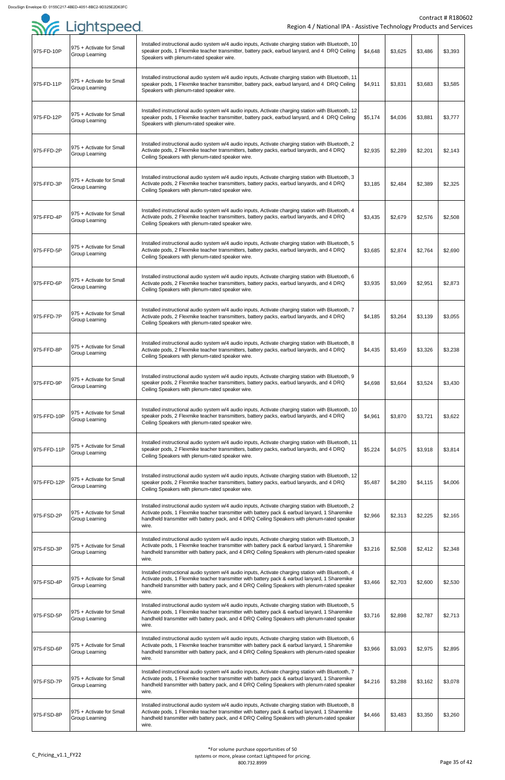|             | SYG Lightspeed                                    | Region 4 / National IPA - Assistive Technology Products and Service                                                                                                                                                                                                                                          |         |         |         | <b>Contract # R18060</b> |
|-------------|---------------------------------------------------|--------------------------------------------------------------------------------------------------------------------------------------------------------------------------------------------------------------------------------------------------------------------------------------------------------------|---------|---------|---------|--------------------------|
| 975-FD-10P  | 975 + Activate for Small<br>Group Learning        | Installed instructional audio system w/4 audio inputs, Activate charging station with Bluetooth, 10<br>speaker pods, 1 Flexmike teacher transmitter, battery pack, earbud lanyard, and 4 DRQ Ceiling<br>Speakers with plenum-rated speaker wire.                                                             | \$4,648 | \$3,625 | \$3,486 | \$3,393                  |
| 975-FD-11P  | 975 + Activate for Small<br><b>Group Learning</b> | Installed instructional audio system w/4 audio inputs, Activate charging station with Bluetooth, 11<br>speaker pods, 1 Flexmike teacher transmitter, battery pack, earbud lanyard, and 4 DRQ Ceiling<br>Speakers with plenum-rated speaker wire.                                                             | \$4,911 | \$3,831 | \$3,683 | \$3,585                  |
| 975-FD-12P  | 975 + Activate for Small<br><b>Group Learning</b> | Installed instructional audio system w/4 audio inputs, Activate charging station with Bluetooth, 12<br>speaker pods, 1 Flexmike teacher transmitter, battery pack, earbud lanyard, and 4 DRQ Ceiling<br>Speakers with plenum-rated speaker wire.                                                             | \$5,174 | \$4,036 | \$3,881 | \$3,777                  |
| 975-FFD-2P  | 975 + Activate for Small<br><b>Group Learning</b> | Installed instructional audio system w/4 audio inputs, Activate charging station with Bluetooth, 2<br>Activate pods, 2 Flexmike teacher transmitters, battery packs, earbud lanyards, and 4 DRQ<br>Ceiling Speakers with plenum-rated speaker wire.                                                          | \$2,935 | \$2,289 | \$2,201 | \$2,143                  |
| 975-FFD-3P  | 975 + Activate for Small<br>Group Learning        | Installed instructional audio system w/4 audio inputs, Activate charging station with Bluetooth, 3<br>Activate pods, 2 Flexmike teacher transmitters, battery packs, earbud lanyards, and 4 DRQ<br>Ceiling Speakers with plenum-rated speaker wire.                                                          | \$3,185 | \$2,484 | \$2,389 | \$2,325                  |
| 975-FFD-4P  | 975 + Activate for Small<br><b>Group Learning</b> | Installed instructional audio system w/4 audio inputs, Activate charging station with Bluetooth, 4<br>Activate pods, 2 Flexmike teacher transmitters, battery packs, earbud lanyards, and 4 DRQ<br>Ceiling Speakers with plenum-rated speaker wire.                                                          | \$3,435 | \$2,679 | \$2,576 | \$2,508                  |
| 975-FFD-5P  | 975 + Activate for Small<br>Group Learning        | Installed instructional audio system w/4 audio inputs, Activate charging station with Bluetooth, 5<br>Activate pods, 2 Flexmike teacher transmitters, battery packs, earbud lanyards, and 4 DRQ<br>Ceiling Speakers with plenum-rated speaker wire.                                                          | \$3,685 | \$2,874 | \$2,764 | \$2,690                  |
| 975-FFD-6P  | 975 + Activate for Small<br><b>Group Learning</b> | Installed instructional audio system w/4 audio inputs, Activate charging station with Bluetooth, 6<br>Activate pods, 2 Flexmike teacher transmitters, battery packs, earbud lanyards, and 4 DRQ<br>Ceiling Speakers with plenum-rated speaker wire.                                                          | \$3,935 | \$3,069 | \$2,951 | \$2,873                  |
| 975-FFD-7P  | 975 + Activate for Small<br><b>Group Learning</b> | Installed instructional audio system w/4 audio inputs, Activate charging station with Bluetooth, 7<br>Activate pods, 2 Flexmike teacher transmitters, battery packs, earbud lanyards, and 4 DRQ<br>Ceiling Speakers with plenum-rated speaker wire.                                                          | \$4,185 | \$3,264 | \$3,139 | \$3,055                  |
| 975-FFD-8P  | 975 + Activate for Small<br>Group Learning        | Installed instructional audio system w/4 audio inputs, Activate charging station with Bluetooth, 8<br>Activate pods, 2 Flexmike teacher transmitters, battery packs, earbud lanyards, and 4 DRQ<br>Ceiling Speakers with plenum-rated speaker wire.                                                          | \$4,435 | \$3,459 | \$3,326 | \$3,238                  |
| 975-FFD-9P  | 975 + Activate for Small<br><b>Group Learning</b> | Installed instructional audio system w/4 audio inputs, Activate charging station with Bluetooth, 9<br>speaker pods, 2 Flexmike teacher transmitters, battery packs, earbud lanyards, and 4 DRQ<br>Ceiling Speakers with plenum-rated speaker wire.                                                           | \$4,698 | \$3,664 | \$3,524 | \$3,430                  |
| 975-FFD-10P | 975 + Activate for Small<br>Group Learning        | Installed instructional audio system w/4 audio inputs, Activate charging station with Bluetooth, 10<br>speaker pods, 2 Flexmike teacher transmitters, battery packs, earbud lanyards, and 4 DRQ<br>Ceiling Speakers with plenum-rated speaker wire.                                                          | \$4,961 | \$3,870 | \$3,721 | \$3,622                  |
| 975-FFD-11P | 975 + Activate for Small<br>Group Learning        | Installed instructional audio system w/4 audio inputs, Activate charging station with Bluetooth, 11<br>speaker pods, 2 Flexmike teacher transmitters, battery packs, earbud lanyards, and 4 DRQ<br>Ceiling Speakers with plenum-rated speaker wire.                                                          | \$5,224 | \$4,075 | \$3,918 | \$3,814                  |
| 975-FFD-12P | 975 + Activate for Small<br>Group Learning        | Installed instructional audio system w/4 audio inputs, Activate charging station with Bluetooth, 12<br>speaker pods, 2 Flexmike teacher transmitters, battery packs, earbud lanyards, and 4 DRQ<br>Ceiling Speakers with plenum-rated speaker wire.                                                          | \$5,487 | \$4,280 | \$4,115 | \$4,006                  |
| 975-FSD-2P  | 975 + Activate for Small<br><b>Group Learning</b> | Installed instructional audio system w/4 audio inputs, Activate charging station with Bluetooth, 2<br>Activate pods, 1 Flexmike teacher transmitter with battery pack & earbud lanyard, 1 Sharemike<br>handheld transmitter with battery pack, and 4 DRQ Ceiling Speakers with plenum-rated speaker<br>wire. | \$2,966 | \$2,313 | \$2,225 | \$2,165                  |
| 975-FSD-3P  | 975 + Activate for Small<br><b>Group Learning</b> | Installed instructional audio system w/4 audio inputs, Activate charging station with Bluetooth, 3<br>Activate pods, 1 Flexmike teacher transmitter with battery pack & earbud lanyard, 1 Sharemike<br>handheld transmitter with battery pack, and 4 DRQ Ceiling Speakers with plenum-rated speaker<br>wire. | \$3,216 | \$2,508 | \$2,412 | \$2,348                  |
| 975-FSD-4P  | 975 + Activate for Small<br>Group Learning        | Installed instructional audio system w/4 audio inputs, Activate charging station with Bluetooth, 4<br>Activate pods, 1 Flexmike teacher transmitter with battery pack & earbud lanyard, 1 Sharemike<br>handheld transmitter with battery pack, and 4 DRQ Ceiling Speakers with plenum-rated speaker<br>wire. | \$3,466 | \$2,703 | \$2,600 | \$2,530                  |
| 975-FSD-5P  | 975 + Activate for Small<br>Group Learning        | Installed instructional audio system w/4 audio inputs, Activate charging station with Bluetooth, 5<br>Activate pods, 1 Flexmike teacher transmitter with battery pack & earbud lanyard, 1 Sharemike<br>handheld transmitter with battery pack, and 4 DRQ Ceiling Speakers with plenum-rated speaker<br>wire. | \$3,716 | \$2,898 | \$2,787 | \$2,713                  |
| 975-FSD-6P  | 975 + Activate for Small<br>Group Learning        | Installed instructional audio system w/4 audio inputs, Activate charging station with Bluetooth, 6<br>Activate pods, 1 Flexmike teacher transmitter with battery pack & earbud lanyard, 1 Sharemike<br>handheld transmitter with battery pack, and 4 DRQ Ceiling Speakers with plenum-rated speaker<br>wire. | \$3,966 | \$3,093 | \$2,975 | \$2,895                  |
| 975-FSD-7P  | 975 + Activate for Small<br>Group Learning        | Installed instructional audio system w/4 audio inputs, Activate charging station with Bluetooth, 7<br>Activate pods, 1 Flexmike teacher transmitter with battery pack & earbud lanyard, 1 Sharemike<br>handheld transmitter with battery pack, and 4 DRQ Ceiling Speakers with plenum-rated speaker<br>wire. | \$4,216 | \$3,288 | \$3,162 | \$3,078                  |
| 975-FSD-8P  | 975 + Activate for Small<br>Group Learning        | Installed instructional audio system w/4 audio inputs, Activate charging station with Bluetooth, 8<br>Activate pods, 1 Flexmike teacher transmitter with battery pack & earbud lanyard, 1 Sharemike<br>handheld transmitter with battery pack, and 4 DRQ Ceiling Speakers with plenum-rated speaker<br>wire. | \$4,466 | \$3,483 | \$3,350 | \$3,260                  |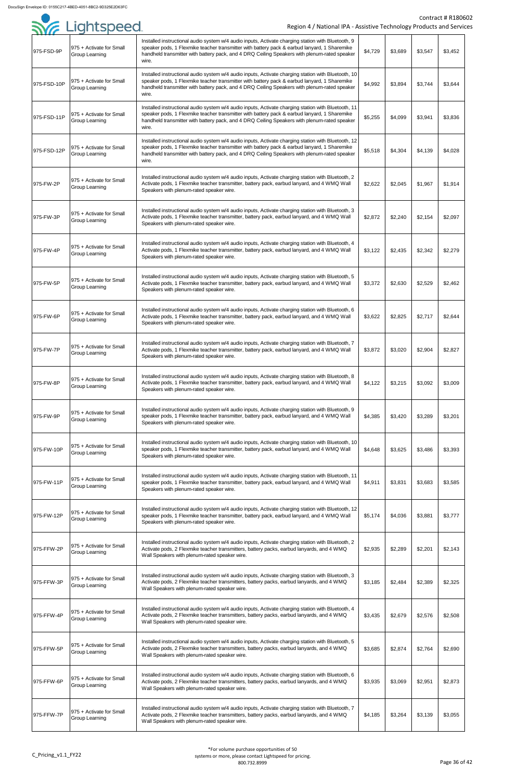|             |                                                   |                                                                                                                                                                                                                                                                                                              |         |         |         | Contract # R1806 |
|-------------|---------------------------------------------------|--------------------------------------------------------------------------------------------------------------------------------------------------------------------------------------------------------------------------------------------------------------------------------------------------------------|---------|---------|---------|------------------|
|             | Sor Lightspeed                                    | Region 4 / National IPA - Assistive Technology Products and Servic                                                                                                                                                                                                                                           |         |         |         |                  |
| 975-FSD-9P  | 975 + Activate for Small<br>Group Learning        | Installed instructional audio system w/4 audio inputs, Activate charging station with Bluetooth, 9<br>speaker pods, 1 Flexmike teacher transmitter with battery pack & earbud lanyard, 1 Sharemike<br>handheld transmitter with battery pack, and 4 DRQ Ceiling Speakers with plenum-rated speaker<br>wire.  | \$4,729 | \$3,689 | \$3,547 | \$3,452          |
| 975-FSD-10P | 975 + Activate for Small<br><b>Group Learning</b> | Installed instructional audio system w/4 audio inputs, Activate charging station with Bluetooth, 10<br>speaker pods, 1 Flexmike teacher transmitter with battery pack & earbud lanyard, 1 Sharemike<br>handheld transmitter with battery pack, and 4 DRQ Ceiling Speakers with plenum-rated speaker<br>wire. | \$4,992 | \$3,894 | \$3,744 | \$3,644          |
| 975-FSD-11P | 975 + Activate for Small<br>Group Learning        | Installed instructional audio system w/4 audio inputs, Activate charging station with Bluetooth, 11<br>speaker pods, 1 Flexmike teacher transmitter with battery pack & earbud lanyard, 1 Sharemike<br>handheld transmitter with battery pack, and 4 DRQ Ceiling Speakers with plenum-rated speaker<br>wire. | \$5,255 | \$4,099 | \$3,941 | \$3,836          |
| 975-FSD-12P | 975 + Activate for Small<br><b>Group Learning</b> | Installed instructional audio system w/4 audio inputs, Activate charging station with Bluetooth, 12<br>speaker pods, 1 Flexmike teacher transmitter with battery pack & earbud lanyard, 1 Sharemike<br>handheld transmitter with battery pack, and 4 DRQ Ceiling Speakers with plenum-rated speaker<br>wire. | \$5,518 | \$4,304 | \$4,139 | \$4,028          |
| 975-FW-2P   | 975 + Activate for Small<br>Group Learning        | Installed instructional audio system w/4 audio inputs, Activate charging station with Bluetooth, 2<br>Activate pods, 1 Flexmike teacher transmitter, battery pack, earbud lanyard, and 4 WMQ Wall<br>Speakers with plenum-rated speaker wire.                                                                | \$2,622 | \$2,045 | \$1,967 | \$1,914          |
| 975-FW-3P   | 975 + Activate for Small<br>Group Learning        | Installed instructional audio system w/4 audio inputs, Activate charging station with Bluetooth, 3<br>Activate pods, 1 Flexmike teacher transmitter, battery pack, earbud lanyard, and 4 WMQ Wall<br>Speakers with plenum-rated speaker wire.                                                                | \$2,872 | \$2,240 | \$2,154 | \$2,097          |
| 975-FW-4P   | 975 + Activate for Small<br>Group Learning        | Installed instructional audio system w/4 audio inputs, Activate charging station with Bluetooth, 4<br>Activate pods, 1 Flexmike teacher transmitter, battery pack, earbud lanyard, and 4 WMQ Wall<br>Speakers with plenum-rated speaker wire.                                                                | \$3,122 | \$2,435 | \$2,342 | \$2,279          |
| 975-FW-5P   | 975 + Activate for Small<br>Group Learning        | Installed instructional audio system w/4 audio inputs, Activate charging station with Bluetooth, 5<br>Activate pods, 1 Flexmike teacher transmitter, battery pack, earbud lanyard, and 4 WMQ Wall<br>Speakers with plenum-rated speaker wire.                                                                | \$3,372 | \$2,630 | \$2,529 | \$2,462          |
| 975-FW-6P   | 975 + Activate for Small<br><b>Group Learning</b> | Installed instructional audio system w/4 audio inputs, Activate charging station with Bluetooth, 6<br>Activate pods, 1 Flexmike teacher transmitter, battery pack, earbud lanyard, and 4 WMQ Wall<br>Speakers with plenum-rated speaker wire.                                                                | \$3,622 | \$2,825 | \$2,717 | \$2,644          |
| 975-FW-7P   | 975 + Activate for Small<br>Group Learning        | Installed instructional audio system w/4 audio inputs, Activate charging station with Bluetooth, 7<br>Activate pods, 1 Flexmike teacher transmitter, battery pack, earbud lanyard, and 4 WMQ Wall<br>Speakers with plenum-rated speaker wire.                                                                | \$3,872 | \$3,020 | \$2,904 | \$2,827          |
| 975-FW-8P   | 975 + Activate for Small<br>Group Learning        | Installed instructional audio system w/4 audio inputs, Activate charging station with Bluetooth, 8<br>Activate pods, 1 Flexmike teacher transmitter, battery pack, earbud lanyard, and 4 WMQ Wall<br>Speakers with plenum-rated speaker wire.                                                                | \$4,122 | \$3,215 | \$3,092 | \$3,009          |
| 975-FW-9P   | 975 + Activate for Small<br><b>Group Learning</b> | Installed instructional audio system w/4 audio inputs, Activate charging station with Bluetooth, 9<br>speaker pods, 1 Flexmike teacher transmitter, battery pack, earbud lanyard, and 4 WMQ Wall<br>Speakers with plenum-rated speaker wire.                                                                 | \$4,385 | \$3,420 | \$3,289 | \$3,201          |
| 975-FW-10P  | 975 + Activate for Small<br><b>Group Learning</b> | Installed instructional audio system w/4 audio inputs, Activate charging station with Bluetooth, 10<br>speaker pods, 1 Flexmike teacher transmitter, battery pack, earbud lanyard, and 4 WMQ Wall<br>Speakers with plenum-rated speaker wire.                                                                | \$4,648 | \$3,625 | \$3,486 | \$3,393          |
| 975-FW-11P  | 975 + Activate for Small<br>Group Learning        | Installed instructional audio system w/4 audio inputs, Activate charging station with Bluetooth, 11<br>speaker pods, 1 Flexmike teacher transmitter, battery pack, earbud lanyard, and 4 WMQ Wall<br>Speakers with plenum-rated speaker wire.                                                                | \$4,911 | \$3,831 | \$3,683 | \$3,585          |
| 975-FW-12P  | 975 + Activate for Small<br>Group Learning        | Installed instructional audio system w/4 audio inputs, Activate charging station with Bluetooth, 12<br>speaker pods, 1 Flexmike teacher transmitter, battery pack, earbud lanyard, and 4 WMQ Wall<br>Speakers with plenum-rated speaker wire.                                                                | \$5,174 | \$4,036 | \$3,881 | \$3,777          |
| 975-FFW-2P  | 975 + Activate for Small<br><b>Group Learning</b> | Installed instructional audio system w/4 audio inputs, Activate charging station with Bluetooth, 2<br>Activate pods, 2 Flexmike teacher transmitters, battery packs, earbud lanyards, and 4 WMQ<br>Wall Speakers with plenum-rated speaker wire.                                                             | \$2,935 | \$2,289 | \$2,201 | \$2,143          |
| 975-FFW-3P  | 975 + Activate for Small<br>Group Learning        | Installed instructional audio system w/4 audio inputs, Activate charging station with Bluetooth, 3<br>Activate pods, 2 Flexmike teacher transmitters, battery packs, earbud lanyards, and 4 WMQ<br>Wall Speakers with plenum-rated speaker wire.                                                             | \$3,185 | \$2,484 | \$2,389 | \$2,325          |
| 975-FFW-4P  | 975 + Activate for Small<br>Group Learning        | Installed instructional audio system w/4 audio inputs, Activate charging station with Bluetooth, 4<br>Activate pods, 2 Flexmike teacher transmitters, battery packs, earbud lanyards, and 4 WMQ<br>Wall Speakers with plenum-rated speaker wire.                                                             | \$3,435 | \$2,679 | \$2,576 | \$2,508          |
| 975-FFW-5P  | 975 + Activate for Small<br><b>Group Learning</b> | Installed instructional audio system w/4 audio inputs, Activate charging station with Bluetooth, 5<br>Activate pods, 2 Flexmike teacher transmitters, battery packs, earbud lanyards, and 4 WMQ<br>Wall Speakers with plenum-rated speaker wire.                                                             | \$3,685 | \$2,874 | \$2,764 | \$2,690          |
| 975-FFW-6P  | 975 + Activate for Small<br><b>Group Learning</b> | Installed instructional audio system w/4 audio inputs, Activate charging station with Bluetooth, 6<br>Activate pods, 2 Flexmike teacher transmitters, battery packs, earbud lanyards, and 4 WMQ<br>Wall Speakers with plenum-rated speaker wire.                                                             | \$3,935 | \$3,069 | \$2,951 | \$2,873          |
| 975-FFW-7P  | 975 + Activate for Small<br>Group Learning        | Installed instructional audio system w/4 audio inputs, Activate charging station with Bluetooth, 7<br>Activate pods, 2 Flexmike teacher transmitters, battery packs, earbud lanyards, and 4 WMQ<br>Wall Speakers with plenum-rated speaker wire.                                                             | \$4,185 | \$3,264 | \$3,139 | \$3,055          |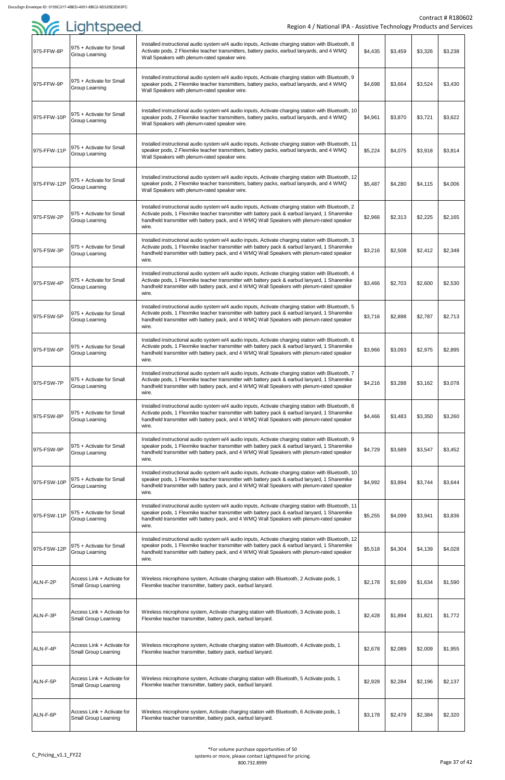|             | Syr Lightspeed                                            | Region 4 / National IPA - Assistive Technology Products and Service                                                                                                                                                                                                                                       |         |         |         | <b>Contract # R18060</b> |
|-------------|-----------------------------------------------------------|-----------------------------------------------------------------------------------------------------------------------------------------------------------------------------------------------------------------------------------------------------------------------------------------------------------|---------|---------|---------|--------------------------|
| 975-FFW-8P  | 975 + Activate for Small<br>Group Learning                | Installed instructional audio system w/4 audio inputs, Activate charging station with Bluetooth, 8<br>Activate pods, 2 Flexmike teacher transmitters, battery packs, earbud lanyards, and 4 WMQ<br>Wall Speakers with plenum-rated speaker wire.                                                          | \$4,435 | \$3,459 | \$3,326 | \$3,238                  |
| 975-FFW-9P  | 975 + Activate for Small<br><b>Group Learning</b>         | Installed instructional audio system w/4 audio inputs, Activate charging station with Bluetooth, 9<br>speaker pods, 2 Flexmike teacher transmitters, battery packs, earbud lanyards, and 4 WMQ<br>Wall Speakers with plenum-rated speaker wire.                                                           | \$4,698 | \$3,664 | \$3,524 | \$3,430                  |
| 975-FFW-10P | 975 + Activate for Small<br><b>Group Learning</b>         | Installed instructional audio system w/4 audio inputs, Activate charging station with Bluetooth, 10<br>speaker pods, 2 Flexmike teacher transmitters, battery packs, earbud lanyards, and 4 WMQ<br>Wall Speakers with plenum-rated speaker wire.                                                          | \$4,961 | \$3,870 | \$3,721 | \$3,622                  |
| 975-FFW-11P | 975 + Activate for Small<br><b>Group Learning</b>         | Installed instructional audio system w/4 audio inputs, Activate charging station with Bluetooth, 11<br>speaker pods, 2 Flexmike teacher transmitters, battery packs, earbud lanyards, and 4 WMQ<br>Wall Speakers with plenum-rated speaker wire.                                                          | \$5,224 | \$4,075 | \$3,918 | \$3,814                  |
| 975-FFW-12P | 975 + Activate for Small<br>Group Learning                | Installed instructional audio system w/4 audio inputs, Activate charging station with Bluetooth, 12<br>speaker pods, 2 Flexmike teacher transmitters, battery packs, earbud lanyards, and 4 WMQ<br>Wall Speakers with plenum-rated speaker wire.                                                          | \$5,487 | \$4,280 | \$4,115 | \$4,006                  |
| 975-FSW-2P  | 975 + Activate for Small<br><b>Group Learning</b>         | Installed instructional audio system w/4 audio inputs, Activate charging station with Bluetooth, 2<br>Activate pods, 1 Flexmike teacher transmitter with battery pack & earbud lanyard, 1 Sharemike<br>handheld transmitter with battery pack, and 4 WMQ Wall Speakers with plenum-rated speaker<br>wire. | \$2,966 | \$2,313 | \$2,225 | \$2,165                  |
| 975-FSW-3P  | 975 + Activate for Small<br><b>Group Learning</b>         | Installed instructional audio system w/4 audio inputs, Activate charging station with Bluetooth, 3<br>Activate pods, 1 Flexmike teacher transmitter with battery pack & earbud lanyard, 1 Sharemike<br>handheld transmitter with battery pack, and 4 WMQ Wall Speakers with plenum-rated speaker<br>wire. | \$3,216 | \$2,508 | \$2,412 | \$2,348                  |
| 975-FSW-4P  | 975 + Activate for Small<br>Group Learning                | Installed instructional audio system w/4 audio inputs, Activate charging station with Bluetooth, 4<br>Activate pods, 1 Flexmike teacher transmitter with battery pack & earbud lanyard, 1 Sharemike<br>handheld transmitter with battery pack, and 4 WMQ Wall Speakers with plenum-rated speaker<br>wire. | \$3,466 | \$2,703 | \$2,600 | \$2,530                  |
| 975-FSW-5P  | 975 + Activate for Small<br><b>Group Learning</b>         | Installed instructional audio system w/4 audio inputs, Activate charging station with Bluetooth, 5<br>Activate pods, 1 Flexmike teacher transmitter with battery pack & earbud lanyard, 1 Sharemike<br>handheld transmitter with battery pack, and 4 WMQ Wall Speakers with plenum-rated speaker<br>wire. | \$3,716 | \$2,898 | \$2,787 | \$2,713                  |
| 975-FSW-6P  | 975 + Activate for Small<br><b>Group Learning</b>         | Installed instructional audio system w/4 audio inputs, Activate charging station with Bluetooth, 6<br>Activate pods, 1 Flexmike teacher transmitter with battery pack & earbud lanyard, 1 Sharemike<br>handheld transmitter with battery pack, and 4 WMQ Wall Speakers with plenum-rated speaker<br>wire. | \$3,966 | \$3,093 | \$2,975 | \$2,895                  |
| 975-FSW-7P  | 975 + Activate for Small<br><b>Group Learning</b>         | Installed instructional audio system w/4 audio inputs, Activate charging station with Bluetooth, 7<br>Activate pods, 1 Flexmike teacher transmitter with battery pack & earbud lanyard, 1 Sharemike<br>handheld transmitter with battery pack, and 4 WMQ Wall Speakers with plenum-rated speaker<br>wire. | \$4,216 | \$3,288 | \$3,162 | \$3,078                  |
| 975-FSW-8P  | 975 + Activate for Small<br>Group Learning                | Installed instructional audio system w/4 audio inputs, Activate charging station with Bluetooth, 8<br>Activate pods, 1 Flexmike teacher transmitter with battery pack & earbud lanyard, 1 Sharemike<br>handheld transmitter with battery pack, and 4 WMQ Wall Speakers with plenum-rated speaker<br>wire. | \$4,466 | \$3,483 | \$3,350 | \$3,260                  |
| 975-FSW-9P  | 975 + Activate for Small<br><b>Group Learning</b>         | Installed instructional audio system w/4 audio inputs, Activate charging station with Bluetooth, 9<br>speaker pods, 1 Flexmike teacher transmitter with battery pack & earbud lanyard, 1 Sharemike<br>handheld transmitter with battery pack, and 4 WMQ Wall Speakers with plenum-rated speaker<br>wire.  | \$4,729 | \$3,689 | \$3,547 | \$3,452                  |
| 975-FSW-10P | 975 + Activate for Small<br><b>Group Learning</b>         | Installed instructional audio system w/4 audio inputs, Activate charging station with Bluetooth, 10<br>speaker pods, 1 Flexmike teacher transmitter with battery pack & earbud lanyard, 1 Sharemike<br>handheld transmitter with battery pack, and 4 WMQ Wall Speakers with plenum-rated speaker<br>wire. | \$4,992 | \$3,894 | \$3,744 | \$3,644                  |
| 975-FSW-11P | 975 + Activate for Small<br><b>Group Learning</b>         | Installed instructional audio system w/4 audio inputs, Activate charging station with Bluetooth, 11<br>speaker pods, 1 Flexmike teacher transmitter with battery pack & earbud lanyard, 1 Sharemike<br>handheld transmitter with battery pack, and 4 WMQ Wall Speakers with plenum-rated speaker<br>wire. | \$5,255 | \$4,099 | \$3,941 | \$3,836                  |
| 975-FSW-12P | 975 + Activate for Small<br><b>Group Learning</b>         | Installed instructional audio system w/4 audio inputs, Activate charging station with Bluetooth, 12<br>speaker pods, 1 Flexmike teacher transmitter with battery pack & earbud lanyard, 1 Sharemike<br>handheld transmitter with battery pack, and 4 WMQ Wall Speakers with plenum-rated speaker<br>wire. | \$5,518 | \$4,304 | \$4,139 | \$4,028                  |
| ALN-F-2P    | Access Link + Activate for<br><b>Small Group Learning</b> | Wireless microphone system, Activate charging station with Bluetooth, 2 Activate pods, 1<br>Flexmike teacher transmitter, battery pack, earbud lanyard.                                                                                                                                                   | \$2,178 | \$1,699 | \$1,634 | \$1,590                  |
| ALN-F-3P    | Access Link + Activate for<br><b>Small Group Learning</b> | Wireless microphone system, Activate charging station with Bluetooth, 3 Activate pods, 1<br>Flexmike teacher transmitter, battery pack, earbud lanyard.                                                                                                                                                   | \$2,428 | \$1,894 | \$1,821 | \$1,772                  |
| ALN-F-4P    | Access Link + Activate for<br><b>Small Group Learning</b> | Wireless microphone system, Activate charging station with Bluetooth, 4 Activate pods, 1<br>Flexmike teacher transmitter, battery pack, earbud lanyard.                                                                                                                                                   | \$2,678 | \$2,089 | \$2,009 | \$1,955                  |
| ALN-F-5P    | Access Link + Activate for<br><b>Small Group Learning</b> | Wireless microphone system, Activate charging station with Bluetooth, 5 Activate pods, 1<br>Flexmike teacher transmitter, battery pack, earbud lanyard.                                                                                                                                                   | \$2,928 | \$2,284 | \$2,196 | \$2,137                  |
| ALN-F-6P    | Access Link + Activate for<br><b>Small Group Learning</b> | Wireless microphone system, Activate charging station with Bluetooth, 6 Activate pods, 1<br>Flexmike teacher transmitter, battery pack, earbud lanyard.                                                                                                                                                   | \$3,178 | \$2,479 | \$2,384 | \$2,320                  |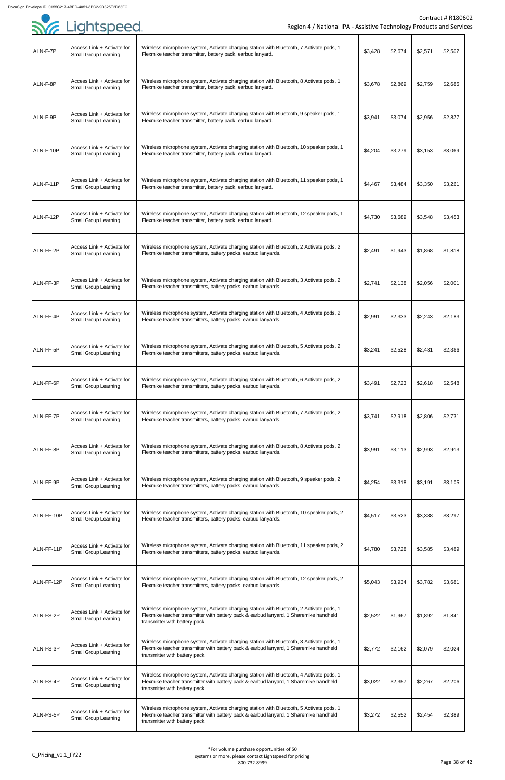| . <i>.</i> |                                                           |                                                                                                                                                                                                                     |         |         |         |         |
|------------|-----------------------------------------------------------|---------------------------------------------------------------------------------------------------------------------------------------------------------------------------------------------------------------------|---------|---------|---------|---------|
| ALN-F-7P   | Access Link + Activate for<br><b>Small Group Learning</b> | Wireless microphone system, Activate charging station with Bluetooth, 7 Activate pods, 1<br>Flexmike teacher transmitter, battery pack, earbud lanyard.                                                             | \$3,428 | \$2,674 | \$2,571 | \$2,502 |
| ALN-F-8P   | Access Link + Activate for<br><b>Small Group Learning</b> | Wireless microphone system, Activate charging station with Bluetooth, 8 Activate pods, 1<br>Flexmike teacher transmitter, battery pack, earbud lanyard.                                                             | \$3,678 | \$2,869 | \$2,759 | \$2,685 |
| ALN-F-9P   | Access Link + Activate for<br><b>Small Group Learning</b> | Wireless microphone system, Activate charging station with Bluetooth, 9 speaker pods, 1<br>Flexmike teacher transmitter, battery pack, earbud lanyard.                                                              | \$3,941 | \$3,074 | \$2,956 | \$2,877 |
| ALN-F-10P  | Access Link + Activate for<br><b>Small Group Learning</b> | Wireless microphone system, Activate charging station with Bluetooth, 10 speaker pods, 1<br>Flexmike teacher transmitter, battery pack, earbud lanyard.                                                             | \$4,204 | \$3,279 | \$3,153 | \$3,069 |
| ALN-F-11P  | Access Link + Activate for<br><b>Small Group Learning</b> | Wireless microphone system, Activate charging station with Bluetooth, 11 speaker pods, 1<br>Flexmike teacher transmitter, battery pack, earbud lanyard.                                                             | \$4,467 | \$3,484 | \$3,350 | \$3,261 |
| ALN-F-12P  | Access Link + Activate for<br>Small Group Learning        | Wireless microphone system, Activate charging station with Bluetooth, 12 speaker pods, 1<br>Flexmike teacher transmitter, battery pack, earbud lanyard.                                                             | \$4,730 | \$3,689 | \$3,548 | \$3,453 |
| ALN-FF-2P  | Access Link + Activate for<br><b>Small Group Learning</b> | Wireless microphone system, Activate charging station with Bluetooth, 2 Activate pods, 2<br>Flexmike teacher transmitters, battery packs, earbud lanyards.                                                          | \$2,491 | \$1,943 | \$1,868 | \$1,818 |
| ALN-FF-3P  | Access Link + Activate for<br><b>Small Group Learning</b> | Wireless microphone system, Activate charging station with Bluetooth, 3 Activate pods, 2<br>Flexmike teacher transmitters, battery packs, earbud lanyards.                                                          | \$2,741 | \$2,138 | \$2,056 | \$2,001 |
| ALN-FF-4P  | Access Link + Activate for<br><b>Small Group Learning</b> | Wireless microphone system, Activate charging station with Bluetooth, 4 Activate pods, 2<br>Flexmike teacher transmitters, battery packs, earbud lanyards.                                                          | \$2,991 | \$2,333 | \$2,243 | \$2,183 |
| ALN-FF-5P  | Access Link + Activate for<br><b>Small Group Learning</b> | Wireless microphone system, Activate charging station with Bluetooth, 5 Activate pods, 2<br>Flexmike teacher transmitters, battery packs, earbud lanyards.                                                          | \$3,241 | \$2,528 | \$2,431 | \$2,366 |
| ALN-FF-6P  | Access Link + Activate for<br><b>Small Group Learning</b> | Wireless microphone system, Activate charging station with Bluetooth, 6 Activate pods, 2<br>Flexmike teacher transmitters, battery packs, earbud lanyards.                                                          | \$3,491 | \$2,723 | \$2,618 | \$2,548 |
| ALN-FF-7P  | Access Link + Activate for<br><b>Small Group Learning</b> | Wireless microphone system, Activate charging station with Bluetooth, 7 Activate pods, 2<br>Flexmike teacher transmitters, battery packs, earbud lanyards.                                                          | \$3,741 | \$2,918 | \$2,806 | \$2,731 |
| ALN-FF-8P  | Access Link + Activate for<br><b>Small Group Learning</b> | Wireless microphone system, Activate charging station with Bluetooth, 8 Activate pods, 2<br>Flexmike teacher transmitters, battery packs, earbud lanyards.                                                          | \$3,991 | \$3,113 | \$2,993 | \$2,913 |
| ALN-FF-9P  | Access Link + Activate for<br><b>Small Group Learning</b> | Wireless microphone system, Activate charging station with Bluetooth, 9 speaker pods, 2<br>Flexmike teacher transmitters, battery packs, earbud lanyards.                                                           | \$4,254 | \$3,318 | \$3,191 | \$3,105 |
| ALN-FF-10P | Access Link + Activate for<br>Small Group Learning        | Wireless microphone system, Activate charging station with Bluetooth, 10 speaker pods, 2<br>Flexmike teacher transmitters, battery packs, earbud lanyards.                                                          | \$4,517 | \$3,523 | \$3,388 | \$3,297 |
| ALN-FF-11P | Access Link + Activate for<br><b>Small Group Learning</b> | Wireless microphone system, Activate charging station with Bluetooth, 11 speaker pods, 2<br>Flexmike teacher transmitters, battery packs, earbud lanyards.                                                          | \$4,780 | \$3,728 | \$3,585 | \$3,489 |
| ALN-FF-12P | Access Link + Activate for<br><b>Small Group Learning</b> | Wireless microphone system, Activate charging station with Bluetooth, 12 speaker pods, 2<br>Flexmike teacher transmitters, battery packs, earbud lanyards.                                                          | \$5,043 | \$3,934 | \$3,782 | \$3,681 |
| ALN-FS-2P  | Access Link + Activate for<br><b>Small Group Learning</b> | Wireless microphone system, Activate charging station with Bluetooth, 2 Activate pods, 1<br>Flexmike teacher transmitter with battery pack & earbud lanyard, 1 Sharemike handheld<br>transmitter with battery pack. | \$2,522 | \$1,967 | \$1,892 | \$1,841 |
| ALN-FS-3P  | Access Link + Activate for<br><b>Small Group Learning</b> | Wireless microphone system, Activate charging station with Bluetooth, 3 Activate pods, 1<br>Flexmike teacher transmitter with battery pack & earbud lanyard, 1 Sharemike handheld<br>transmitter with battery pack. | \$2,772 | \$2,162 | \$2,079 | \$2,024 |
| ALN-FS-4P  | Access Link + Activate for<br><b>Small Group Learning</b> | Wireless microphone system, Activate charging station with Bluetooth, 4 Activate pods, 1<br>Flexmike teacher transmitter with battery pack & earbud lanyard, 1 Sharemike handheld<br>transmitter with battery pack. | \$3,022 | \$2,357 | \$2,267 | \$2,206 |
| ALN-FS-5P  | Access Link + Activate for<br><b>Small Group Learning</b> | Wireless microphone system, Activate charging station with Bluetooth, 5 Activate pods, 1<br>Flexmike teacher transmitter with battery pack & earbud lanyard, 1 Sharemike handheld<br>transmitter with battery pack. | \$3,272 | \$2,552 | \$2,454 | \$2,389 |

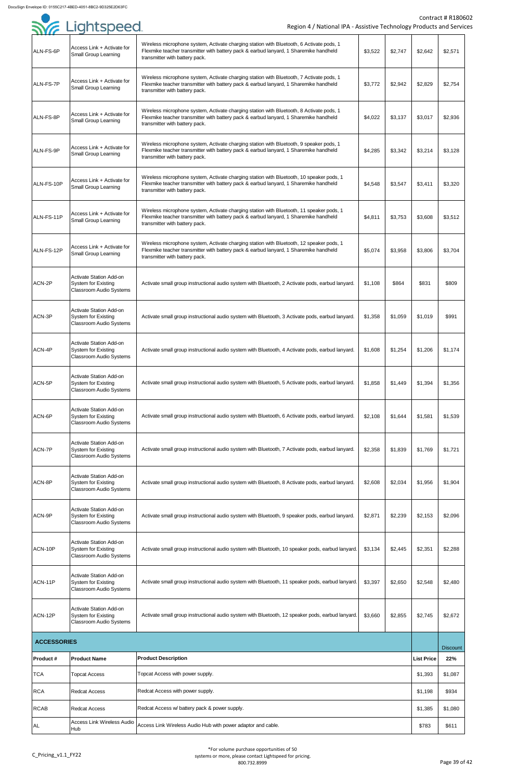|                    | <b>SYE Lightspeed</b>                                                                   | Region 4 / National IPA - Assistive Technology Products and Service                                                                                                                                                 |         |         |                   | <b>Contract # R18060</b> |
|--------------------|-----------------------------------------------------------------------------------------|---------------------------------------------------------------------------------------------------------------------------------------------------------------------------------------------------------------------|---------|---------|-------------------|--------------------------|
|                    |                                                                                         |                                                                                                                                                                                                                     |         |         |                   |                          |
| ALN-FS-6P          | Access Link + Activate for<br><b>Small Group Learning</b>                               | Wireless microphone system, Activate charging station with Bluetooth, 6 Activate pods, 1<br>Flexmike teacher transmitter with battery pack & earbud lanyard, 1 Sharemike handheld<br>transmitter with battery pack. | \$3,522 | \$2,747 | \$2,642           | \$2,571                  |
| ALN-FS-7P          | Access Link + Activate for<br><b>Small Group Learning</b>                               | Wireless microphone system, Activate charging station with Bluetooth, 7 Activate pods, 1<br>Flexmike teacher transmitter with battery pack & earbud lanyard, 1 Sharemike handheld<br>transmitter with battery pack. | \$3,772 | \$2,942 | \$2,829           | \$2,754                  |
| ALN-FS-8P          | Access Link + Activate for<br><b>Small Group Learning</b>                               | Wireless microphone system, Activate charging station with Bluetooth, 8 Activate pods, 1<br>Flexmike teacher transmitter with battery pack & earbud lanyard, 1 Sharemike handheld<br>transmitter with battery pack. | \$4,022 | \$3,137 | \$3,017           | \$2,936                  |
| ALN-FS-9P          | Access Link + Activate for<br><b>Small Group Learning</b>                               | Wireless microphone system, Activate charging station with Bluetooth, 9 speaker pods, 1<br>Flexmike teacher transmitter with battery pack & earbud lanyard, 1 Sharemike handheld<br>transmitter with battery pack.  | \$4,285 | \$3,342 | \$3,214           | \$3,128                  |
| ALN-FS-10P         | Access Link + Activate for<br><b>Small Group Learning</b>                               | Wireless microphone system, Activate charging station with Bluetooth, 10 speaker pods, 1<br>Flexmike teacher transmitter with battery pack & earbud lanyard, 1 Sharemike handheld<br>transmitter with battery pack. | \$4,548 | \$3,547 | \$3,411           | \$3,320                  |
| ALN-FS-11P         | Access Link + Activate for<br><b>Small Group Learning</b>                               | Wireless microphone system, Activate charging station with Bluetooth, 11 speaker pods, 1<br>Flexmike teacher transmitter with battery pack & earbud lanyard, 1 Sharemike handheld<br>transmitter with battery pack. | \$4,811 | \$3,753 | \$3,608           | \$3,512                  |
| ALN-FS-12P         | Access Link + Activate for<br><b>Small Group Learning</b>                               | Wireless microphone system, Activate charging station with Bluetooth, 12 speaker pods, 1<br>Flexmike teacher transmitter with battery pack & earbud lanyard, 1 Sharemike handheld<br>transmitter with battery pack. | \$5,074 | \$3,958 | \$3,806           | \$3,704                  |
| ACN-2P             | Activate Station Add-on<br><b>System for Existing</b><br><b>Classroom Audio Systems</b> | Activate small group instructional audio system with Bluetooth, 2 Activate pods, earbud lanyard.                                                                                                                    | \$1,108 | \$864   | \$831             | \$809                    |
| ACN-3P             | Activate Station Add-on<br>System for Existing<br><b>Classroom Audio Systems</b>        | Activate small group instructional audio system with Bluetooth, 3 Activate pods, earbud lanyard.                                                                                                                    | \$1,358 | \$1,059 | \$1,019           | \$991                    |
| ACN-4P             | Activate Station Add-on<br>System for Existing<br><b>Classroom Audio Systems</b>        | Activate small group instructional audio system with Bluetooth, 4 Activate pods, earbud lanyard.                                                                                                                    | \$1,608 | \$1,254 | \$1,206           | \$1,174                  |
| ACN-5P             | Activate Station Add-on<br>System for Existing<br><b>Classroom Audio Systems</b>        | Activate small group instructional audio system with Bluetooth, 5 Activate pods, earbud lanyard.                                                                                                                    | \$1,858 | \$1,449 | \$1,394           | \$1,356                  |
| ACN-6P             | Activate Station Add-on<br><b>System for Existing</b><br><b>Classroom Audio Systems</b> | Activate small group instructional audio system with Bluetooth, 6 Activate pods, earbud lanyard.                                                                                                                    | \$2,108 | \$1,644 | \$1,581           | \$1,539                  |
| ACN-7P             | Activate Station Add-on<br><b>System for Existing</b><br><b>Classroom Audio Systems</b> | Activate small group instructional audio system with Bluetooth, 7 Activate pods, earbud lanyard.                                                                                                                    | \$2,358 | \$1,839 | \$1,769           | \$1,721                  |
| ACN-8P             | Activate Station Add-on<br><b>System for Existing</b><br><b>Classroom Audio Systems</b> | Activate small group instructional audio system with Bluetooth, 8 Activate pods, earbud lanyard.                                                                                                                    | \$2,608 | \$2,034 | \$1,956           | \$1,904                  |
| ACN-9P             | Activate Station Add-on<br><b>System for Existing</b><br><b>Classroom Audio Systems</b> | Activate small group instructional audio system with Bluetooth, 9 speaker pods, earbud lanyard.                                                                                                                     | \$2,871 | \$2,239 | \$2,153           | \$2,096                  |
| ACN-10P            | Activate Station Add-on<br><b>System for Existing</b><br><b>Classroom Audio Systems</b> | Activate small group instructional audio system with Bluetooth, 10 speaker pods, earbud lanyard.                                                                                                                    | \$3,134 | \$2,445 | \$2,351           | \$2,288                  |
| ACN-11P            | Activate Station Add-on<br><b>System for Existing</b><br><b>Classroom Audio Systems</b> | Activate small group instructional audio system with Bluetooth, 11 speaker pods, earbud lanyard.                                                                                                                    | \$3,397 | \$2,650 | \$2,548           | \$2,480                  |
| ACN-12P            | Activate Station Add-on<br>System for Existing<br><b>Classroom Audio Systems</b>        | Activate small group instructional audio system with Bluetooth, 12 speaker pods, earbud lanyard.                                                                                                                    | \$3,660 | \$2,855 | \$2,745           | \$2,672                  |
| <b>ACCESSORIES</b> |                                                                                         |                                                                                                                                                                                                                     |         |         |                   |                          |
| <b>Product#</b>    | <b>Product Name</b>                                                                     | <b>Product Description</b>                                                                                                                                                                                          |         |         | <b>List Price</b> | <b>Discount</b><br>22%   |
| <b>TCA</b>         | <b>Topcat Access</b>                                                                    | Topcat Access with power supply.                                                                                                                                                                                    |         |         | \$1,393           | \$1,087                  |
| <b>RCA</b>         | <b>Redcat Access</b>                                                                    | Redcat Access with power supply.                                                                                                                                                                                    |         |         | \$1,198           | \$934                    |
| <b>RCAB</b>        | <b>Redcat Access</b>                                                                    | Redcat Access w/ battery pack & power supply.                                                                                                                                                                       |         |         | \$1,385           | \$1,080                  |
|                    | <b>Access Link Wireless Audio</b>                                                       |                                                                                                                                                                                                                     |         |         |                   |                          |
| <b>AL</b>          | Hub                                                                                     | Access Link Wireless Audio Hub with power adaptor and cable.                                                                                                                                                        |         |         | \$783             | \$611                    |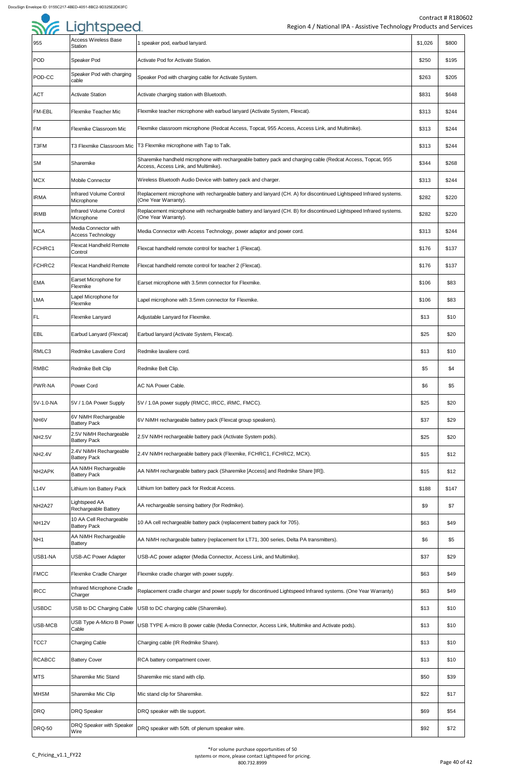| 955                             | <b>Access Wireless Base</b><br><b>Station</b>    | 1 speaker pod, earbud lanyard.                                                                                                                      | \$1,026 | \$800 |
|---------------------------------|--------------------------------------------------|-----------------------------------------------------------------------------------------------------------------------------------------------------|---------|-------|
| <b>POD</b>                      | Speaker Pod                                      | Activate Pod for Activate Station.                                                                                                                  | \$250   | \$195 |
| POD-CC                          | Speaker Pod with charging<br>cable               | Speaker Pod with charging cable for Activate System.                                                                                                | \$263   | \$205 |
| <b>ACT</b>                      | <b>Activate Station</b>                          | Activate charging station with Bluetooth.                                                                                                           | \$831   | \$648 |
| <b>FM-EBL</b>                   | <b>Flexmike Teacher Mic</b>                      | Flexmike teacher microphone with earbud lanyard (Activate System, Flexcat).                                                                         | \$313   | \$244 |
| <b>FM</b>                       | Flexmike Classroom Mic                           | Flexmike classroom microphone (Redcat Access, Topcat, 955 Access, Access Link, and Multimike).                                                      | \$313   | \$244 |
| T3FM                            |                                                  | T3 Flexmike Classroom Mic   T3 Flexmike microphone with Tap to Talk.                                                                                | \$313   | \$244 |
| <b>SM</b>                       | Sharemike                                        | Sharemike handheld microphone with rechargeable battery pack and charging cable (Redcat Access, Topcat, 955<br>Access, Access Link, and Multimike). | \$344   | \$268 |
| <b>MCX</b>                      | <b>Mobile Connector</b>                          | Wireless Bluetooth Audio Device with battery pack and charger.                                                                                      | \$313   | \$244 |
| <b>IRMA</b>                     | <b>Infrared Volume Control</b><br>Microphone     | Replacement microphone with rechargeable battery and lanyard (CH. A) for discontinued Lightspeed Infrared systems.<br>(One Year Warranty).          | \$282   | \$220 |
| <b>IRMB</b>                     | <b>Infrared Volume Control</b><br>Microphone     | Replacement microphone with rechargeable battery and lanyard (CH. B) for discontinued Lightspeed Infrared systems.<br>(One Year Warranty).          | \$282   | \$220 |
| <b>MCA</b>                      | Media Connector with<br><b>Access Technology</b> | Media Connector with Access Technology, power adaptor and power cord.                                                                               | \$313   | \$244 |
| FCHRC1                          | <b>Flexcat Handheld Remote</b><br>Control        | Flexcat handheld remote control for teacher 1 (Flexcat).                                                                                            | \$176   | \$137 |
| FCHRC2                          | <b>Flexcat Handheld Remote</b>                   | Flexcat handheld remote control for teacher 2 (Flexcat).                                                                                            | \$176   | \$137 |
| <b>EMA</b>                      | Earset Microphone for<br>Flexmike                | Earset microphone with 3.5mm connector for Flexmike.                                                                                                | \$106   | \$83  |
| <b>LMA</b>                      | Lapel Microphone for<br>Flexmike                 | Lapel microphone with 3.5mm connector for Flexmike.                                                                                                 | \$106   | \$83  |
| <b>IFL</b>                      | Flexmike Lanyard                                 | Adjustable Lanyard for Flexmike.                                                                                                                    | \$13    | \$10  |
| <b>EBL</b>                      | Earbud Lanyard (Flexcat)                         | Earbud lanyard (Activate System, Flexcat).                                                                                                          | \$25    | \$20  |
| RMLC3                           | Redmike Lavaliere Cord                           | Redmike lavaliere cord.                                                                                                                             | \$13    | \$10  |
| <b>RMBC</b>                     | Redmike Belt Clip                                | Redmike Belt Clip.                                                                                                                                  | \$5     | \$4   |
| <b>PWR-NA</b>                   | <b>Power Cord</b>                                | <b>AC NA Power Cable.</b>                                                                                                                           | \$6     | \$5   |
| 5V-1.0-NA                       | 5V / 1.0A Power Supply                           | [5V / 1.0A power supply (RMCC, IRCC, iRMC, FMCC).                                                                                                   | \$25    | \$20  |
| NH6V                            | 6V NiMH Rechargeable<br><b>Battery Pack</b>      | 6V NiMH rechargeable battery pack (Flexcat group speakers).                                                                                         | \$37    | \$29  |
| <b>NH2.5V</b>                   | 2.5V NiMH Rechargeable<br><b>Battery Pack</b>    | 2.5V NiMH rechargeable battery pack (Activate System pods).                                                                                         | \$25    | \$20  |
| <b>NH2.4V</b>                   | 2.4V NiMH Rechargeable<br><b>Battery Pack</b>    | 2.4V NiMH rechargeable battery pack (Flexmike, FCHRC1, FCHRC2, MCX).                                                                                | \$15    | \$12  |
| NH <sub>2</sub> APK             | AA NiMH Rechargeable<br><b>Battery Pack</b>      | AA NiMH rechargeable battery pack (Sharemike [Access] and Redmike Share [IR]).                                                                      | \$15    | \$12  |
| L14V                            | Lithium Ion Battery Pack                         | Lithium Ion battery pack for Redcat Access.                                                                                                         | \$188   | \$147 |
| NH <sub>2</sub> A <sub>27</sub> | Lightspeed AA<br>Rechargeable Battery            | AA rechargeable sensing battery (for Redmike).                                                                                                      | \$9     | \$7   |
| <b>NH12V</b>                    | 10 AA Cell Rechargeable<br><b>Battery Pack</b>   | 10 AA cell rechargeable battery pack (replacement battery pack for 705).                                                                            | \$63    | \$49  |
| NH <sub>1</sub>                 | AA NiMH Rechargeable<br><b>Battery</b>           | AA NiMH rechargeable battery (replacement for LT71, 300 series, Delta PA transmitters).                                                             | \$6     | \$5   |
| USB1-NA                         | <b>USB-AC Power Adapter</b>                      | USB-AC power adapter (Media Connector, Access Link, and Multimike).                                                                                 | \$37    | \$29  |
| <b>FMCC</b>                     | <b>Flexmike Cradle Charger</b>                   | Flexmike cradle charger with power supply.                                                                                                          | \$63    | \$49  |
| <b>IRCC</b>                     | Infrared Microphone Cradle<br>Charger            | Replacement cradle charger and power supply for discontinued Lightspeed Infrared systems. (One Year Warranty)                                       | \$63    | \$49  |
| <b>USBDC</b>                    | USB to DC Charging Cable                         | USB to DC charging cable (Sharemike).                                                                                                               | \$13    | \$10  |
| USB-MCB                         | USB Type A-Micro B Power<br>Cable                | USB TYPE A-micro B power cable (Media Connector, Access Link, Multimike and Activate pods).                                                         | \$13    | \$10  |
| TCC7                            | <b>Charging Cable</b>                            | Charging cable (IR Redmike Share).                                                                                                                  | \$13    | \$10  |
| <b>RCABCC</b>                   | <b>Battery Cover</b>                             | RCA battery compartment cover.                                                                                                                      | \$13    | \$10  |
| <b>MTS</b>                      | Sharemike Mic Stand                              | Sharemike mic stand with clip.                                                                                                                      | \$50    | \$39  |
| <b>MHSM</b>                     | Sharemike Mic Clip                               | Mic stand clip for Sharemike.                                                                                                                       | \$22    | \$17  |
| <b>DRQ</b>                      | <b>DRQ Speaker</b>                               | DRQ speaker with tile support.                                                                                                                      | \$69    | \$54  |
| <b>DRQ-50</b>                   | DRQ Speaker with Speaker<br>Wire                 | DRQ speaker with 50ft. of plenum speaker wire.                                                                                                      | \$92    | \$72  |

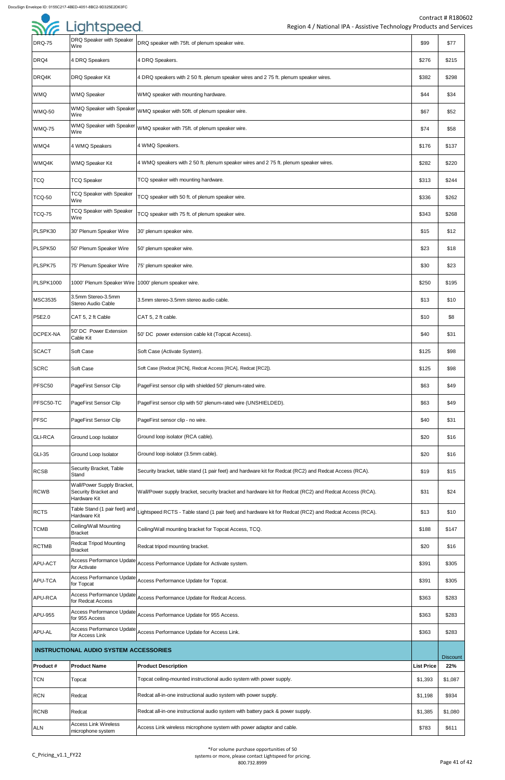| <b>DRQ-75</b>    | DRQ Speaker with Speaker<br>Wire                                   | DRQ speaker with 75ft. of plenum speaker wire.                                                                                       | \$99              | \$77            |
|------------------|--------------------------------------------------------------------|--------------------------------------------------------------------------------------------------------------------------------------|-------------------|-----------------|
| DRQ4             | 4 DRQ Speakers                                                     | 4 DRQ Speakers.                                                                                                                      | \$276             | \$215           |
| DRQ4K            | DRQ Speaker Kit                                                    | 4 DRQ speakers with 2 50 ft. plenum speaker wires and 2 75 ft. plenum speaker wires.                                                 | \$382             | \$298           |
| <b>WMQ</b>       | <b>WMQ Speaker</b>                                                 | WMQ speaker with mounting hardware.                                                                                                  | \$44              | \$34            |
| <b>WMQ-50</b>    | Wire                                                               | $ $ WMQ Speaker with Speaker $ _{\text{WMQ}}$ speaker with 50ft. of plenum speaker wire.                                             | \$67              | \$52            |
| <b>WMQ-75</b>    | Wire                                                               | $\vert$ WMQ Speaker with Speaker $\vert$ WMQ speaker with 75ft. of plenum speaker wire.                                              | \$74              | \$58            |
| WMQ4             | 4 WMQ Speakers                                                     | 4 WMQ Speakers.                                                                                                                      | \$176             | \$137           |
| WMQ4K            | <b>WMQ Speaker Kit</b>                                             | 4 WMQ speakers with 2 50 ft. plenum speaker wires and 2 75 ft. plenum speaker wires.                                                 | \$282             | \$220           |
| <b>TCQ</b>       | <b>TCQ Speaker</b>                                                 | TCQ speaker with mounting hardware.                                                                                                  | \$313             | \$244           |
| <b>TCQ-50</b>    | <b>TCQ Speaker with Speaker</b><br>Wire                            | TCQ speaker with 50 ft. of plenum speaker wire.                                                                                      | \$336             | \$262           |
| <b>TCQ-75</b>    | <b>TCQ Speaker with Speaker</b><br>Wire                            | TCQ speaker with 75 ft. of plenum speaker wire.                                                                                      | \$343             | \$268           |
| PLSPK30          | 30' Plenum Speaker Wire                                            | 30' plenum speaker wire.                                                                                                             | \$15              | \$12            |
| PLSPK50          | 50' Plenum Speaker Wire                                            | 50' plenum speaker wire.                                                                                                             | \$23              | \$18            |
| PLSPK75          | 75' Plenum Speaker Wire                                            | 75' plenum speaker wire.                                                                                                             | \$30              | \$23            |
| <b>PLSPK1000</b> | 1000' Plenum Speaker Wire   1000' plenum speaker wire.             |                                                                                                                                      | \$250             | \$195           |
| MSC3535          | 3.5mm Stereo-3.5mm<br>Stereo Audio Cable                           | 3.5mm stereo-3.5mm stereo audio cable.                                                                                               | \$13              | \$10            |
| P5E2.0           | CAT 5, 2 ft Cable                                                  | CAT 5, 2 ft cable.                                                                                                                   | \$10              | \$8             |
| DCPEX-NA         | 50' DC Power Extension<br>Cable Kit                                | 50' DC power extension cable kit (Topcat Access).                                                                                    | \$40              | \$31            |
| <b>SCACT</b>     | Soft Case                                                          | Soft Case (Activate System).                                                                                                         | \$125             | \$98            |
| <b>SCRC</b>      | Soft Case                                                          | Soft Case (Redcat [RCN], Redcat Access [RCA], Redcat [RC2]).                                                                         | \$125             | \$98            |
| PFSC50           | PageFirst Sensor Clip                                              | PageFirst sensor clip with shielded 50' plenum-rated wire.                                                                           | \$63              | \$49            |
| PFSC50-TC        | PageFirst Sensor Clip                                              | PageFirst sensor clip with 50' plenum-rated wire (UNSHIELDED).                                                                       | \$63              | \$49            |
| <b>PFSC</b>      | PageFirst Sensor Clip                                              | PageFirst sensor clip - no wire.                                                                                                     | \$40              | \$31            |
| <b>GLI-RCA</b>   | Ground Loop Isolator                                               | Ground loop isolator (RCA cable).                                                                                                    | \$20              | \$16            |
| <b>GLI-35</b>    | Ground Loop Isolator                                               | Ground loop isolator (3.5mm cable).                                                                                                  | \$20              | \$16            |
| <b>RCSB</b>      | Security Bracket, Table<br>Stand                                   | Security bracket, table stand (1 pair feet) and hardware kit for Redcat (RC2) and Redcat Access (RCA).                               | \$19              | \$15            |
| <b>RCWB</b>      | Wall/Power Supply Bracket,<br>Security Bracket and<br>Hardware Kit | Wall/Power supply bracket, security bracket and hardware kit for Redcat (RC2) and Redcat Access (RCA).                               | \$31              | \$24            |
| <b>RCTS</b>      | Hardware Kit                                                       | Table Stand (1 pair feet) and Lightspeed RCTS - Table stand (1 pair feet) and hardware kit for Redcat (RC2) and Redcat Access (RCA). | \$13              | \$10            |
| <b>TCMB</b>      | Ceiling/Wall Mounting<br><b>Bracket</b>                            | Ceiling/Wall mounting bracket for Topcat Access, TCQ.                                                                                | \$188             | \$147           |
| <b>RCTMB</b>     | <b>Redcat Tripod Mounting</b><br><b>Bracket</b>                    | Redcat tripod mounting bracket.                                                                                                      | \$20              | \$16            |
| APU-ACT          | for Activate                                                       | Access Performance Update Access Performance Update for Activate system.                                                             | \$391             | \$305           |
| APU-TCA          | for Topcat                                                         | Access Performance Update Access Performance Update for Topcat.                                                                      | \$391             | \$305           |
| <b>APU-RCA</b>   | for Redcat Access                                                  | Access Performance Update Access Performance Update for Redcat Access.                                                               | \$363             | \$283           |
| APU-955          | for 955 Access                                                     | Access Performance Update Access Performance Update for 955 Access.                                                                  | \$363             | \$283           |
| <b>APU-AL</b>    | for Access Link                                                    | Access Performance Update Access Performance Update for Access Link.                                                                 | \$363             | \$283           |
|                  | <b>INSTRUCTIONAL AUDIO SYSTEM ACCESSORIES</b>                      |                                                                                                                                      |                   | <b>Discount</b> |
| Product#         | <b>Product Name</b>                                                | <b>Product Description</b>                                                                                                           | <b>List Price</b> | 22%             |
| <b>TCN</b>       | Topcat                                                             | Topcat ceiling-mounted instructional audio system with power supply.                                                                 | \$1,393           | \$1,087         |
| <b>RCN</b>       | Redcat                                                             | Redcat all-in-one instructional audio system with power supply.                                                                      | \$1,198           | \$934           |
| <b>RCNB</b>      | Redcat                                                             | Redcat all-in-one instructional audio system with battery pack & power supply.                                                       | \$1,385           | \$1,080         |
| <b>ALN</b>       | <b>Access Link Wireless</b><br>microphone system                   | Access Link wireless microphone system with power adaptor and cable.                                                                 | \$783             | \$611           |

| <b>SYE Lightspeed</b> |
|-----------------------|
|                       |